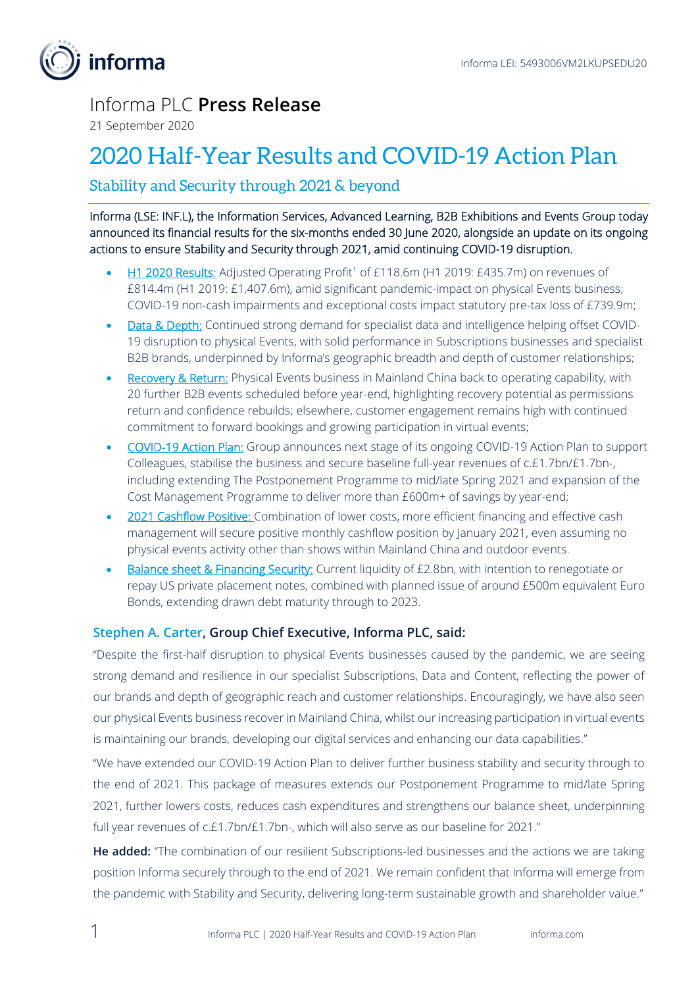

## Informa PLC **Press Release**

21 September 2020

# 2020 Half-Year Results and COVID-19 Action Plan

## Stability and Security through 2021 & beyond

Informa (LSE: INF.L), the Information Services, Advanced Learning, B2B Exhibitions and Events Group today announced its financial results for the six-months ended 30 June 2020, alongside an update on its ongoing actions to ensure Stability and Security through 2021, amid continuing COVID-19 disruption.

- H1 2020 Results: Adjusted Operating Profit<sup>1</sup> of £118.6m (H1 2019: £435.7m) on revenues of £814.4m (H1 2019: £1,407.6m), amid significant pandemic-impact on physical Events business; COVID-19 non-cash impairments and exceptional costs impact statutory pre-tax loss of £739.9m;
- **Data & Depth:** Continued strong demand for specialist data and intelligence helping offset COVID-19 disruption to physical Events, with solid performance in Subscriptions businesses and specialist B2B brands, underpinned by Informa's geographic breadth and depth of customer relationships;
- Recovery & Return: Physical Events business in Mainland China back to operating capability, with 20 further B2B events scheduled before year-end, highlighting recovery potential as permissions return and confidence rebuilds; elsewhere, customer engagement remains high with continued commitment to forward bookings and growing participation in virtual events;
- COVID-19 Action Plan: Group announces next stage of its ongoing COVID-19 Action Plan to support Colleagues, stabilise the business and secure baseline full-year revenues of c.£1.7bn/£1.7bn-, including extending The Postponement Programme to mid/late Spring 2021 and expansion of the Cost Management Programme to deliver more than £600m+ of savings by year-end;
- 2021 Cashflow Positive: Combination of lower costs, more efficient financing and effective cash management will secure positive monthly cashflow position by January 2021, even assuming no physical events activity other than shows within Mainland China and outdoor events.
- Balance sheet & Financing Security: Current liquidity of £2.8bn, with intention to renegotiate or repay US private placement notes, combined with planned issue of around £500m equivalent Euro Bonds, extending drawn debt maturity through to 2023.

## **Stephen A. Carter, Group Chief Executive, Informa PLC, said:**

"Despite the first-half disruption to physical Events businesses caused by the pandemic, we are seeing strong demand and resilience in our specialist Subscriptions, Data and Content, reflecting the power of our brands and depth of geographic reach and customer relationships. Encouragingly, we have also seen our physical Events business recover in Mainland China, whilst our increasing participation in virtual events is maintaining our brands, developing our digital services and enhancing our data capabilities."

"We have extended our COVID-19 Action Plan to deliver further business stability and security through to the end of 2021. This package of measures extends our Postponement Programme to mid/late Spring 2021, further lowers costs, reduces cash expenditures and strengthens our balance sheet, underpinning full year revenues of c.£1.7bn/£1.7bn-, which will also serve as our baseline for 2021."

**He added:** "The combination of our resilient Subscriptions-led businesses and the actions we are taking position Informa securely through to the end of 2021. We remain confident that Informa will emerge from the pandemic with Stability and Security, delivering long-term sustainable growth and shareholder value."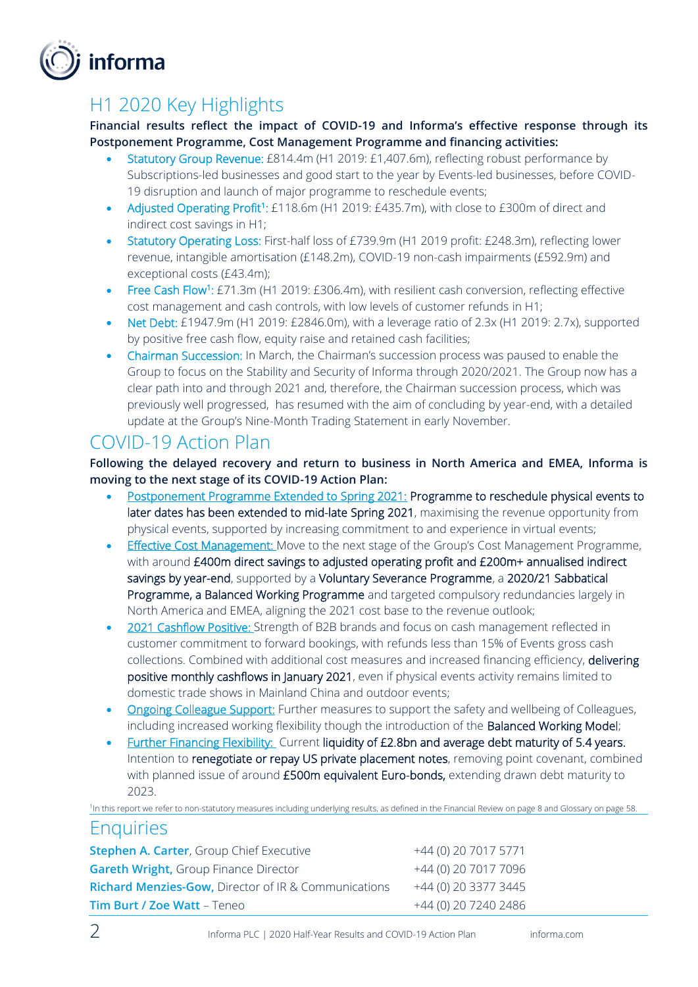

# H1 2020 Key Highlights

**Financial results reflect the impact of COVID-19 and Informa's effective response through its Postponement Programme, Cost Management Programme and financing activities:**

- Statutory Group Revenue: £814.4m (H1 2019: £1,407.6m), reflecting robust performance by Subscriptions-led businesses and good start to the year by Events-led businesses, before COVID-19 disruption and launch of major programme to reschedule events;
- Adjusted Operating Profit<sup>1</sup>: £118.6m (H1 2019: £435.7m), with close to £300m of direct and indirect cost savings in H1;
- Statutory Operating Loss: First-half loss of £739.9m (H1 2019 profit: £248.3m), reflecting lower revenue, intangible amortisation (£148.2m), COVID-19 non-cash impairments (£592.9m) and exceptional costs (£43.4m);
- Free Cash Flow<sup>1</sup>: £71.3m (H1 2019: £306.4m), with resilient cash conversion, reflecting effective cost management and cash controls, with low levels of customer refunds in H1;
- Net Debt: £1947.9m (H1 2019: £2846.0m), with a leverage ratio of 2.3x (H1 2019: 2.7x), supported by positive free cash flow, equity raise and retained cash facilities;
- Chairman Succession: In March, the Chairman's succession process was paused to enable the Group to focus on the Stability and Security of Informa through 2020/2021. The Group now has a clear path into and through 2021 and, therefore, the Chairman succession process, which was previously well progressed, has resumed with the aim of concluding by year-end, with a detailed update at the Group's Nine-Month Trading Statement in early November.

# COVID-19 Action Plan

**Following the delayed recovery and return to business in North America and EMEA, Informa is moving to the next stage of its COVID-19 Action Plan:**

- Postponement Programme Extended to Spring 2021: Programme to reschedule physical events to later dates has been extended to mid-late Spring 2021, maximising the revenue opportunity from physical events, supported by increasing commitment to and experience in virtual events;
- Effective Cost Management: Move to the next stage of the Group's Cost Management Programme, with around £400m direct savings to adjusted operating profit and £200m+ annualised indirect savings by year-end, supported by a Voluntary Severance Programme, a 2020/21 Sabbatical Programme, a Balanced Working Programme and targeted compulsory redundancies largely in North America and EMEA, aligning the 2021 cost base to the revenue outlook;
- 2021 Cashflow Positive: Strength of B2B brands and focus on cash management reflected in customer commitment to forward bookings, with refunds less than 15% of Events gross cash collections. Combined with additional cost measures and increased financing efficiency, delivering positive monthly cashflows in January 2021, even if physical events activity remains limited to domestic trade shows in Mainland China and outdoor events;
- Ongoing Colleague Support: Further measures to support the safety and wellbeing of Colleagues, including increased working flexibility though the introduction of the Balanced Working Model;
- Further Financing Flexibility: Current liquidity of £2.8bn and average debt maturity of 5.4 years. Intention to renegotiate or repay US private placement notes, removing point covenant, combined with planned issue of around £500m equivalent Euro-bonds, extending drawn debt maturity to 2023.

## 1 In this report we refer to non-statutory measures including underlying results, as defined in the Financial Review on page 8 and Glossary on page 58. **Enquiries**

| <b>Stephen A. Carter, Group Chief Executive</b>                 | +44 (0) 20 7017 5771 |
|-----------------------------------------------------------------|----------------------|
|                                                                 |                      |
| <b>Gareth Wright, Group Finance Director</b>                    | +44 (0) 20 7017 7096 |
| <b>Richard Menzies-Gow, Director of IR &amp; Communications</b> | +44 (0) 20 3377 3445 |
| Tim Burt / Zoe Watt - Teneo                                     | +44 (0) 20 7240 2486 |
|                                                                 |                      |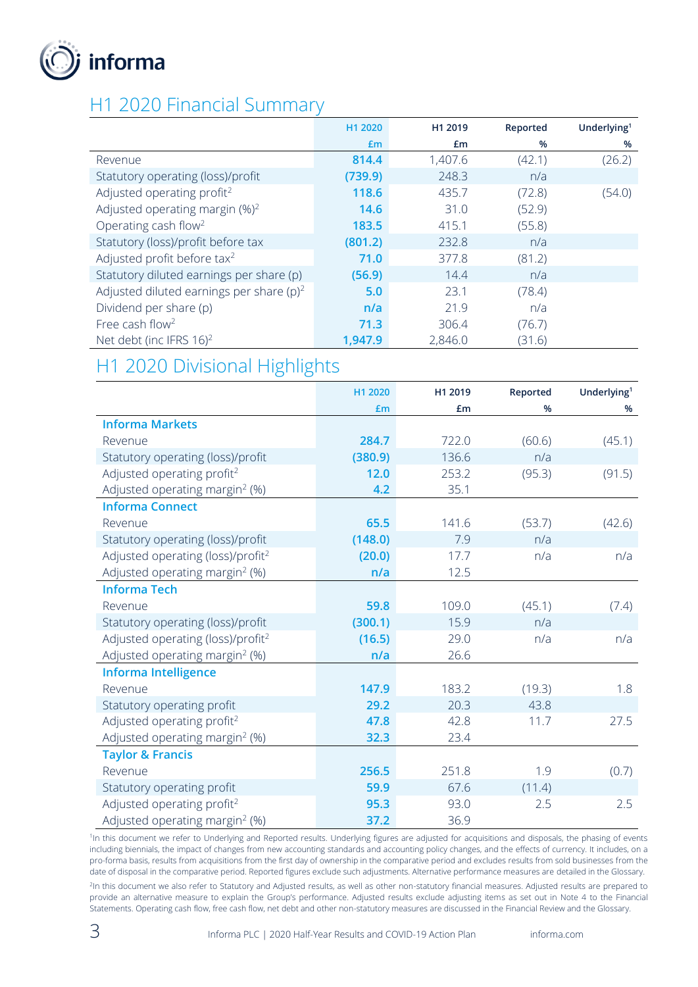

## H1 2020 Financial Summary

|                                             | H1 2020 | H1 2019 | Reported | Underlying <sup>1</sup> |
|---------------------------------------------|---------|---------|----------|-------------------------|
|                                             | £m      | £m      | $\%$     | $\%$                    |
| Revenue                                     | 814.4   | 1,407.6 | (42.1)   | (26.2)                  |
| Statutory operating (loss)/profit           | (739.9) | 248.3   | n/a      |                         |
| Adjusted operating profit <sup>2</sup>      | 118.6   | 435.7   | (72.8)   | (54.0)                  |
| Adjusted operating margin $(\%)^2$          | 14.6    | 31.0    | (52.9)   |                         |
| Operating cash flow <sup>2</sup>            | 183.5   | 415.1   | (55.8)   |                         |
| Statutory (loss)/profit before tax          | (801.2) | 232.8   | n/a      |                         |
| Adjusted profit before $tax^2$              | 71.0    | 377.8   | (81.2)   |                         |
| Statutory diluted earnings per share (p)    | (56.9)  | 14.4    | n/a      |                         |
| Adjusted diluted earnings per share $(p)^2$ | 5.0     | 23.1    | (78.4)   |                         |
| Dividend per share (p)                      | n/a     | 21.9    | n/a      |                         |
| Free cash flow <sup>2</sup>                 | 71.3    | 306.4   | (76.7)   |                         |
| Net debt (inc IFRS 16) <sup>2</sup>         | 1,947.9 | 2,846.0 | (31.6)   |                         |

## H1 2020 Divisional Highlights

|                                               | H1 2020 | H1 2019 | Reported | Underlying <sup>1</sup> |
|-----------------------------------------------|---------|---------|----------|-------------------------|
|                                               | £m      | £m      | %        | %                       |
| <b>Informa Markets</b>                        |         |         |          |                         |
| Revenue                                       | 284.7   | 722.0   | (60.6)   | (45.1)                  |
| Statutory operating (loss)/profit             | (380.9) | 136.6   | n/a      |                         |
| Adjusted operating profit <sup>2</sup>        | 12.0    | 253.2   | (95.3)   | (91.5)                  |
| Adjusted operating margin <sup>2</sup> (%)    | 4.2     | 35.1    |          |                         |
| <b>Informa Connect</b>                        |         |         |          |                         |
| Revenue                                       | 65.5    | 141.6   | (53.7)   | (42.6)                  |
| Statutory operating (loss)/profit             | (148.0) | 7.9     | n/a      |                         |
| Adjusted operating (loss)/profit <sup>2</sup> | (20.0)  | 17.7    | n/a      | n/a                     |
| Adjusted operating margin <sup>2</sup> (%)    | n/a     | 12.5    |          |                         |
| <b>Informa Tech</b>                           |         |         |          |                         |
| Revenue                                       | 59.8    | 109.0   | (45.1)   | (7.4)                   |
| Statutory operating (loss)/profit             | (300.1) | 15.9    | n/a      |                         |
| Adjusted operating (loss)/profit <sup>2</sup> | (16.5)  | 29.0    | n/a      | n/a                     |
| Adjusted operating margin <sup>2</sup> (%)    | n/a     | 26.6    |          |                         |
| <b>Informa Intelligence</b>                   |         |         |          |                         |
| Revenue                                       | 147.9   | 183.2   | (19.3)   | 1.8                     |
| Statutory operating profit                    | 29.2    | 20.3    | 43.8     |                         |
| Adjusted operating profit <sup>2</sup>        | 47.8    | 42.8    | 11.7     | 27.5                    |
| Adjusted operating margin <sup>2</sup> (%)    | 32.3    | 23.4    |          |                         |
| <b>Taylor &amp; Francis</b>                   |         |         |          |                         |
| Revenue                                       | 256.5   | 251.8   | 1.9      | (0.7)                   |
| Statutory operating profit                    | 59.9    | 67.6    | (11.4)   |                         |
| Adjusted operating profit <sup>2</sup>        | 95.3    | 93.0    | 2.5      | 2.5                     |
| Adjusted operating margin <sup>2</sup> (%)    | 37.2    | 36.9    |          |                         |

1 In this document we refer to Underlying and Reported results. Underlying figures are adjusted for acquisitions and disposals, the phasing of events including biennials, the impact of changes from new accounting standards and accounting policy changes, and the effects of currency. It includes, on a pro-forma basis, results from acquisitions from the first day of ownership in the comparative period and excludes results from sold businesses from the date of disposal in the comparative period. Reported figures exclude such adjustments. Alternative performance measures are detailed in the Glossary.

2 In this document we also refer to Statutory and Adjusted results, as well as other non-statutory financial measures. Adjusted results are prepared to provide an alternative measure to explain the Group's performance. Adjusted results exclude adjusting items as set out in Note 4 to the Financial Statements. Operating cash flow, free cash flow, net debt and other non-statutory measures are discussed in the Financial Review and the Glossary.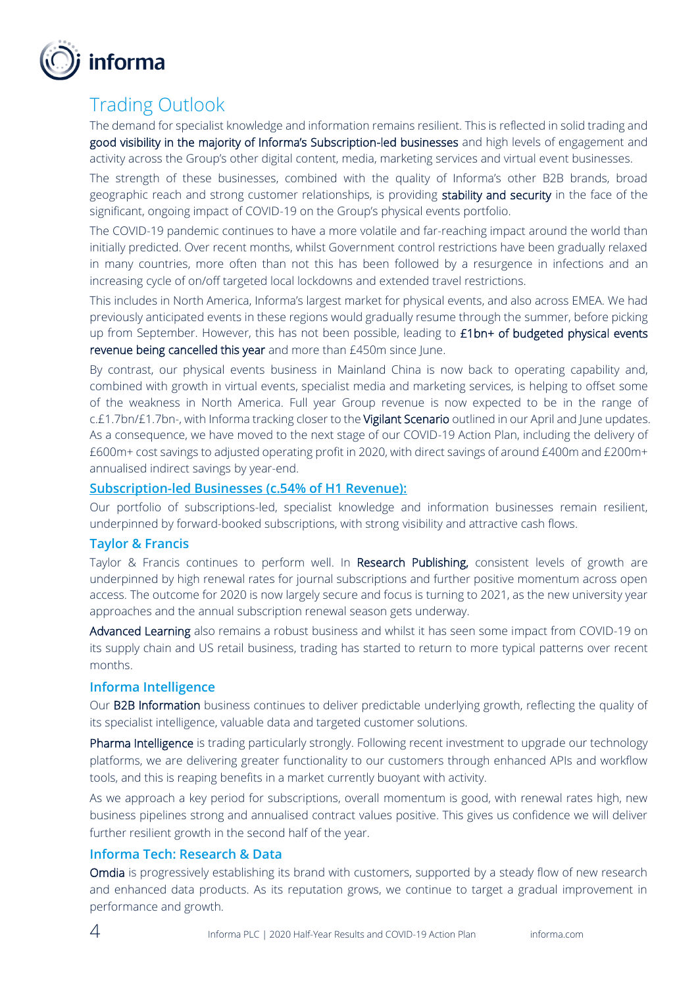

## Trading Outlook

The demand for specialist knowledge and information remains resilient. This is reflected in solid trading and good visibility in the majority of Informa's Subscription-led businesses and high levels of engagement and activity across the Group's other digital content, media, marketing services and virtual event businesses.

The strength of these businesses, combined with the quality of Informa's other B2B brands, broad geographic reach and strong customer relationships, is providing stability and security in the face of the significant, ongoing impact of COVID-19 on the Group's physical events portfolio.

The COVID-19 pandemic continues to have a more volatile and far-reaching impact around the world than initially predicted. Over recent months, whilst Government control restrictions have been gradually relaxed in many countries, more often than not this has been followed by a resurgence in infections and an increasing cycle of on/off targeted local lockdowns and extended travel restrictions.

This includes in North America, Informa's largest market for physical events, and also across EMEA. We had previously anticipated events in these regions would gradually resume through the summer, before picking up from September. However, this has not been possible, leading to £1bn+ of budgeted physical events revenue being cancelled this year and more than £450m since June.

By contrast, our physical events business in Mainland China is now back to operating capability and, combined with growth in virtual events, specialist media and marketing services, is helping to offset some of the weakness in North America. Full year Group revenue is now expected to be in the range of c.£1.7bn/£1.7bn-, with Informa tracking closer to the Vigilant Scenario outlined in our April and June updates. As a consequence, we have moved to the next stage of our COVID-19 Action Plan, including the delivery of £600m+ cost savings to adjusted operating profit in 2020, with direct savings of around £400m and £200m+ annualised indirect savings by year-end.

## **Subscription-led Businesses (c.54% of H1 Revenue):**

Our portfolio of subscriptions-led, specialist knowledge and information businesses remain resilient, underpinned by forward-booked subscriptions, with strong visibility and attractive cash flows.

## **Taylor & Francis**

Taylor & Francis continues to perform well. In Research Publishing, consistent levels of growth are underpinned by high renewal rates for journal subscriptions and further positive momentum across open access. The outcome for 2020 is now largely secure and focus is turning to 2021, as the new university year approaches and the annual subscription renewal season gets underway.

Advanced Learning also remains a robust business and whilst it has seen some impact from COVID-19 on its supply chain and US retail business, trading has started to return to more typical patterns over recent months.

## **Informa Intelligence**

Our B2B Information business continues to deliver predictable underlying growth, reflecting the quality of its specialist intelligence, valuable data and targeted customer solutions.

Pharma Intelligence is trading particularly strongly. Following recent investment to upgrade our technology platforms, we are delivering greater functionality to our customers through enhanced APIs and workflow tools, and this is reaping benefits in a market currently buoyant with activity.

As we approach a key period for subscriptions, overall momentum is good, with renewal rates high, new business pipelines strong and annualised contract values positive. This gives us confidence we will deliver further resilient growth in the second half of the year.

## **Informa Tech: Research & Data**

Omdia is progressively establishing its brand with customers, supported by a steady flow of new research and enhanced data products. As its reputation grows, we continue to target a gradual improvement in performance and growth.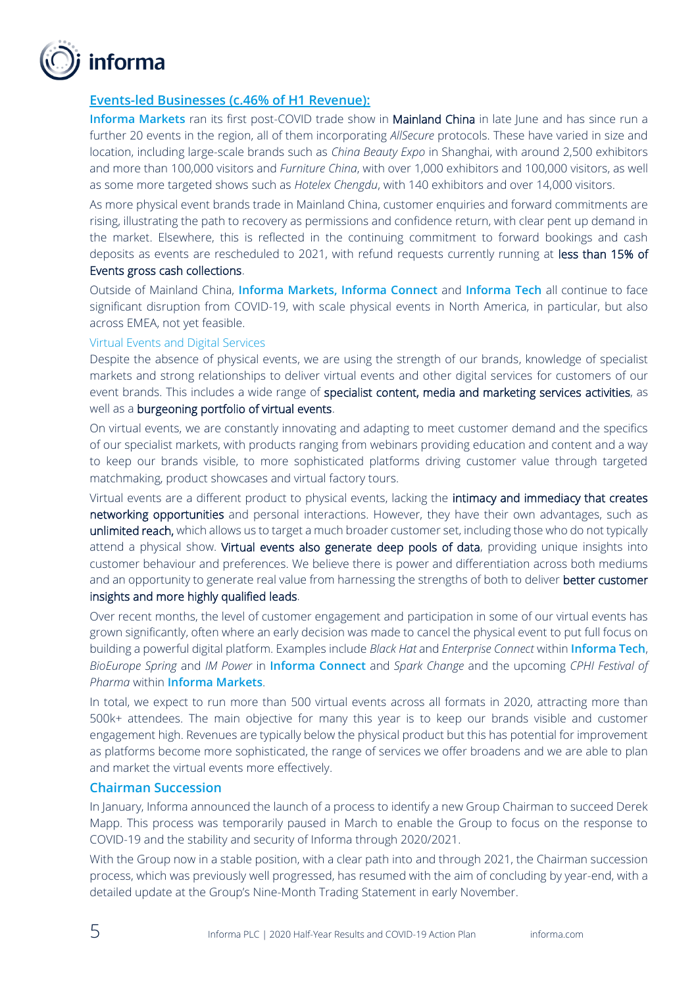

## **Events-led Businesses (c.46% of H1 Revenue):**

**Informa Markets** ran its first post-COVID trade show in Mainland China in late June and has since run a further 20 events in the region, all of them incorporating *AllSecure* protocols. These have varied in size and location, including large-scale brands such as *China Beauty Expo* in Shanghai, with around 2,500 exhibitors and more than 100,000 visitors and *Furniture China*, with over 1,000 exhibitors and 100,000 visitors, as well as some more targeted shows such as *Hotelex Chengdu*, with 140 exhibitors and over 14,000 visitors.

As more physical event brands trade in Mainland China, customer enquiries and forward commitments are rising, illustrating the path to recovery as permissions and confidence return, with clear pent up demand in the market. Elsewhere, this is reflected in the continuing commitment to forward bookings and cash deposits as events are rescheduled to 2021, with refund requests currently running at less than 15% of Events gross cash collections.

Outside of Mainland China, **Informa Markets, Informa Connect** and **Informa Tech** all continue to face significant disruption from COVID-19, with scale physical events in North America, in particular, but also across EMEA, not yet feasible.

#### Virtual Events and Digital Services

Despite the absence of physical events, we are using the strength of our brands, knowledge of specialist markets and strong relationships to deliver virtual events and other digital services for customers of our event brands. This includes a wide range of specialist content, media and marketing services activities, as well as a burgeoning portfolio of virtual events.

On virtual events, we are constantly innovating and adapting to meet customer demand and the specifics of our specialist markets, with products ranging from webinars providing education and content and a way to keep our brands visible, to more sophisticated platforms driving customer value through targeted matchmaking, product showcases and virtual factory tours.

Virtual events are a different product to physical events, lacking the intimacy and immediacy that creates networking opportunities and personal interactions. However, they have their own advantages, such as unlimited reach, which allows us to target a much broader customer set, including those who do not typically attend a physical show. Virtual events also generate deep pools of data, providing unique insights into customer behaviour and preferences. We believe there is power and differentiation across both mediums and an opportunity to generate real value from harnessing the strengths of both to deliver better customer insights and more highly qualified leads.

Over recent months, the level of customer engagement and participation in some of our virtual events has grown significantly, often where an early decision was made to cancel the physical event to put full focus on building a powerful digital platform. Examples include *Black Hat* and *Enterprise Connect* within **Informa Tech**, *BioEurope Spring* and *IM Power* in **Informa Connect** and *Spark Change* and the upcoming *CPHI Festival of Pharma* within **Informa Markets**.

In total, we expect to run more than 500 virtual events across all formats in 2020, attracting more than 500k+ attendees. The main objective for many this year is to keep our brands visible and customer engagement high. Revenues are typically below the physical product but this has potential for improvement as platforms become more sophisticated, the range of services we offer broadens and we are able to plan and market the virtual events more effectively.

## **Chairman Succession**

In January, Informa announced the launch of a process to identify a new Group Chairman to succeed Derek Mapp. This process was temporarily paused in March to enable the Group to focus on the response to COVID-19 and the stability and security of Informa through 2020/2021.

With the Group now in a stable position, with a clear path into and through 2021, the Chairman succession process, which was previously well progressed, has resumed with the aim of concluding by year-end, with a detailed update at the Group's Nine-Month Trading Statement in early November.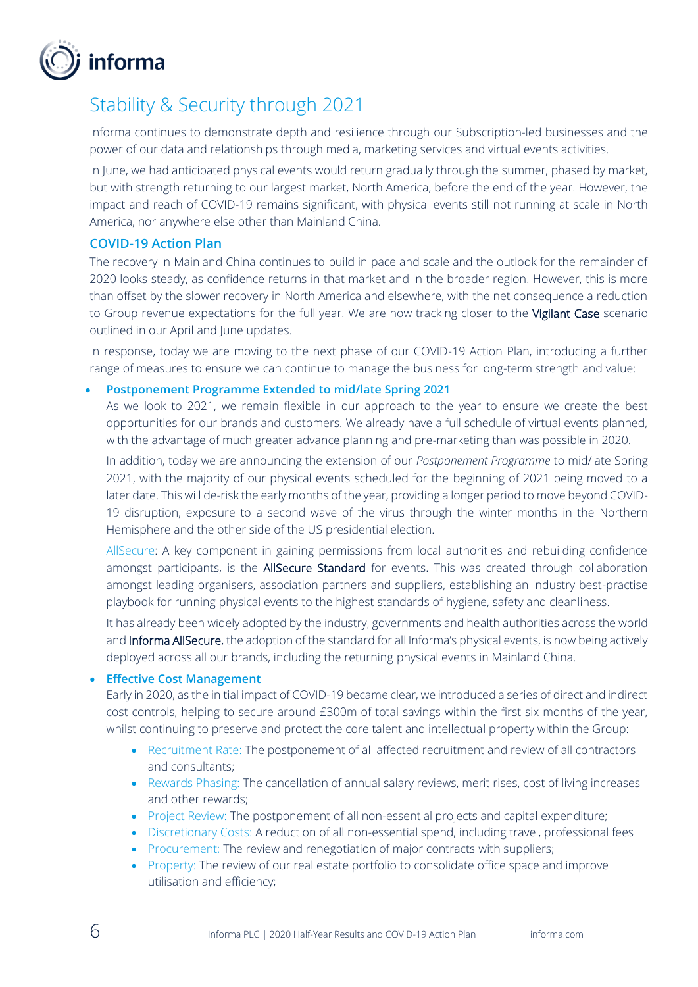

## Stability & Security through 2021

Informa continues to demonstrate depth and resilience through our Subscription-led businesses and the power of our data and relationships through media, marketing services and virtual events activities.

In June, we had anticipated physical events would return gradually through the summer, phased by market, but with strength returning to our largest market, North America, before the end of the year. However, the impact and reach of COVID-19 remains significant, with physical events still not running at scale in North America, nor anywhere else other than Mainland China.

## **COVID-19 Action Plan**

The recovery in Mainland China continues to build in pace and scale and the outlook for the remainder of 2020 looks steady, as confidence returns in that market and in the broader region. However, this is more than offset by the slower recovery in North America and elsewhere, with the net consequence a reduction to Group revenue expectations for the full year. We are now tracking closer to the Vigilant Case scenario outlined in our April and June updates.

In response, today we are moving to the next phase of our COVID-19 Action Plan, introducing a further range of measures to ensure we can continue to manage the business for long-term strength and value:

#### • **Postponement Programme Extended to mid/late Spring 2021**

As we look to 2021, we remain flexible in our approach to the year to ensure we create the best opportunities for our brands and customers. We already have a full schedule of virtual events planned, with the advantage of much greater advance planning and pre-marketing than was possible in 2020.

In addition, today we are announcing the extension of our *Postponement Programme* to mid/late Spring 2021, with the majority of our physical events scheduled for the beginning of 2021 being moved to a later date. This will de-risk the early months of the year, providing a longer period to move beyond COVID-19 disruption, exposure to a second wave of the virus through the winter months in the Northern Hemisphere and the other side of the US presidential election.

AllSecure: A key component in gaining permissions from local authorities and rebuilding confidence amongst participants, is the **AllSecure Standard** for events. This was created through collaboration amongst leading organisers, association partners and suppliers, establishing an industry best-practise playbook for running physical events to the highest standards of hygiene, safety and cleanliness.

It has already been widely adopted by the industry, governments and health authorities across the world and Informa AllSecure, the adoption of the standard for all Informa's physical events, is now being actively deployed across all our brands, including the returning physical events in Mainland China.

#### • **Effective Cost Management**

Early in 2020, as the initial impact of COVID-19 became clear, we introduced a series of direct and indirect cost controls, helping to secure around £300m of total savings within the first six months of the year, whilst continuing to preserve and protect the core talent and intellectual property within the Group:

- Recruitment Rate: The postponement of all affected recruitment and review of all contractors and consultants;
- Rewards Phasing: The cancellation of annual salary reviews, merit rises, cost of living increases and other rewards;
- Project Review: The postponement of all non-essential projects and capital expenditure;
- Discretionary Costs: A reduction of all non-essential spend, including travel, professional fees
- Procurement: The review and renegotiation of major contracts with suppliers;
- Property: The review of our real estate portfolio to consolidate office space and improve utilisation and efficiency;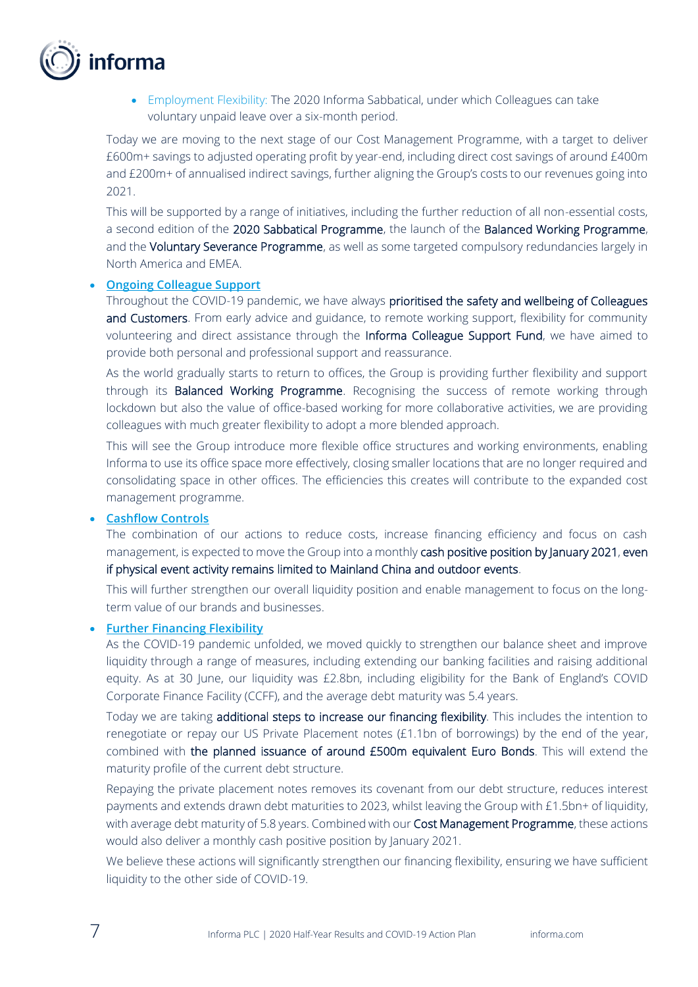

• Employment Flexibility: The 2020 Informa Sabbatical, under which Colleagues can take voluntary unpaid leave over a six-month period.

Today we are moving to the next stage of our Cost Management Programme, with a target to deliver £600m+ savings to adjusted operating profit by year-end, including direct cost savings of around £400m and £200m+ of annualised indirect savings, further aligning the Group's costs to our revenues going into 2021.

This will be supported by a range of initiatives, including the further reduction of all non-essential costs, a second edition of the 2020 Sabbatical Programme, the launch of the Balanced Working Programme, and the Voluntary Severance Programme, as well as some targeted compulsory redundancies largely in North America and EMEA.

#### • **Ongoing Colleague Support**

Throughout the COVID-19 pandemic, we have always prioritised the safety and wellbeing of Colleagues and Customers. From early advice and guidance, to remote working support, flexibility for community volunteering and direct assistance through the Informa Colleague Support Fund, we have aimed to provide both personal and professional support and reassurance.

As the world gradually starts to return to offices, the Group is providing further flexibility and support through its **Balanced Working Programme**. Recognising the success of remote working through lockdown but also the value of office-based working for more collaborative activities, we are providing colleagues with much greater flexibility to adopt a more blended approach.

This will see the Group introduce more flexible office structures and working environments, enabling Informa to use its office space more effectively, closing smaller locations that are no longer required and consolidating space in other offices. The efficiencies this creates will contribute to the expanded cost management programme.

#### • **Cashflow Controls**

The combination of our actions to reduce costs, increase financing efficiency and focus on cash management, is expected to move the Group into a monthly cash positive position by January 2021, even if physical event activity remains limited to Mainland China and outdoor events.

This will further strengthen our overall liquidity position and enable management to focus on the longterm value of our brands and businesses.

#### • **Further Financing Flexibility**

As the COVID-19 pandemic unfolded, we moved quickly to strengthen our balance sheet and improve liquidity through a range of measures, including extending our banking facilities and raising additional equity. As at 30 June, our liquidity was £2.8bn, including eligibility for the Bank of England's COVID Corporate Finance Facility (CCFF), and the average debt maturity was 5.4 years.

Today we are taking additional steps to increase our financing flexibility. This includes the intention to renegotiate or repay our US Private Placement notes (£1.1bn of borrowings) by the end of the year, combined with the planned issuance of around £500m equivalent Euro Bonds. This will extend the maturity profile of the current debt structure.

Repaying the private placement notes removes its covenant from our debt structure, reduces interest payments and extends drawn debt maturities to 2023, whilst leaving the Group with £1.5bn+ of liquidity, with average debt maturity of 5.8 years. Combined with our Cost Management Programme, these actions would also deliver a monthly cash positive position by January 2021.

We believe these actions will significantly strengthen our financing flexibility, ensuring we have sufficient liquidity to the other side of COVID-19.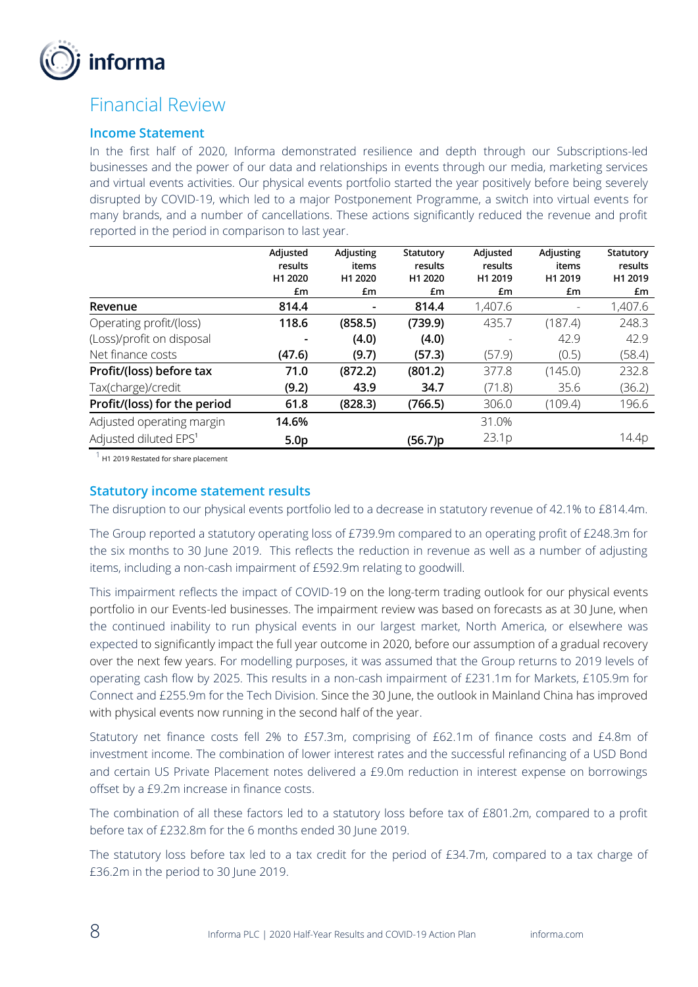

## Financial Review

## **Income Statement**

In the first half of 2020, Informa demonstrated resilience and depth through our Subscriptions-led businesses and the power of our data and relationships in events through our media, marketing services and virtual events activities. Our physical events portfolio started the year positively before being severely disrupted by COVID-19, which led to a major Postponement Programme, a switch into virtual events for many brands, and a number of cancellations. These actions significantly reduced the revenue and profit reported in the period in comparison to last year.

|                                   | Adjusted<br>results | Adjusting<br>items | Statutory<br>results | Adjusted<br>results | Adjusting<br>items | Statutory<br>results |
|-----------------------------------|---------------------|--------------------|----------------------|---------------------|--------------------|----------------------|
|                                   | H1 2020             | H1 2020            | H1 2020              | H1 2019             | H1 2019            | H1 2019              |
|                                   | £m                  | £m                 | £m                   | £m                  | £m                 | £m                   |
| Revenue                           | 814.4               |                    | 814.4                | 1,407.6             |                    | 1,407.6              |
| Operating profit/(loss)           | 118.6               | (858.5)            | (739.9)              | 435.7               | (187.4)            | 248.3                |
| (Loss)/profit on disposal         |                     | (4.0)              | (4.0)                |                     | 42.9               | 42.9                 |
| Net finance costs                 | (47.6)              | (9.7)              | (57.3)               | (57.9)              | (0.5)              | (58.4)               |
| Profit/(loss) before tax          | 71.0                | (872.2)            | (801.2)              | 377.8               | (145.0)            | 232.8                |
| Tax(charge)/credit                | (9.2)               | 43.9               | 34.7                 | (71.8)              | 35.6               | (36.2)               |
| Profit/(loss) for the period      | 61.8                | (828.3)            | (766.5)              | 306.0               | (109.4)            | 196.6                |
| Adjusted operating margin         | 14.6%               |                    |                      | 31.0%               |                    |                      |
| Adjusted diluted EPS <sup>1</sup> | 5.0 <sub>p</sub>    |                    | (56.7)p              | 23.1p               |                    | 14.4p                |

 $<sup>1</sup>$  H1 2019 Restated for share placement</sup>

## **Statutory income statement results**

The disruption to our physical events portfolio led to a decrease in statutory revenue of 42.1% to £814.4m.

The Group reported a statutory operating loss of £739.9m compared to an operating profit of £248.3m for the six months to 30 June 2019. This reflects the reduction in revenue as well as a number of adjusting items, including a non-cash impairment of £592.9m relating to goodwill.

This impairment reflects the impact of COVID-19 on the long-term trading outlook for our physical events portfolio in our Events-led businesses. The impairment review was based on forecasts as at 30 June, when the continued inability to run physical events in our largest market, North America, or elsewhere was expected to significantly impact the full year outcome in 2020, before our assumption of a gradual recovery over the next few years. For modelling purposes, it was assumed that the Group returns to 2019 levels of operating cash flow by 2025. This results in a non-cash impairment of £231.1m for Markets, £105.9m for Connect and £255.9m for the Tech Division. Since the 30 June, the outlook in Mainland China has improved with physical events now running in the second half of the year.

Statutory net finance costs fell 2% to £57.3m, comprising of £62.1m of finance costs and £4.8m of investment income. The combination of lower interest rates and the successful refinancing of a USD Bond and certain US Private Placement notes delivered a £9.0m reduction in interest expense on borrowings offset by a £9.2m increase in finance costs.

The combination of all these factors led to a statutory loss before tax of £801.2m, compared to a profit before tax of £232.8m for the 6 months ended 30 June 2019.

The statutory loss before tax led to a tax credit for the period of £34.7m, compared to a tax charge of £36.2m in the period to 30 June 2019.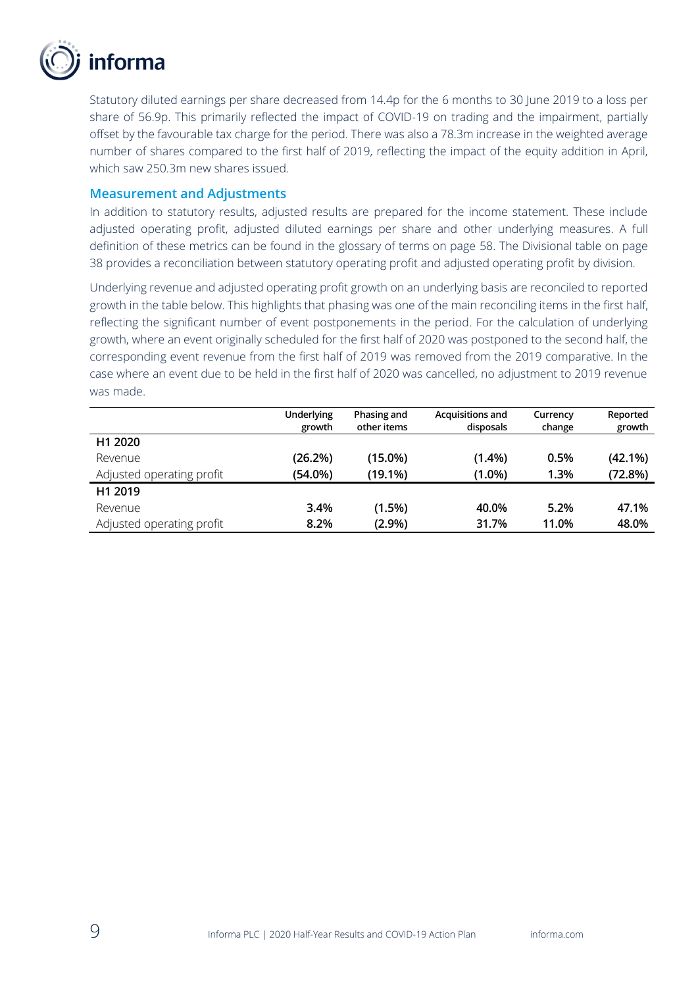

Statutory diluted earnings per share decreased from 14.4p for the 6 months to 30 June 2019 to a loss per share of 56.9p. This primarily reflected the impact of COVID-19 on trading and the impairment, partially offset by the favourable tax charge for the period. There was also a 78.3m increase in the weighted average number of shares compared to the first half of 2019, reflecting the impact of the equity addition in April, which saw 250.3m new shares issued.

#### **Measurement and Adjustments**

In addition to statutory results, adjusted results are prepared for the income statement. These include adjusted operating profit, adjusted diluted earnings per share and other underlying measures. A full definition of these metrics can be found in the glossary of terms on page 58. The Divisional table on page 38 provides a reconciliation between statutory operating profit and adjusted operating profit by division.

Underlying revenue and adjusted operating profit growth on an underlying basis are reconciled to reported growth in the table below. This highlights that phasing was one of the main reconciling items in the first half, reflecting the significant number of event postponements in the period. For the calculation of underlying growth, where an event originally scheduled for the first half of 2020 was postponed to the second half, the corresponding event revenue from the first half of 2019 was removed from the 2019 comparative. In the case where an event due to be held in the first half of 2020 was cancelled, no adjustment to 2019 revenue was made.

|                           | Underlying<br>growth | Phasing and<br>other items | Acquisitions and<br>disposals | Currency<br>change | Reported<br>growth |
|---------------------------|----------------------|----------------------------|-------------------------------|--------------------|--------------------|
| H1 2020                   |                      |                            |                               |                    |                    |
| Revenue                   | (26.2%)              | $(15.0\%)$                 | $(1.4\%)$                     | 0.5%               | (42.1%)            |
| Adjusted operating profit | (54.0%)              | $(19.1\%)$                 | $(1.0\%)$                     | 1.3%               | (72.8%)            |
| H1 2019                   |                      |                            |                               |                    |                    |
| Revenue                   | 3.4%                 | $(1.5\%)$                  | 40.0%                         | 5.2%               | 47.1%              |
| Adjusted operating profit | 8.2%                 | (2.9%)                     | 31.7%                         | 11.0%              | 48.0%              |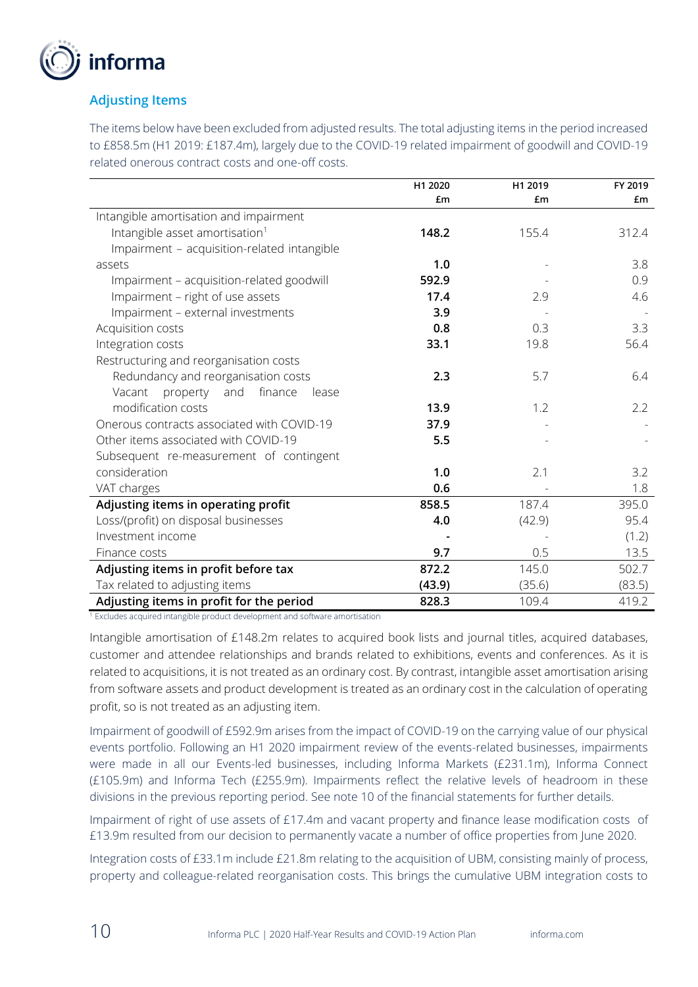

## **Adjusting Items**

The items below have been excluded from adjusted results. The total adjusting items in the period increased to £858.5m (H1 2019: £187.4m), largely due to the COVID-19 related impairment of goodwill and COVID-19 related onerous contract costs and one-off costs.

|                                               | H1 2020 | H1 2019 | FY 2019 |
|-----------------------------------------------|---------|---------|---------|
|                                               | £m      | £m      | £m      |
| Intangible amortisation and impairment        |         |         |         |
| Intangible asset amortisation <sup>1</sup>    | 148.2   | 155.4   | 312.4   |
| Impairment - acquisition-related intangible   |         |         |         |
| assets                                        | 1.0     |         | 3.8     |
| Impairment - acquisition-related goodwill     | 592.9   |         | 0.9     |
| Impairment - right of use assets              | 17.4    | 2.9     | 4.6     |
| Impairment - external investments             | 3.9     |         |         |
| Acquisition costs                             | 0.8     | 0.3     | 3.3     |
| Integration costs                             | 33.1    | 19.8    | 56.4    |
| Restructuring and reorganisation costs        |         |         |         |
| Redundancy and reorganisation costs           | 2.3     | 5.7     | 6.4     |
| finance<br>Vacant<br>property<br>and<br>lease |         |         |         |
| modification costs                            | 13.9    | 1.2     | 2.2     |
| Onerous contracts associated with COVID-19    | 37.9    |         |         |
| Other items associated with COVID-19          | 5.5     |         |         |
| Subsequent re-measurement of contingent       |         |         |         |
| consideration                                 | 1.0     | 2.1     | 3.2     |
| VAT charges                                   | 0.6     |         | 1.8     |
| Adjusting items in operating profit           | 858.5   | 187.4   | 395.0   |
| Loss/(profit) on disposal businesses          | 4.0     | (42.9)  | 95.4    |
| Investment income                             |         |         | (1.2)   |
| Finance costs                                 | 9.7     | 0.5     | 13.5    |
| Adjusting items in profit before tax          | 872.2   | 145.0   | 502.7   |
| Tax related to adjusting items                | (43.9)  | (35.6)  | (83.5)  |
| Adjusting items in profit for the period      | 828.3   | 109.4   | 419.2   |

<sup>1</sup> Excludes acquired intangible product development and software amortisation

Intangible amortisation of £148.2m relates to acquired book lists and journal titles, acquired databases, customer and attendee relationships and brands related to exhibitions, events and conferences. As it is related to acquisitions, it is not treated as an ordinary cost. By contrast, intangible asset amortisation arising from software assets and product development is treated as an ordinary cost in the calculation of operating profit, so is not treated as an adjusting item.

Impairment of goodwill of £592.9m arises from the impact of COVID-19 on the carrying value of our physical events portfolio. Following an H1 2020 impairment review of the events-related businesses, impairments were made in all our Events-led businesses, including Informa Markets (£231.1m), Informa Connect (£105.9m) and Informa Tech (£255.9m). Impairments reflect the relative levels of headroom in these divisions in the previous reporting period. See note 10 of the financial statements for further details.

Impairment of right of use assets of £17.4m and vacant property and finance lease modification costs of £13.9m resulted from our decision to permanently vacate a number of office properties from June 2020.

Integration costs of £33.1m include £21.8m relating to the acquisition of UBM, consisting mainly of process, property and colleague-related reorganisation costs. This brings the cumulative UBM integration costs to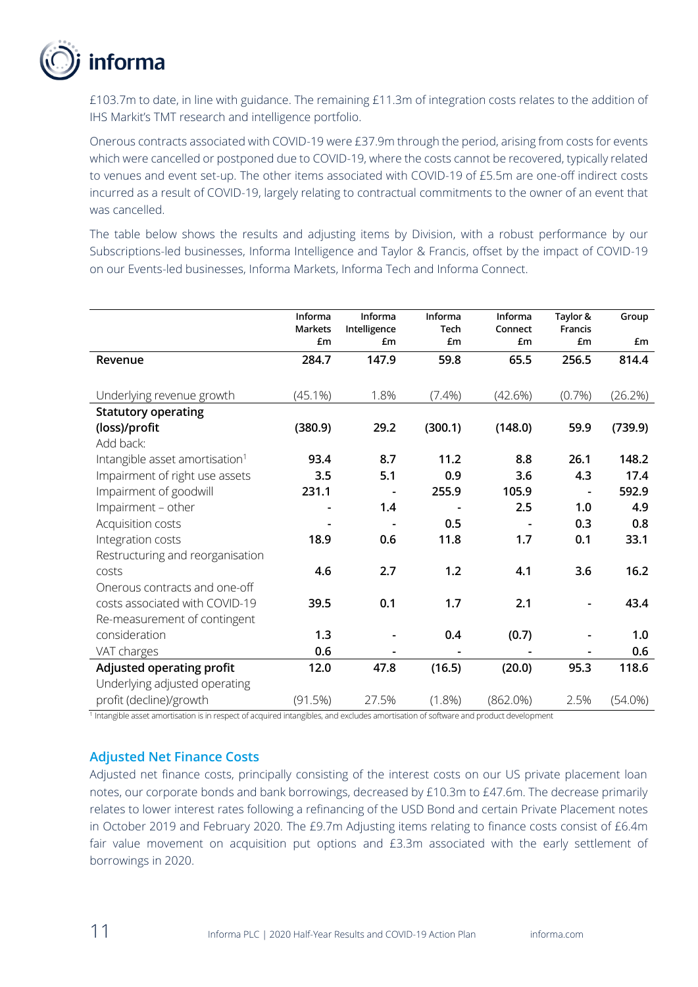

£103.7m to date, in line with guidance. The remaining £11.3m of integration costs relates to the addition of IHS Markit's TMT research and intelligence portfolio.

Onerous contracts associated with COVID-19 were £37.9m through the period, arising from costs for events which were cancelled or postponed due to COVID-19, where the costs cannot be recovered, typically related to venues and event set-up. The other items associated with COVID-19 of £5.5m are one-off indirect costs incurred as a result of COVID-19, largely relating to contractual commitments to the owner of an event that was cancelled.

The table below shows the results and adjusting items by Division, with a robust performance by our Subscriptions-led businesses, Informa Intelligence and Taylor & Francis, offset by the impact of COVID-19 on our Events-led businesses, Informa Markets, Informa Tech and Informa Connect.

|                                            | Informa<br><b>Markets</b> | Informa<br>Intelligence | Informa<br><b>Tech</b> | Informa<br>Connect | Taylor &<br>Francis      | Group      |
|--------------------------------------------|---------------------------|-------------------------|------------------------|--------------------|--------------------------|------------|
|                                            | £m                        | £m                      | £m                     | £m                 | £m                       | £m         |
| Revenue                                    | 284.7                     | 147.9                   | 59.8                   | 65.5               | 256.5                    | 814.4      |
|                                            |                           |                         |                        |                    |                          |            |
| Underlying revenue growth                  | $(45.1\%)$                | 1.8%                    | $(7.4\%)$              | $(42.6\%)$         | (0.7%)                   | (26.2%)    |
| <b>Statutory operating</b>                 |                           |                         |                        |                    |                          |            |
| (loss)/profit                              | (380.9)                   | 29.2                    | (300.1)                | (148.0)            | 59.9                     | (739.9)    |
| Add back:                                  |                           |                         |                        |                    |                          |            |
| Intangible asset amortisation <sup>1</sup> | 93.4                      | 8.7                     | 11.2                   | 8.8                | 26.1                     | 148.2      |
| Impairment of right use assets             | 3.5                       | 5.1                     | 0.9                    | 3.6                | 4.3                      | 17.4       |
| Impairment of goodwill                     | 231.1                     |                         | 255.9                  | 105.9              | $\overline{\phantom{a}}$ | 592.9      |
| Impairment - other                         |                           | 1.4                     |                        | 2.5                | 1.0                      | 4.9        |
| Acquisition costs                          |                           |                         | 0.5                    |                    | 0.3                      | 0.8        |
| Integration costs                          | 18.9                      | 0.6                     | 11.8                   | 1.7                | 0.1                      | 33.1       |
| Restructuring and reorganisation           |                           |                         |                        |                    |                          |            |
| costs                                      | 4.6                       | 2.7                     | 1.2                    | 4.1                | 3.6                      | 16.2       |
| Onerous contracts and one-off              |                           |                         |                        |                    |                          |            |
| costs associated with COVID-19             | 39.5                      | 0.1                     | 1.7                    | 2.1                |                          | 43.4       |
| Re-measurement of contingent               |                           |                         |                        |                    |                          |            |
| consideration                              | 1.3                       |                         | 0.4                    | (0.7)              |                          | 1.0        |
| VAT charges                                | 0.6                       |                         |                        |                    |                          | 0.6        |
| Adjusted operating profit                  | 12.0                      | 47.8                    | (16.5)                 | (20.0)             | 95.3                     | 118.6      |
| Underlying adjusted operating              |                           |                         |                        |                    |                          |            |
| profit (decline)/growth                    | (91.5%)                   | 27.5%                   | $(1.8\%)$              | $(862.0\%)$        | 2.5%                     | $(54.0\%)$ |

1 Intangible asset amortisation is in respect of acquired intangibles, and excludes amortisation of software and product development

## **Adjusted Net Finance Costs**

Adjusted net finance costs, principally consisting of the interest costs on our US private placement loan notes, our corporate bonds and bank borrowings, decreased by £10.3m to £47.6m. The decrease primarily relates to lower interest rates following a refinancing of the USD Bond and certain Private Placement notes in October 2019 and February 2020. The £9.7m Adjusting items relating to finance costs consist of £6.4m fair value movement on acquisition put options and £3.3m associated with the early settlement of borrowings in 2020.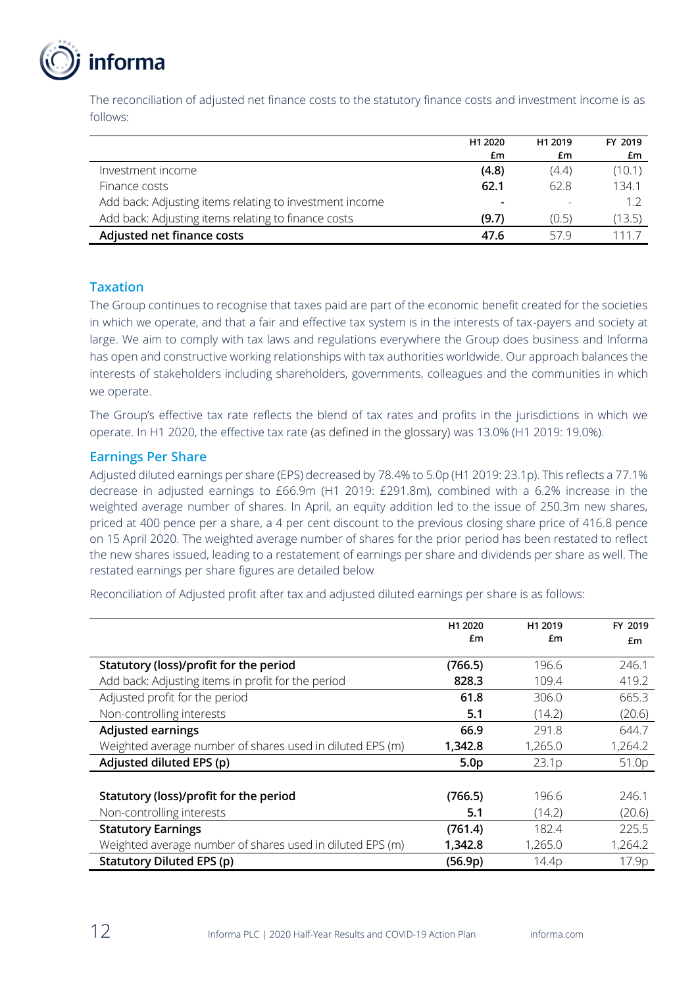

The reconciliation of adjusted net finance costs to the statutory finance costs and investment income is as follows:

|                                                         | H1 2020 | H1 2019 | FY 2019 |
|---------------------------------------------------------|---------|---------|---------|
|                                                         | £m      | £m      | £m      |
| Investment income                                       | (4.8)   | (4.4)   | (10.1)  |
| Finance costs                                           | 62.1    | 62.8    | 134.1   |
| Add back: Adjusting items relating to investment income |         |         | 1.2     |
| Add back: Adjusting items relating to finance costs     | (9.7)   | (0.5)   | (13.5)  |
| Adjusted net finance costs                              | 47.6    | 579     | $11-1$  |

## **Taxation**

The Group continues to recognise that taxes paid are part of the economic benefit created for the societies in which we operate, and that a fair and effective tax system is in the interests of tax-payers and society at large. We aim to comply with tax laws and regulations everywhere the Group does business and Informa has open and constructive working relationships with tax authorities worldwide. Our approach balances the interests of stakeholders including shareholders, governments, colleagues and the communities in which we operate.

The Group's effective tax rate reflects the blend of tax rates and profits in the jurisdictions in which we operate. In H1 2020, the effective tax rate (as defined in the glossary) was 13.0% (H1 2019: 19.0%).

## **Earnings Per Share**

Adjusted diluted earnings per share (EPS) decreased by 78.4% to 5.0p (H1 2019: 23.1p). This reflects a 77.1% decrease in adjusted earnings to £66.9m (H1 2019: £291.8m), combined with a 6.2% increase in the weighted average number of shares. In April, an equity addition led to the issue of 250.3m new shares, priced at 400 pence per a share, a 4 per cent discount to the previous closing share price of 416.8 pence on 15 April 2020. The weighted average number of shares for the prior period has been restated to reflect the new shares issued, leading to a restatement of earnings per share and dividends per share as well. The restated earnings per share figures are detailed below

Reconciliation of Adjusted profit after tax and adjusted diluted earnings per share is as follows:

|                                                           | H1 2020          | H1 2019 | FY 2019 |
|-----------------------------------------------------------|------------------|---------|---------|
|                                                           | £m               | £m      | £m      |
| Statutory (loss)/profit for the period                    | (766.5)          | 196.6   | 246.1   |
| Add back: Adjusting items in profit for the period        | 828.3            | 109.4   | 419.2   |
| Adjusted profit for the period                            | 61.8             | 306.0   | 665.3   |
| Non-controlling interests                                 | 5.1              | (14.2)  | (20.6)  |
| <b>Adjusted earnings</b>                                  | 66.9             | 291.8   | 644.7   |
| Weighted average number of shares used in diluted EPS (m) | 1,342.8          | 1,265.0 | 1,264.2 |
| Adjusted diluted EPS (p)                                  | 5.0 <sub>p</sub> | 23.1p   | 51.0p   |
|                                                           |                  |         |         |
| Statutory (loss)/profit for the period                    | (766.5)          | 196.6   | 246.1   |
| Non-controlling interests                                 | 5.1              | (14.2)  | (20.6)  |
| <b>Statutory Earnings</b>                                 | (761.4)          | 182.4   | 225.5   |
| Weighted average number of shares used in diluted EPS (m) | 1,342.8          | 1,265.0 | 1,264.2 |
| <b>Statutory Diluted EPS (p)</b>                          | (56.9p)          | 14.4p   | 17.9p   |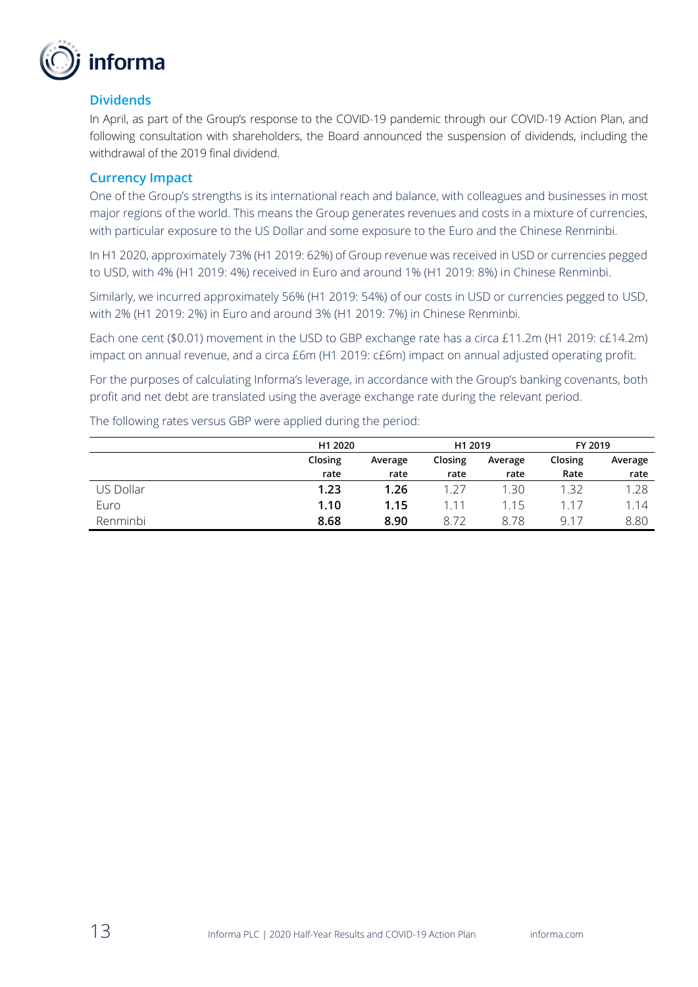

## **Dividends**

In April, as part of the Group's response to the COVID-19 pandemic through our COVID-19 Action Plan, and following consultation with shareholders, the Board announced the suspension of dividends, including the withdrawal of the 2019 final dividend.

## **Currency Impact**

One of the Group's strengths is its international reach and balance, with colleagues and businesses in most major regions of the world. This means the Group generates revenues and costs in a mixture of currencies, with particular exposure to the US Dollar and some exposure to the Euro and the Chinese Renminbi.

In H1 2020, approximately 73% (H1 2019: 62%) of Group revenue was received in USD or currencies pegged to USD, with 4% (H1 2019: 4%) received in Euro and around 1% (H1 2019: 8%) in Chinese Renminbi.

Similarly, we incurred approximately 56% (H1 2019: 54%) of our costs in USD or currencies pegged to USD, with 2% (H1 2019: 2%) in Euro and around 3% (H1 2019: 7%) in Chinese Renminbi.

Each one cent (\$0.01) movement in the USD to GBP exchange rate has a circa £11.2m (H1 2019: c£14.2m) impact on annual revenue, and a circa £6m (H1 2019: c£6m) impact on annual adjusted operating profit.

For the purposes of calculating Informa's leverage, in accordance with the Group's banking covenants, both profit and net debt are translated using the average exchange rate during the relevant period.

The following rates versus GBP were applied during the period:

|           |         | H1 2020 |         | H1 2019 |         | FY 2019 |
|-----------|---------|---------|---------|---------|---------|---------|
|           | Closing | Average | Closing | Average | Closing | Average |
|           | rate    | rate    | rate    | rate    | Rate    | rate    |
| US Dollar | 1.23    | 1.26    | 1.27    | 1.30    | 1.32    | 1.28    |
| Euro      | 1.10    | 1.15    | 1 1 1   | 1.15    | 1.17    | 1.14    |
| Renminbi  | 8.68    | 8.90    | 872     | 8.78    | 9.17    | 8.80    |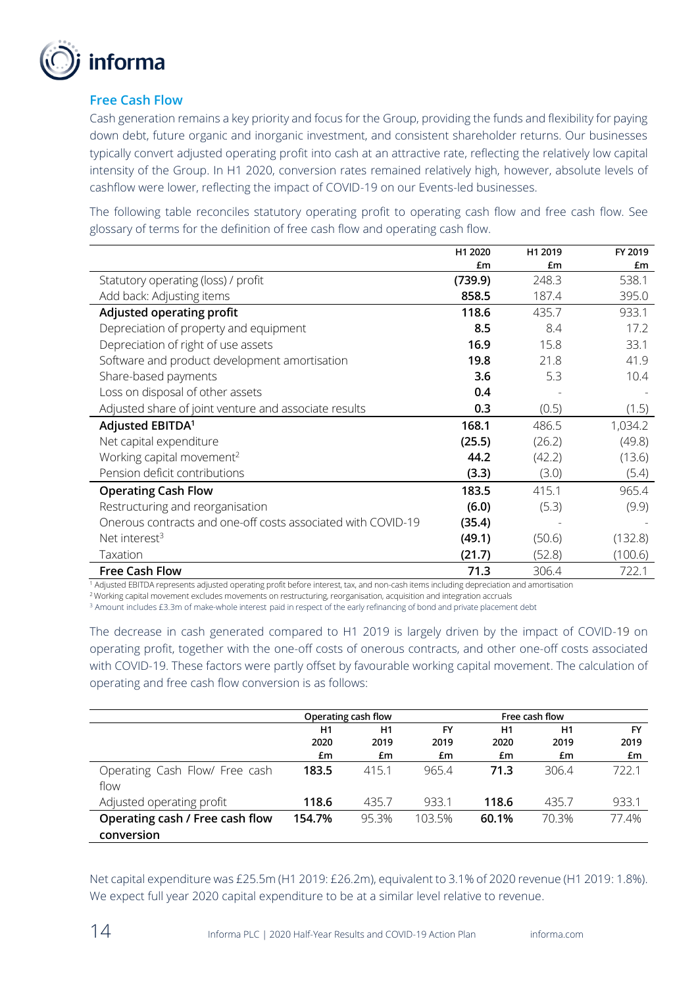

## **Free Cash Flow**

Cash generation remains a key priority and focus for the Group, providing the funds and flexibility for paying down debt, future organic and inorganic investment, and consistent shareholder returns. Our businesses typically convert adjusted operating profit into cash at an attractive rate, reflecting the relatively low capital intensity of the Group. In H1 2020, conversion rates remained relatively high, however, absolute levels of cashflow were lower, reflecting the impact of COVID-19 on our Events-led businesses.

The following table reconciles statutory operating profit to operating cash flow and free cash flow. See glossary of terms for the definition of free cash flow and operating cash flow.

|                                                              | H1 2020 | H1 2019 | FY 2019 |
|--------------------------------------------------------------|---------|---------|---------|
|                                                              | £m      | £m      | £m      |
| Statutory operating (loss) / profit                          | (739.9) | 248.3   | 538.1   |
| Add back: Adjusting items                                    | 858.5   | 187.4   | 395.0   |
| Adjusted operating profit                                    | 118.6   | 435.7   | 933.1   |
| Depreciation of property and equipment                       | 8.5     | 8.4     | 17.2    |
| Depreciation of right of use assets                          | 16.9    | 15.8    | 33.1    |
| Software and product development amortisation                | 19.8    | 21.8    | 41.9    |
| Share-based payments                                         | 3.6     | 5.3     | 10.4    |
| Loss on disposal of other assets                             | 0.4     |         |         |
| Adjusted share of joint venture and associate results        | 0.3     | (0.5)   | (1.5)   |
| Adjusted EBITDA <sup>1</sup>                                 | 168.1   | 486.5   | 1,034.2 |
| Net capital expenditure                                      | (25.5)  | (26.2)  | (49.8)  |
| Working capital movement <sup>2</sup>                        | 44.2    | (42.2)  | (13.6)  |
| Pension deficit contributions                                | (3.3)   | (3.0)   | (5.4)   |
| <b>Operating Cash Flow</b>                                   | 183.5   | 415.1   | 965.4   |
| Restructuring and reorganisation                             | (6.0)   | (5.3)   | (9.9)   |
| Onerous contracts and one-off costs associated with COVID-19 | (35.4)  |         |         |
| Net interest <sup>3</sup>                                    | (49.1)  | (50.6)  | (132.8) |
| Taxation                                                     | (21.7)  | (52.8)  | (100.6) |
| <b>Free Cash Flow</b>                                        | 71.3    | 306.4   | 722.1   |

<sup>1</sup> Adjusted EBITDA represents adjusted operating profit before interest, tax, and non-cash items including depreciation and amortisation

<sup>2</sup>Working capital movement excludes movements on restructuring, reorganisation, acquisition and integration accruals

<sup>3</sup> Amount includes £3.3m of make-whole interest paid in respect of the early refinancing of bond and private placement debt

The decrease in cash generated compared to H1 2019 is largely driven by the impact of COVID-19 on operating profit, together with the one-off costs of onerous contracts, and other one-off costs associated with COVID-19. These factors were partly offset by favourable working capital movement. The calculation of operating and free cash flow conversion is as follows:

|                                 |        | Operating cash flow | Free cash flow |       |       |       |
|---------------------------------|--------|---------------------|----------------|-------|-------|-------|
|                                 | H1     | H1                  | <b>FY</b>      | H1    | H1    | FY    |
|                                 | 2020   | 2019                | 2019           | 2020  | 2019  | 2019  |
|                                 | £m     | £m                  | £m             | £m    | £m    | £m    |
| Operating Cash Flow/ Free cash  | 183.5  | 415.1               | 9654           | 71.3  | 306.4 | 722.1 |
| flow                            |        |                     |                |       |       |       |
| Adjusted operating profit       | 118.6  | 435.7               | 933.1          | 118.6 | 435.7 | 933.1 |
| Operating cash / Free cash flow | 154.7% | 95.3%               | 103.5%         | 60.1% | 70.3% | 77.4% |
| conversion                      |        |                     |                |       |       |       |

Net capital expenditure was £25.5m (H1 2019: £26.2m), equivalent to 3.1% of 2020 revenue (H1 2019: 1.8%). We expect full year 2020 capital expenditure to be at a similar level relative to revenue.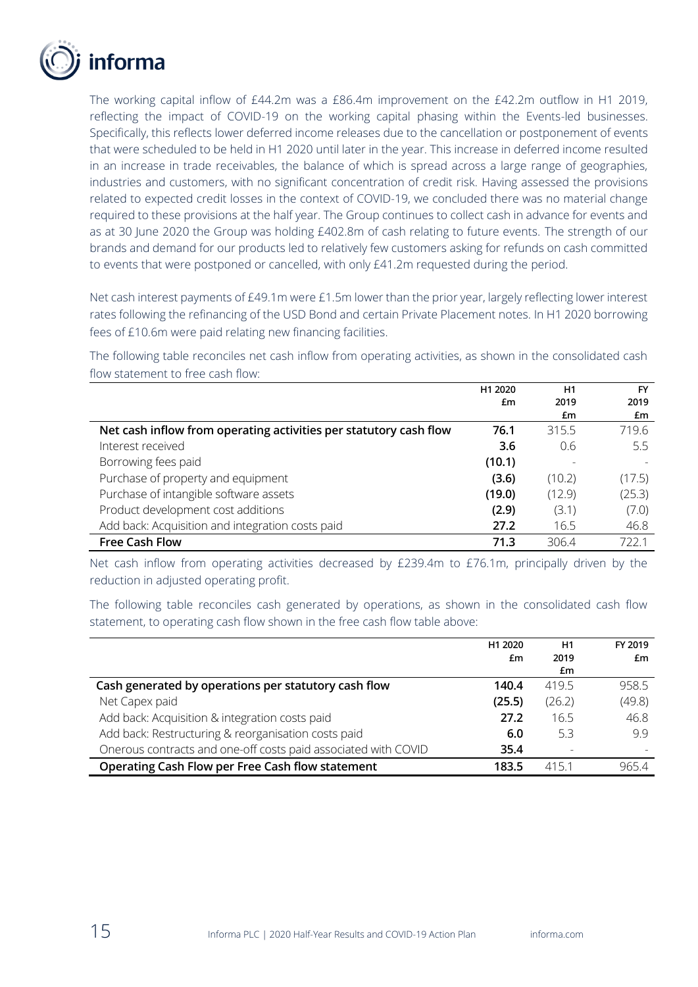

The working capital inflow of £44.2m was a £86.4m improvement on the £42.2m outflow in H1 2019, reflecting the impact of COVID-19 on the working capital phasing within the Events-led businesses. Specifically, this reflects lower deferred income releases due to the cancellation or postponement of events that were scheduled to be held in H1 2020 until later in the year. This increase in deferred income resulted in an increase in trade receivables, the balance of which is spread across a large range of geographies, industries and customers, with no significant concentration of credit risk. Having assessed the provisions related to expected credit losses in the context of COVID-19, we concluded there was no material change required to these provisions at the half year. The Group continues to collect cash in advance for events and as at 30 June 2020 the Group was holding £402.8m of cash relating to future events. The strength of our brands and demand for our products led to relatively few customers asking for refunds on cash committed to events that were postponed or cancelled, with only £41.2m requested during the period.

Net cash interest payments of £49.1m were £1.5m lower than the prior year, largely reflecting lower interest rates following the refinancing of the USD Bond and certain Private Placement notes. In H1 2020 borrowing fees of £10.6m were paid relating new financing facilities.

The following table reconciles net cash inflow from operating activities, as shown in the consolidated cash flow statement to free cash flow:

|                                                                   | H1 2020 | H1                       | FY     |
|-------------------------------------------------------------------|---------|--------------------------|--------|
|                                                                   | £m      | 2019                     | 2019   |
|                                                                   |         | £m                       | £m     |
| Net cash inflow from operating activities per statutory cash flow | 76.1    | 315.5                    | 719.6  |
| Interest received                                                 | 3.6     | 0.6                      | 55     |
| Borrowing fees paid                                               | (10.1)  | $\overline{\phantom{a}}$ |        |
| Purchase of property and equipment                                | (3.6)   | (10.2)                   | (17.5) |
| Purchase of intangible software assets                            | (19.0)  | (12.9)                   | (25.3) |
| Product development cost additions                                | (2.9)   | (3.1)                    | (7.0)  |
| Add back: Acquisition and integration costs paid                  | 27.2    | 16.5                     | 46.8   |
| <b>Free Cash Flow</b>                                             | 71.3    | 306.4                    | 722.1  |

Net cash inflow from operating activities decreased by £239.4m to £76.1m, principally driven by the reduction in adjusted operating profit.

The following table reconciles cash generated by operations, as shown in the consolidated cash flow statement, to operating cash flow shown in the free cash flow table above:

|                                                                | H1 2020 | H1     | FY 2019 |
|----------------------------------------------------------------|---------|--------|---------|
|                                                                | £m      | 2019   | £m      |
|                                                                |         | £m     |         |
| Cash generated by operations per statutory cash flow           | 140.4   | 419.5  | 958.5   |
| Net Capex paid                                                 | (25.5)  | (26.2) | (49.8)  |
| Add back: Acquisition & integration costs paid                 | 27.2    | 16.5   | 46.8    |
| Add back: Restructuring & reorganisation costs paid            | 6.0     | 53     | 99      |
| Onerous contracts and one-off costs paid associated with COVID | 35.4    |        |         |
| Operating Cash Flow per Free Cash flow statement               | 183.5   | 4151   | 965 4   |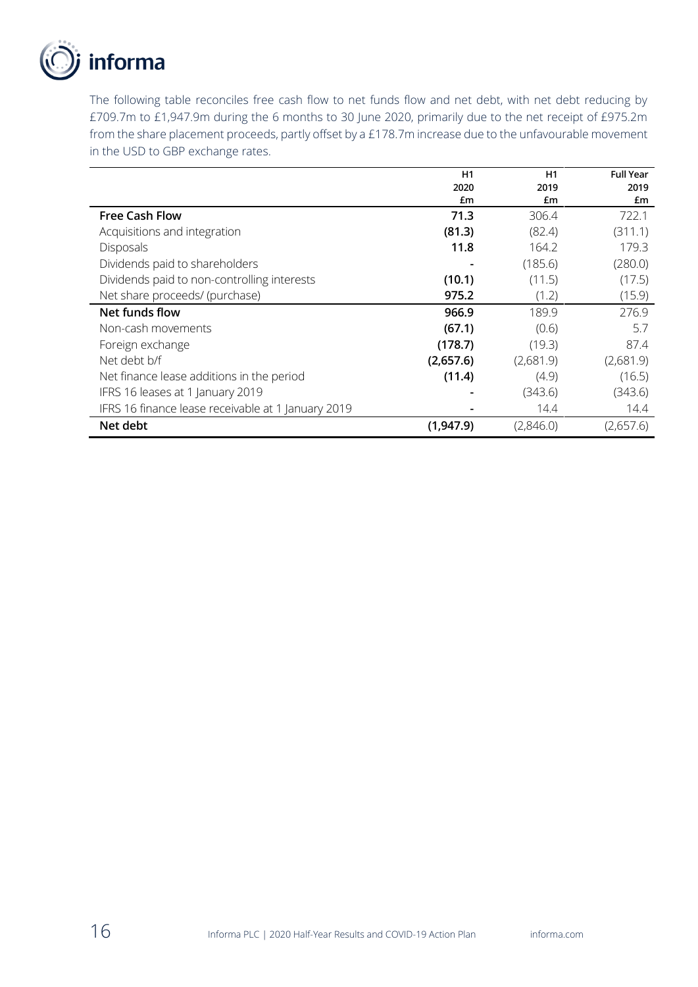

The following table reconciles free cash flow to net funds flow and net debt, with net debt reducing by £709.7m to £1,947.9m during the 6 months to 30 June 2020, primarily due to the net receipt of £975.2m from the share placement proceeds, partly offset by a £178.7m increase due to the unfavourable movement in the USD to GBP exchange rates.

|                                                    | H1         | H1        | <b>Full Year</b> |
|----------------------------------------------------|------------|-----------|------------------|
|                                                    | 2020       | 2019      | 2019             |
|                                                    | £m         | £m        | £m               |
| <b>Free Cash Flow</b>                              | 71.3       | 306.4     | 722.1            |
| Acquisitions and integration                       | (81.3)     | (82.4)    | (311.1)          |
| <b>Disposals</b>                                   | 11.8       | 164.2     | 179.3            |
| Dividends paid to shareholders                     |            | (185.6)   | (280.0)          |
| Dividends paid to non-controlling interests        | (10.1)     | (11.5)    | (17.5)           |
| Net share proceeds/ (purchase)                     | 975.2      | (1.2)     | (15.9)           |
| Net funds flow                                     | 966.9      | 189.9     | 276.9            |
| Non-cash movements                                 | (67.1)     | (0.6)     | 5.7              |
| Foreign exchange                                   | (178.7)    | (19.3)    | 87.4             |
| Net debt b/f                                       | (2,657.6)  | (2,681.9) | (2,681.9)        |
| Net finance lease additions in the period          | (11.4)     | (4.9)     | (16.5)           |
| IFRS 16 leases at 1 January 2019                   |            | (343.6)   | (343.6)          |
| IFRS 16 finance lease receivable at 1 January 2019 |            | 14.4      | 14.4             |
| Net debt                                           | (1, 947.9) | (2,846.0) | (2,657.6)        |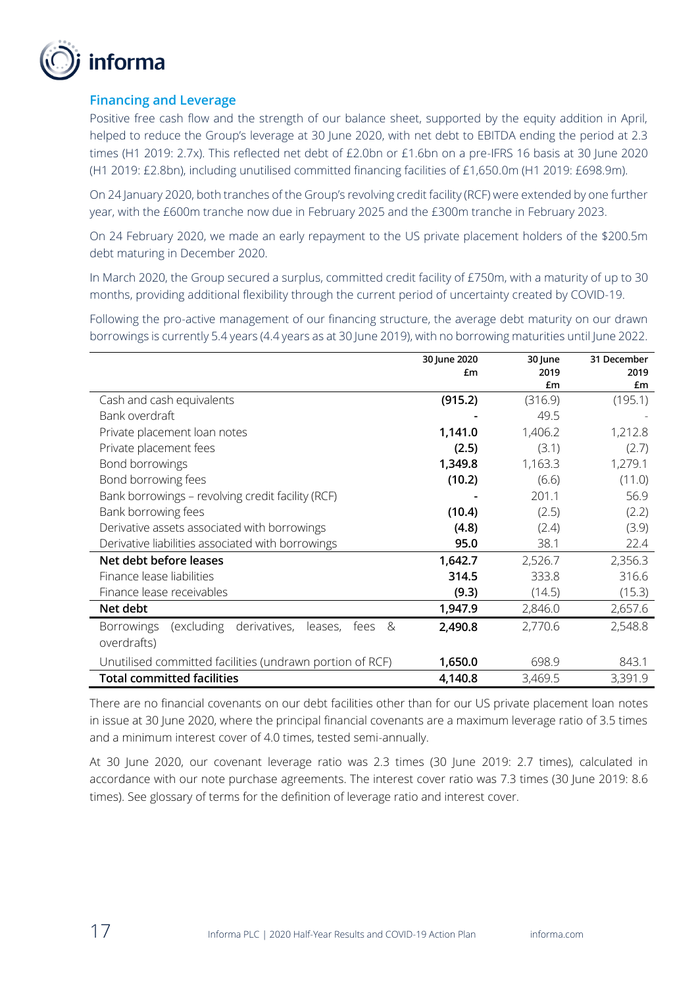

## **Financing and Leverage**

Positive free cash flow and the strength of our balance sheet, supported by the equity addition in April, helped to reduce the Group's leverage at 30 June 2020, with net debt to EBITDA ending the period at 2.3 times (H1 2019: 2.7x). This reflected net debt of £2.0bn or £1.6bn on a pre-IFRS 16 basis at 30 June 2020 (H1 2019: £2.8bn), including unutilised committed financing facilities of £1,650.0m (H1 2019: £698.9m).

On 24 January 2020, both tranches of the Group's revolving credit facility (RCF) were extended by one further year, with the £600m tranche now due in February 2025 and the £300m tranche in February 2023.

On 24 February 2020, we made an early repayment to the US private placement holders of the \$200.5m debt maturing in December 2020.

In March 2020, the Group secured a surplus, committed credit facility of £750m, with a maturity of up to 30 months, providing additional flexibility through the current period of uncertainty created by COVID-19.

Following the pro-active management of our financing structure, the average debt maturity on our drawn borrowings is currently 5.4 years (4.4 years as at 30 June 2019), with no borrowing maturities until June 2022.

|                                                                         | 30 June 2020 | 30 June    | 31 December |
|-------------------------------------------------------------------------|--------------|------------|-------------|
|                                                                         | £m           | 2019<br>£m | 2019<br>£m  |
| Cash and cash equivalents                                               | (915.2)      | (316.9)    | (195.1)     |
| Bank overdraft                                                          |              | 49.5       |             |
| Private placement loan notes                                            | 1,141.0      | 1,406.2    | 1,212.8     |
| Private placement fees                                                  | (2.5)        | (3.1)      | (2.7)       |
| Bond borrowings                                                         | 1,349.8      | 1,163.3    | 1,279.1     |
| Bond borrowing fees                                                     | (10.2)       | (6.6)      | (11.0)      |
| Bank borrowings - revolving credit facility (RCF)                       |              | 201.1      | 56.9        |
| Bank borrowing fees                                                     | (10.4)       | (2.5)      | (2.2)       |
| Derivative assets associated with borrowings                            | (4.8)        | (2.4)      | (3.9)       |
| Derivative liabilities associated with borrowings                       | 95.0         | 38.1       | 22.4        |
| Net debt before leases                                                  | 1,642.7      | 2,526.7    | 2,356.3     |
| Finance lease liabilities                                               | 314.5        | 333.8      | 316.6       |
| Finance lease receivables                                               | (9.3)        | (14.5)     | (15.3)      |
| Net debt                                                                | 1,947.9      | 2,846.0    | 2,657.6     |
| (excluding<br>derivatives,<br><b>Borrowings</b><br>leases,<br>&<br>fees | 2,490.8      | 2,770.6    | 2,548.8     |
| overdrafts)                                                             |              |            |             |
| Unutilised committed facilities (undrawn portion of RCF)                | 1,650.0      | 698.9      | 843.1       |
| <b>Total committed facilities</b>                                       | 4,140.8      | 3,469.5    | 3,391.9     |

There are no financial covenants on our debt facilities other than for our US private placement loan notes in issue at 30 June 2020, where the principal financial covenants are a maximum leverage ratio of 3.5 times and a minimum interest cover of 4.0 times, tested semi-annually.

At 30 June 2020, our covenant leverage ratio was 2.3 times (30 June 2019: 2.7 times), calculated in accordance with our note purchase agreements. The interest cover ratio was 7.3 times (30 June 2019: 8.6 times). See glossary of terms for the definition of leverage ratio and interest cover.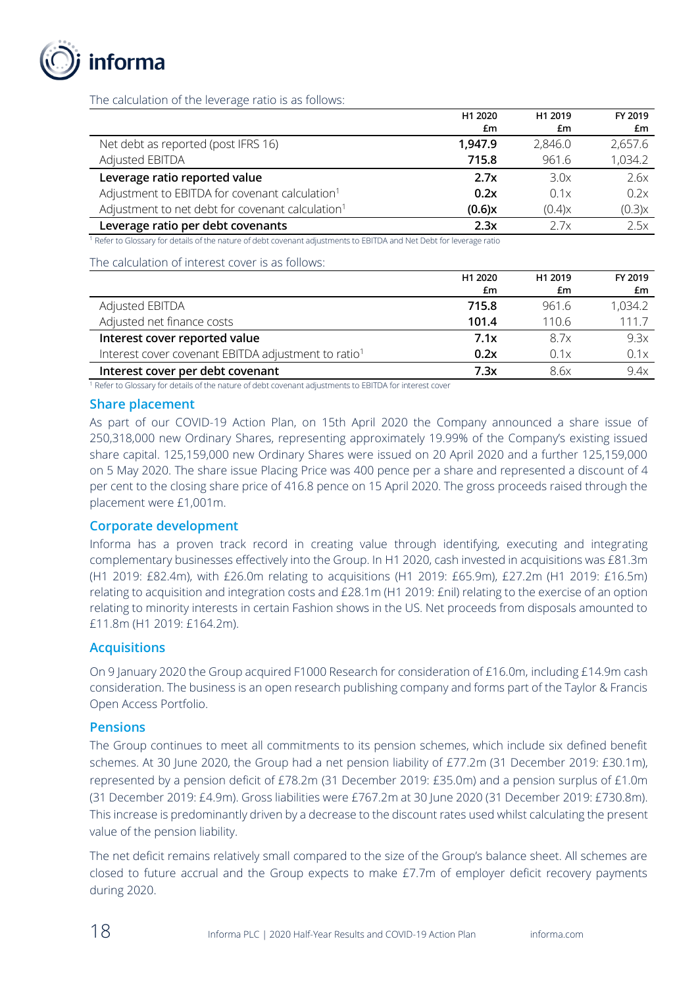

#### The calculation of the leverage ratio is as follows:

|                                                                                                                 | H1 2020 | H1 2019 | FY 2019 |
|-----------------------------------------------------------------------------------------------------------------|---------|---------|---------|
|                                                                                                                 | £m      | £m      | £m      |
| Net debt as reported (post IFRS 16)                                                                             | 1,947.9 | 2,846.0 | 2,657.6 |
| Adjusted EBITDA                                                                                                 | 715.8   | 961.6   | 1,034.2 |
| Leverage ratio reported value                                                                                   | 2.7x    | 3.0x    | 2.6x    |
| Adjustment to EBITDA for covenant calculation <sup>1</sup>                                                      | 0.2x    | 0.1x    | 0.2x    |
| Adjustment to net debt for covenant calculation <sup>1</sup>                                                    | (0.6)x  | (0.4)x  | (0.3)x  |
| Leverage ratio per debt covenants                                                                               | 2.3x    | 2.7x    | 2.5x    |
| The Control of Children and Children and Children and an annual control Children and March 2014. Control of the |         |         |         |

 $^{\rm 1}$  Refer to Glossary for details of the nature of debt covenant adjustments to EBITDA and Net Debt for leverage ratio

The calculation of interest cover is as follows:

|                                                                 | H1 2020 | H1 2019 | FY 2019 |
|-----------------------------------------------------------------|---------|---------|---------|
|                                                                 | £m      | £m      | £m      |
| Adjusted EBITDA                                                 | 715.8   | 961.6   | 1,034.2 |
| Adjusted net finance costs                                      | 101.4   | 110.6   | 111.7   |
| Interest cover reported value                                   | 7.1x    | 87x     | 9.3x    |
| Interest cover covenant EBITDA adjustment to ratio <sup>1</sup> | 0.2x    | 01x     | 0.1x    |
| Interest cover per debt covenant                                | 7.3x    | 8.6x    | 9.4x    |

<sup>1</sup> Refer to Glossary for details of the nature of debt covenant adjustments to EBITDA for interest cover

## **Share placement**

As part of our COVID-19 Action Plan, on 15th April 2020 the Company announced a share issue of 250,318,000 new Ordinary Shares, representing approximately 19.99% of the Company's existing issued share capital. 125,159,000 new Ordinary Shares were issued on 20 April 2020 and a further 125,159,000 on 5 May 2020. The share issue Placing Price was 400 pence per a share and represented a discount of 4 per cent to the closing share price of 416.8 pence on 15 April 2020. The gross proceeds raised through the placement were £1,001m.

#### **Corporate development**

Informa has a proven track record in creating value through identifying, executing and integrating complementary businesses effectively into the Group. In H1 2020, cash invested in acquisitions was £81.3m (H1 2019: £82.4m), with £26.0m relating to acquisitions (H1 2019: £65.9m), £27.2m (H1 2019: £16.5m) relating to acquisition and integration costs and £28.1m (H1 2019: £nil) relating to the exercise of an option relating to minority interests in certain Fashion shows in the US. Net proceeds from disposals amounted to £11.8m (H1 2019: £164.2m).

## **Acquisitions**

On 9 January 2020 the Group acquired F1000 Research for consideration of £16.0m, including £14.9m cash consideration. The business is an open research publishing company and forms part of the Taylor & Francis Open Access Portfolio.

#### **Pensions**

The Group continues to meet all commitments to its pension schemes, which include six defined benefit schemes. At 30 June 2020, the Group had a net pension liability of £77.2m (31 December 2019: £30.1m), represented by a pension deficit of £78.2m (31 December 2019: £35.0m) and a pension surplus of £1.0m (31 December 2019: £4.9m). Gross liabilities were £767.2m at 30 June 2020 (31 December 2019: £730.8m). This increase is predominantly driven by a decrease to the discount rates used whilst calculating the present value of the pension liability.

The net deficit remains relatively small compared to the size of the Group's balance sheet. All schemes are closed to future accrual and the Group expects to make £7.7m of employer deficit recovery payments during 2020.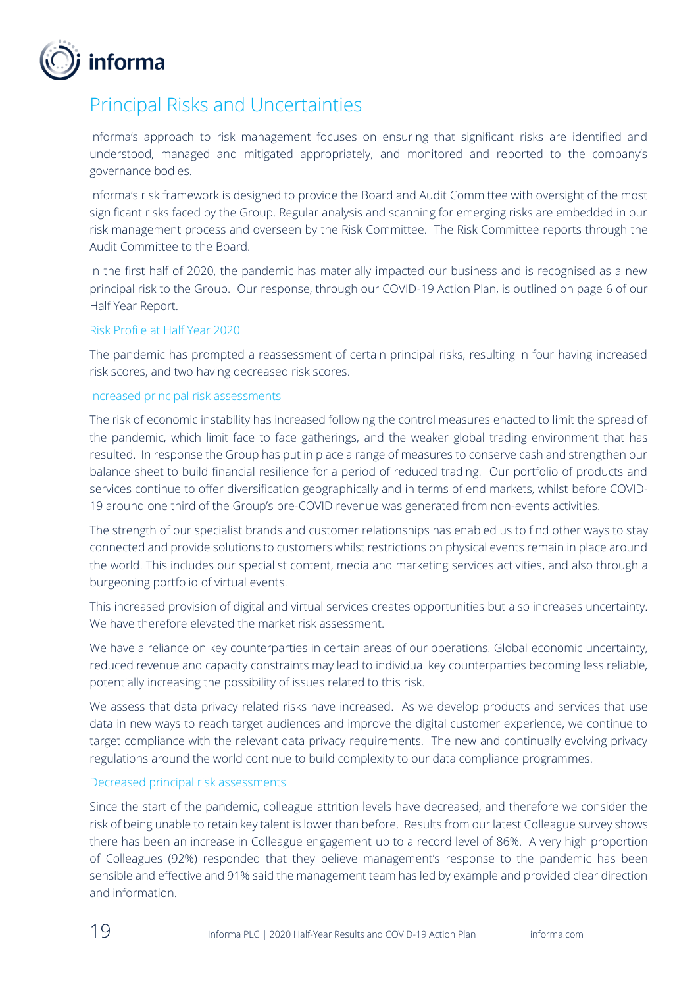

## Principal Risks and Uncertainties

Informa's approach to risk management focuses on ensuring that significant risks are identified and understood, managed and mitigated appropriately, and monitored and reported to the company's governance bodies.

Informa's risk framework is designed to provide the Board and Audit Committee with oversight of the most significant risks faced by the Group. Regular analysis and scanning for emerging risks are embedded in our risk management process and overseen by the Risk Committee. The Risk Committee reports through the Audit Committee to the Board.

In the first half of 2020, the pandemic has materially impacted our business and is recognised as a new principal risk to the Group. Our response, through our COVID-19 Action Plan, is outlined on page 6 of our Half Year Report.

#### Risk Profile at Half Year 2020

The pandemic has prompted a reassessment of certain principal risks, resulting in four having increased risk scores, and two having decreased risk scores.

#### Increased principal risk assessments

The risk of economic instability has increased following the control measures enacted to limit the spread of the pandemic, which limit face to face gatherings, and the weaker global trading environment that has resulted. In response the Group has put in place a range of measures to conserve cash and strengthen our balance sheet to build financial resilience for a period of reduced trading. Our portfolio of products and services continue to offer diversification geographically and in terms of end markets, whilst before COVID-19 around one third of the Group's pre-COVID revenue was generated from non-events activities.

The strength of our specialist brands and customer relationships has enabled us to find other ways to stay connected and provide solutions to customers whilst restrictions on physical events remain in place around the world. This includes our specialist content, media and marketing services activities, and also through a burgeoning portfolio of virtual events.

This increased provision of digital and virtual services creates opportunities but also increases uncertainty. We have therefore elevated the market risk assessment.

We have a reliance on key counterparties in certain areas of our operations. Global economic uncertainty, reduced revenue and capacity constraints may lead to individual key counterparties becoming less reliable, potentially increasing the possibility of issues related to this risk.

We assess that data privacy related risks have increased. As we develop products and services that use data in new ways to reach target audiences and improve the digital customer experience, we continue to target compliance with the relevant data privacy requirements. The new and continually evolving privacy regulations around the world continue to build complexity to our data compliance programmes.

#### Decreased principal risk assessments

Since the start of the pandemic, colleague attrition levels have decreased, and therefore we consider the risk of being unable to retain key talent is lower than before. Results from our latest Colleague survey shows there has been an increase in Colleague engagement up to a record level of 86%. A very high proportion of Colleagues (92%) responded that they believe management's response to the pandemic has been sensible and effective and 91% said the management team has led by example and provided clear direction and information.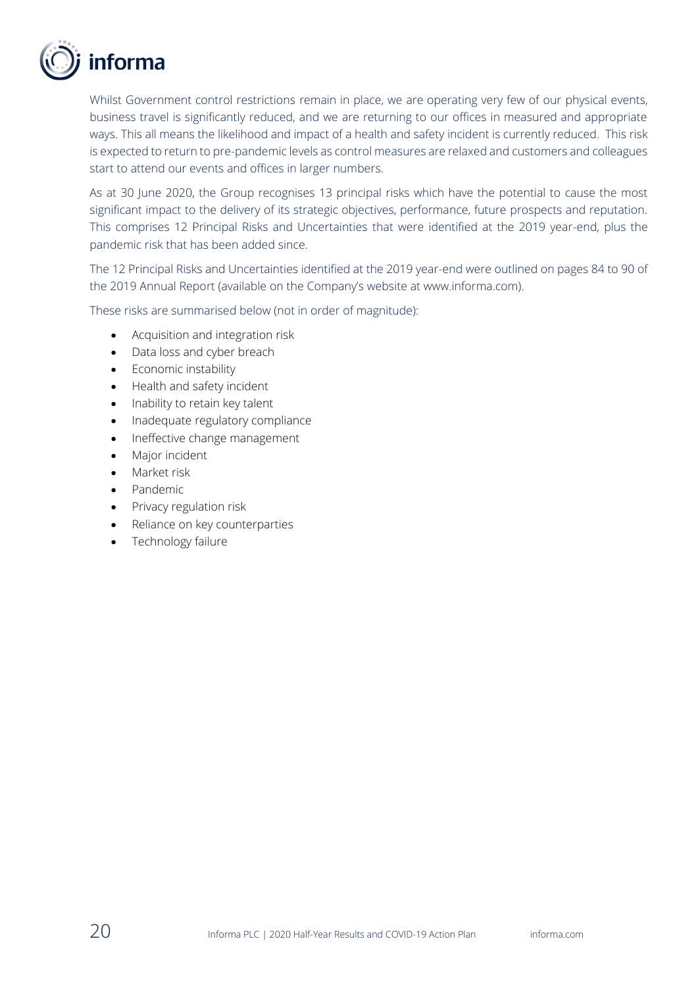

Whilst Government control restrictions remain in place, we are operating very few of our physical events, business travel is significantly reduced, and we are returning to our offices in measured and appropriate ways. This all means the likelihood and impact of a health and safety incident is currently reduced. This risk is expected to return to pre-pandemic levels as control measures are relaxed and customers and colleagues start to attend our events and offices in larger numbers.

As at 30 June 2020, the Group recognises 13 principal risks which have the potential to cause the most significant impact to the delivery of its strategic objectives, performance, future prospects and reputation. This comprises 12 Principal Risks and Uncertainties that were identified at the 2019 year-end, plus the pandemic risk that has been added since.

The 12 Principal Risks and Uncertainties identified at the 2019 year-end were outlined on pages 84 to 90 of the 2019 Annual Report (available on the Company's website at www.informa.com).

These risks are summarised below (not in order of magnitude):

- Acquisition and integration risk
- Data loss and cyber breach
- Economic instability
- Health and safety incident
- Inability to retain key talent
- Inadequate regulatory compliance
- Ineffective change management
- Major incident
- Market risk
- Pandemic
- Privacy regulation risk
- Reliance on key counterparties
- Technology failure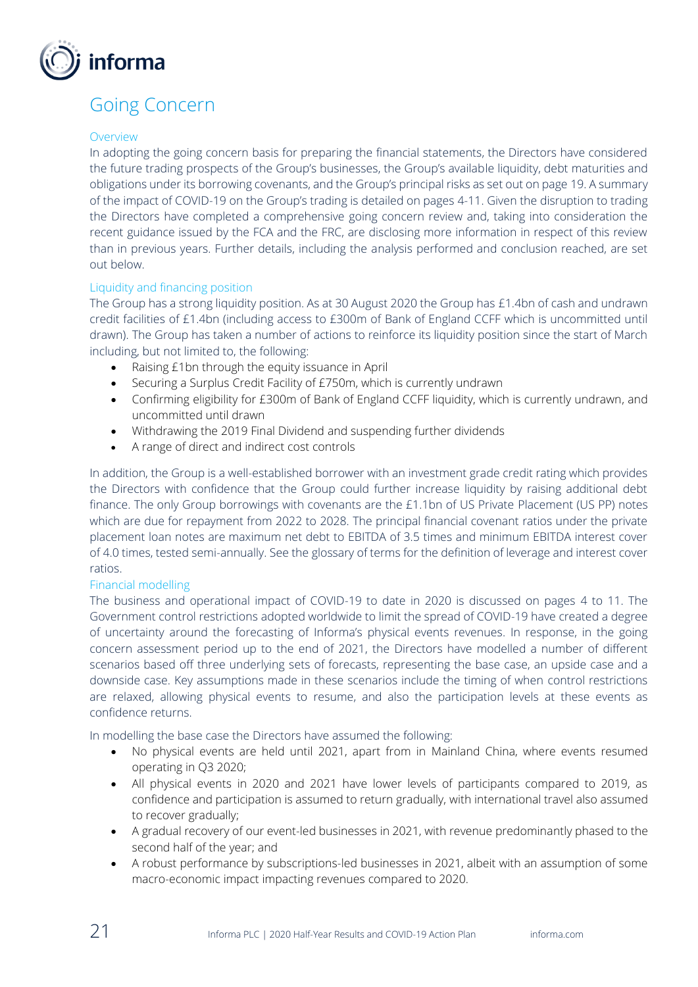

## Going Concern

#### Overview

In adopting the going concern basis for preparing the financial statements, the Directors have considered the future trading prospects of the Group's businesses, the Group's available liquidity, debt maturities and obligations under its borrowing covenants, and the Group's principal risks as set out on page 19. A summary of the impact of COVID-19 on the Group's trading is detailed on pages 4-11. Given the disruption to trading the Directors have completed a comprehensive going concern review and, taking into consideration the recent guidance issued by the FCA and the FRC, are disclosing more information in respect of this review than in previous years. Further details, including the analysis performed and conclusion reached, are set out below.

#### Liquidity and financing position

The Group has a strong liquidity position. As at 30 August 2020 the Group has £1.4bn of cash and undrawn credit facilities of £1.4bn (including access to £300m of Bank of England CCFF which is uncommitted until drawn). The Group has taken a number of actions to reinforce its liquidity position since the start of March including, but not limited to, the following:

- Raising £1bn through the equity issuance in April
- Securing a Surplus Credit Facility of £750m, which is currently undrawn
- Confirming eligibility for £300m of Bank of England CCFF liquidity, which is currently undrawn, and uncommitted until drawn
- Withdrawing the 2019 Final Dividend and suspending further dividends
- A range of direct and indirect cost controls

In addition, the Group is a well-established borrower with an investment grade credit rating which provides the Directors with confidence that the Group could further increase liquidity by raising additional debt finance. The only Group borrowings with covenants are the £1.1bn of US Private Placement (US PP) notes which are due for repayment from 2022 to 2028. The principal financial covenant ratios under the private placement loan notes are maximum net debt to EBITDA of 3.5 times and minimum EBITDA interest cover of 4.0 times, tested semi-annually. See the glossary of terms for the definition of leverage and interest cover ratios.

## Financial modelling

The business and operational impact of COVID-19 to date in 2020 is discussed on pages 4 to 11. The Government control restrictions adopted worldwide to limit the spread of COVID-19 have created a degree of uncertainty around the forecasting of Informa's physical events revenues. In response, in the going concern assessment period up to the end of 2021, the Directors have modelled a number of different scenarios based off three underlying sets of forecasts, representing the base case, an upside case and a downside case. Key assumptions made in these scenarios include the timing of when control restrictions are relaxed, allowing physical events to resume, and also the participation levels at these events as confidence returns.

In modelling the base case the Directors have assumed the following:

- No physical events are held until 2021, apart from in Mainland China, where events resumed operating in Q3 2020;
- All physical events in 2020 and 2021 have lower levels of participants compared to 2019, as confidence and participation is assumed to return gradually, with international travel also assumed to recover gradually;
- A gradual recovery of our event-led businesses in 2021, with revenue predominantly phased to the second half of the year; and
- A robust performance by subscriptions-led businesses in 2021, albeit with an assumption of some macro-economic impact impacting revenues compared to 2020.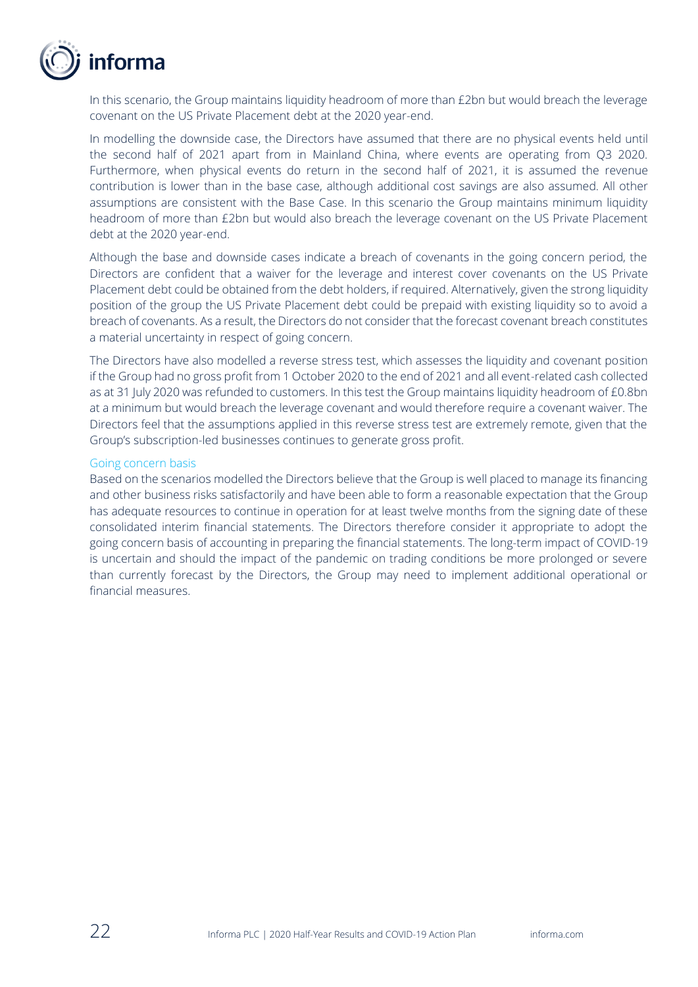

In this scenario, the Group maintains liquidity headroom of more than £2bn but would breach the leverage covenant on the US Private Placement debt at the 2020 year-end.

In modelling the downside case, the Directors have assumed that there are no physical events held until the second half of 2021 apart from in Mainland China, where events are operating from Q3 2020. Furthermore, when physical events do return in the second half of 2021, it is assumed the revenue contribution is lower than in the base case, although additional cost savings are also assumed. All other assumptions are consistent with the Base Case. In this scenario the Group maintains minimum liquidity headroom of more than £2bn but would also breach the leverage covenant on the US Private Placement debt at the 2020 year-end.

Although the base and downside cases indicate a breach of covenants in the going concern period, the Directors are confident that a waiver for the leverage and interest cover covenants on the US Private Placement debt could be obtained from the debt holders, if required. Alternatively, given the strong liquidity position of the group the US Private Placement debt could be prepaid with existing liquidity so to avoid a breach of covenants. As a result, the Directors do not consider that the forecast covenant breach constitutes a material uncertainty in respect of going concern.

The Directors have also modelled a reverse stress test, which assesses the liquidity and covenant position if the Group had no gross profit from 1 October 2020 to the end of 2021 and all event-related cash collected as at 31 July 2020 was refunded to customers. In this test the Group maintains liquidity headroom of £0.8bn at a minimum but would breach the leverage covenant and would therefore require a covenant waiver. The Directors feel that the assumptions applied in this reverse stress test are extremely remote, given that the Group's subscription-led businesses continues to generate gross profit.

#### Going concern basis

Based on the scenarios modelled the Directors believe that the Group is well placed to manage its financing and other business risks satisfactorily and have been able to form a reasonable expectation that the Group has adequate resources to continue in operation for at least twelve months from the signing date of these consolidated interim financial statements. The Directors therefore consider it appropriate to adopt the going concern basis of accounting in preparing the financial statements. The long-term impact of COVID-19 is uncertain and should the impact of the pandemic on trading conditions be more prolonged or severe than currently forecast by the Directors, the Group may need to implement additional operational or financial measures.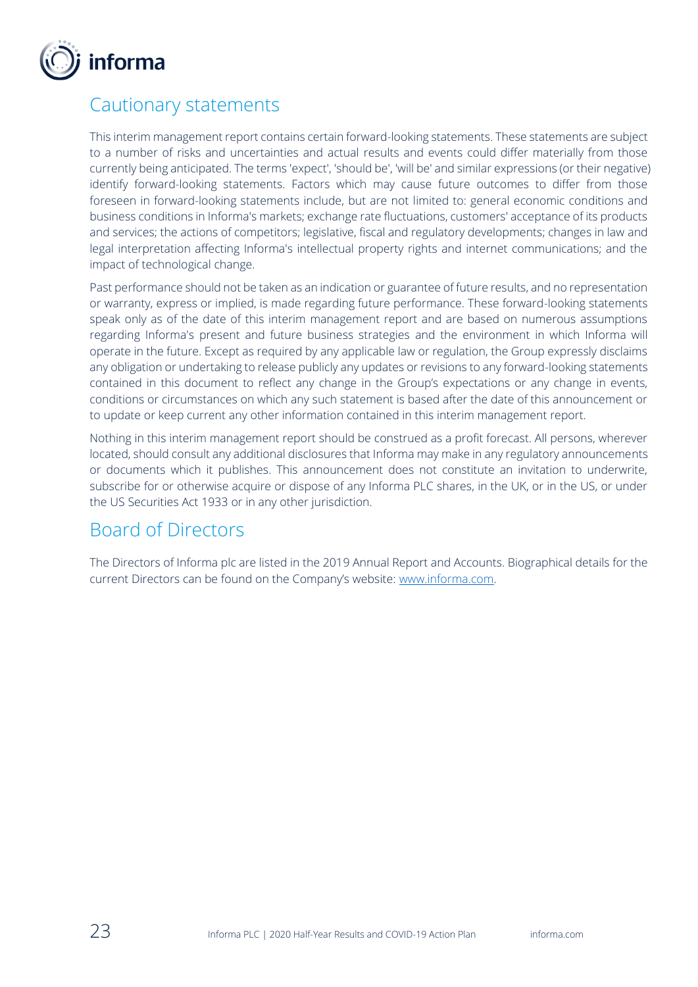

## Cautionary statements

This interim management report contains certain forward-looking statements. These statements are subject to a number of risks and uncertainties and actual results and events could differ materially from those currently being anticipated. The terms 'expect', 'should be', 'will be' and similar expressions (or their negative) identify forward-looking statements. Factors which may cause future outcomes to differ from those foreseen in forward-looking statements include, but are not limited to: general economic conditions and business conditions in Informa's markets; exchange rate fluctuations, customers' acceptance of its products and services; the actions of competitors; legislative, fiscal and regulatory developments; changes in law and legal interpretation affecting Informa's intellectual property rights and internet communications; and the impact of technological change.

Past performance should not be taken as an indication or guarantee of future results, and no representation or warranty, express or implied, is made regarding future performance. These forward-looking statements speak only as of the date of this interim management report and are based on numerous assumptions regarding Informa's present and future business strategies and the environment in which Informa will operate in the future. Except as required by any applicable law or regulation, the Group expressly disclaims any obligation or undertaking to release publicly any updates or revisions to any forward-looking statements contained in this document to reflect any change in the Group's expectations or any change in events, conditions or circumstances on which any such statement is based after the date of this announcement or to update or keep current any other information contained in this interim management report.

Nothing in this interim management report should be construed as a profit forecast. All persons, wherever located, should consult any additional disclosures that Informa may make in any regulatory announcements or documents which it publishes. This announcement does not constitute an invitation to underwrite, subscribe for or otherwise acquire or dispose of any Informa PLC shares, in the UK, or in the US, or under the US Securities Act 1933 or in any other jurisdiction.

## Board of Directors

The Directors of Informa plc are listed in the 2019 Annual Report and Accounts. Biographical details for the current Directors can be found on the Company's website: [www.informa.com.](http://www.informa.com/)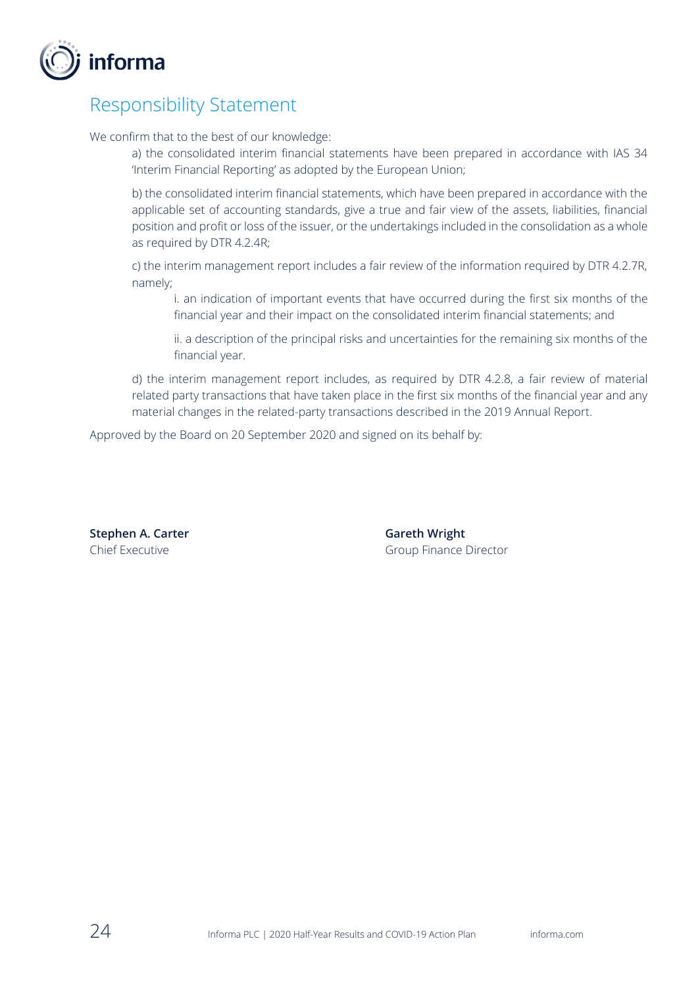

## Responsibility Statement

We confirm that to the best of our knowledge:

a) the consolidated interim financial statements have been prepared in accordance with IAS 34 'Interim Financial Reporting' as adopted by the European Union;

b) the consolidated interim financial statements, which have been prepared in accordance with the applicable set of accounting standards, give a true and fair view of the assets, liabilities, financial position and profit or loss of the issuer, or the undertakings included in the consolidation as a whole as required by DTR 4.2.4R;

c) the interim management report includes a fair review of the information required by DTR 4.2.7R, namely;

i. an indication of important events that have occurred during the first six months of the financial year and their impact on the consolidated interim financial statements; and

ii. a description of the principal risks and uncertainties for the remaining six months of the financial year.

d) the interim management report includes, as required by DTR 4.2.8, a fair review of material related party transactions that have taken place in the first six months of the financial year and any material changes in the related-party transactions described in the 2019 Annual Report.

Approved by the Board on 20 September 2020 and signed on its behalf by:

**Stephen A. Carter Carter Carter A. Carter A. Carter A. Carter A. Careth Wright** 

Chief Executive Group Finance Director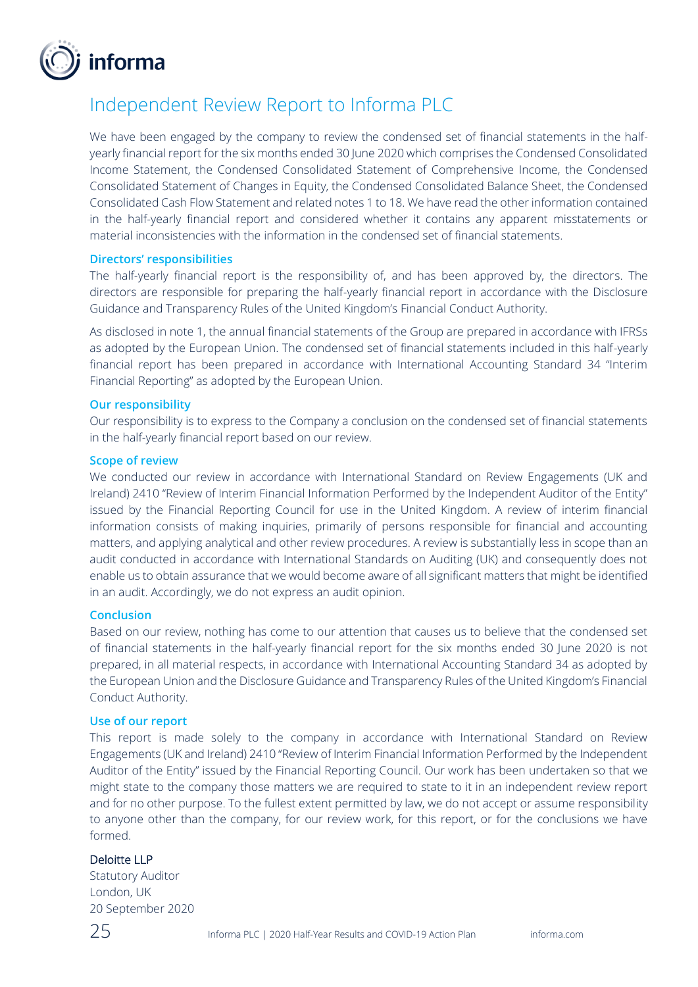

## Independent Review Report to Informa PLC

We have been engaged by the company to review the condensed set of financial statements in the halfyearly financial report for the six months ended 30 June 2020 which comprises the Condensed Consolidated Income Statement, the Condensed Consolidated Statement of Comprehensive Income, the Condensed Consolidated Statement of Changes in Equity, the Condensed Consolidated Balance Sheet, the Condensed Consolidated Cash Flow Statement and related notes 1 to 18. We have read the other information contained in the half-yearly financial report and considered whether it contains any apparent misstatements or material inconsistencies with the information in the condensed set of financial statements.

#### **Directors' responsibilities**

The half-yearly financial report is the responsibility of, and has been approved by, the directors. The directors are responsible for preparing the half-yearly financial report in accordance with the Disclosure Guidance and Transparency Rules of the United Kingdom's Financial Conduct Authority.

As disclosed in note 1, the annual financial statements of the Group are prepared in accordance with IFRSs as adopted by the European Union. The condensed set of financial statements included in this half-yearly financial report has been prepared in accordance with International Accounting Standard 34 "Interim Financial Reporting" as adopted by the European Union.

#### **Our responsibility**

Our responsibility is to express to the Company a conclusion on the condensed set of financial statements in the half-yearly financial report based on our review.

#### **Scope of review**

We conducted our review in accordance with International Standard on Review Engagements (UK and Ireland) 2410 "Review of Interim Financial Information Performed by the Independent Auditor of the Entity" issued by the Financial Reporting Council for use in the United Kingdom. A review of interim financial information consists of making inquiries, primarily of persons responsible for financial and accounting matters, and applying analytical and other review procedures. A review is substantially less in scope than an audit conducted in accordance with International Standards on Auditing (UK) and consequently does not enable us to obtain assurance that we would become aware of all significant matters that might be identified in an audit. Accordingly, we do not express an audit opinion.

#### **Conclusion**

Based on our review, nothing has come to our attention that causes us to believe that the condensed set of financial statements in the half-yearly financial report for the six months ended 30 June 2020 is not prepared, in all material respects, in accordance with International Accounting Standard 34 as adopted by the European Union and the Disclosure Guidance and Transparency Rules of the United Kingdom's Financial Conduct Authority.

#### **Use of our report**

This report is made solely to the company in accordance with International Standard on Review Engagements (UK and Ireland) 2410 "Review of Interim Financial Information Performed by the Independent Auditor of the Entity" issued by the Financial Reporting Council. Our work has been undertaken so that we might state to the company those matters we are required to state to it in an independent review report and for no other purpose. To the fullest extent permitted by law, we do not accept or assume responsibility to anyone other than the company, for our review work, for this report, or for the conclusions we have formed.

## Deloitte LLP

Statutory Auditor London, UK 20 September 2020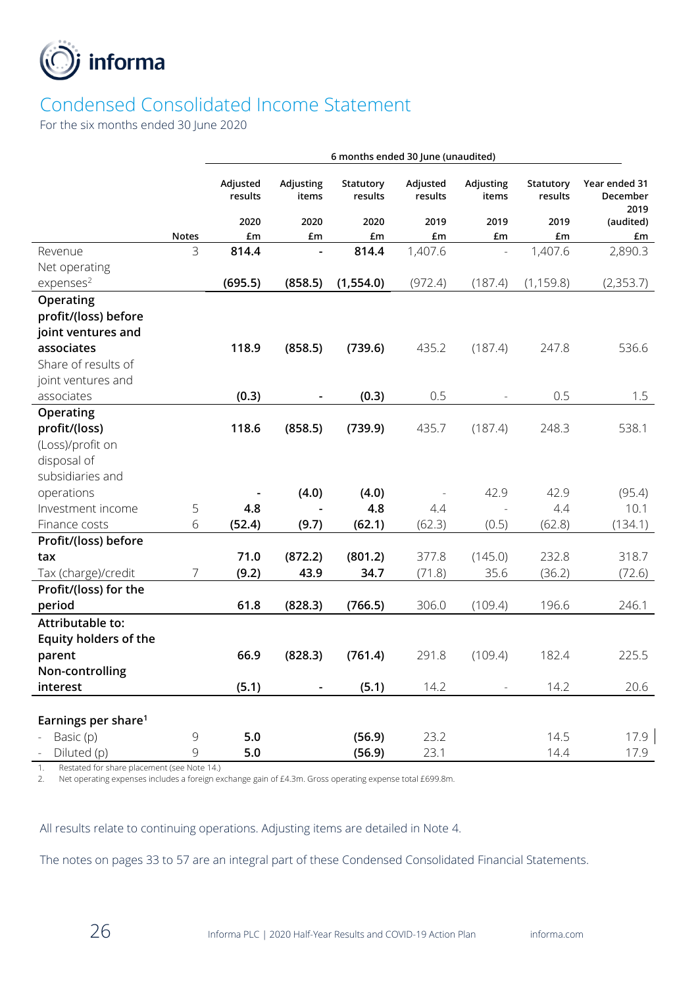

# Condensed Consolidated Income Statement

For the six months ended 30 June 2020

|                                 |              | 6 months ended 30 June (unaudited) |                    |                      |                     |                    |                      |                                   |
|---------------------------------|--------------|------------------------------------|--------------------|----------------------|---------------------|--------------------|----------------------|-----------------------------------|
|                                 |              | Adjusted<br>results                | Adjusting<br>items | Statutory<br>results | Adjusted<br>results | Adjusting<br>items | Statutory<br>results | Year ended 31<br>December<br>2019 |
|                                 |              | 2020                               | 2020               | 2020                 | 2019                | 2019               | 2019                 | (audited)                         |
|                                 | <b>Notes</b> | £m                                 | £m                 | £m                   | £m                  | £m                 | £m                   | £m                                |
| Revenue                         | 3            | 814.4                              |                    | 814.4                | 1,407.6             |                    | 1,407.6              | 2,890.3                           |
| Net operating                   |              |                                    |                    |                      |                     |                    |                      |                                   |
| expenses <sup>2</sup>           |              | (695.5)                            | (858.5)            | (1,554.0)            | (972.4)             | (187.4)            | (1, 159.8)           | (2,353.7)                         |
| Operating                       |              |                                    |                    |                      |                     |                    |                      |                                   |
| profit/(loss) before            |              |                                    |                    |                      |                     |                    |                      |                                   |
| joint ventures and              |              |                                    |                    |                      |                     |                    |                      |                                   |
| associates                      |              | 118.9                              | (858.5)            | (739.6)              | 435.2               | (187.4)            | 247.8                | 536.6                             |
| Share of results of             |              |                                    |                    |                      |                     |                    |                      |                                   |
| joint ventures and              |              |                                    |                    |                      |                     |                    |                      |                                   |
| associates                      |              | (0.3)                              |                    | (0.3)                | 0.5                 |                    | 0.5                  | 1.5                               |
| Operating                       |              |                                    |                    |                      |                     |                    |                      |                                   |
| profit/(loss)                   |              | 118.6                              | (858.5)            | (739.9)              | 435.7               | (187.4)            | 248.3                | 538.1                             |
| (Loss)/profit on                |              |                                    |                    |                      |                     |                    |                      |                                   |
| disposal of                     |              |                                    |                    |                      |                     |                    |                      |                                   |
| subsidiaries and                |              |                                    |                    |                      |                     |                    |                      |                                   |
| operations                      |              |                                    | (4.0)              | (4.0)                | $\bar{\phantom{a}}$ | 42.9               | 42.9                 | (95.4)                            |
| Investment income               | 5            | 4.8                                |                    | 4.8                  | 4.4                 |                    | 4.4                  | 10.1                              |
| Finance costs                   | 6            | (52.4)                             | (9.7)              | (62.1)               | (62.3)              | (0.5)              | (62.8)               | (134.1)                           |
| Profit/(loss) before            |              |                                    |                    |                      |                     |                    |                      |                                   |
| tax                             |              | 71.0                               | (872.2)            | (801.2)              | 377.8               | (145.0)            | 232.8                | 318.7                             |
| Tax (charge)/credit             | 7            | (9.2)                              | 43.9               | 34.7                 | (71.8)              | 35.6               | (36.2)               | (72.6)                            |
| Profit/(loss) for the           |              |                                    |                    |                      |                     |                    |                      |                                   |
| period                          |              | 61.8                               | (828.3)            | (766.5)              | 306.0               | (109.4)            | 196.6                | 246.1                             |
| <b>Attributable to:</b>         |              |                                    |                    |                      |                     |                    |                      |                                   |
| <b>Equity holders of the</b>    |              |                                    |                    |                      |                     |                    |                      |                                   |
| parent                          |              | 66.9                               | (828.3)            | (761.4)              | 291.8               | (109.4)            | 182.4                | 225.5                             |
| Non-controlling                 |              |                                    |                    |                      |                     |                    |                      |                                   |
| interest                        |              | (5.1)                              | -                  | (5.1)                | 14.2                |                    | 14.2                 | 20.6                              |
|                                 |              |                                    |                    |                      |                     |                    |                      |                                   |
| Earnings per share <sup>1</sup> |              |                                    |                    |                      |                     |                    |                      |                                   |
| Basic (p)                       | 9            | 5.0                                |                    | (56.9)               | 23.2                |                    | 14.5                 | 17.9                              |
| Diluted (p)                     | 9            | 5.0                                |                    | (56.9)               | 23.1                |                    | 14.4                 | 17.9                              |

1. Restated for share placement (see Note 14.)

2. Net operating expenses includes a foreign exchange gain of £4.3m. Gross operating expense total £699.8m.

All results relate to continuing operations. Adjusting items are detailed in Note 4.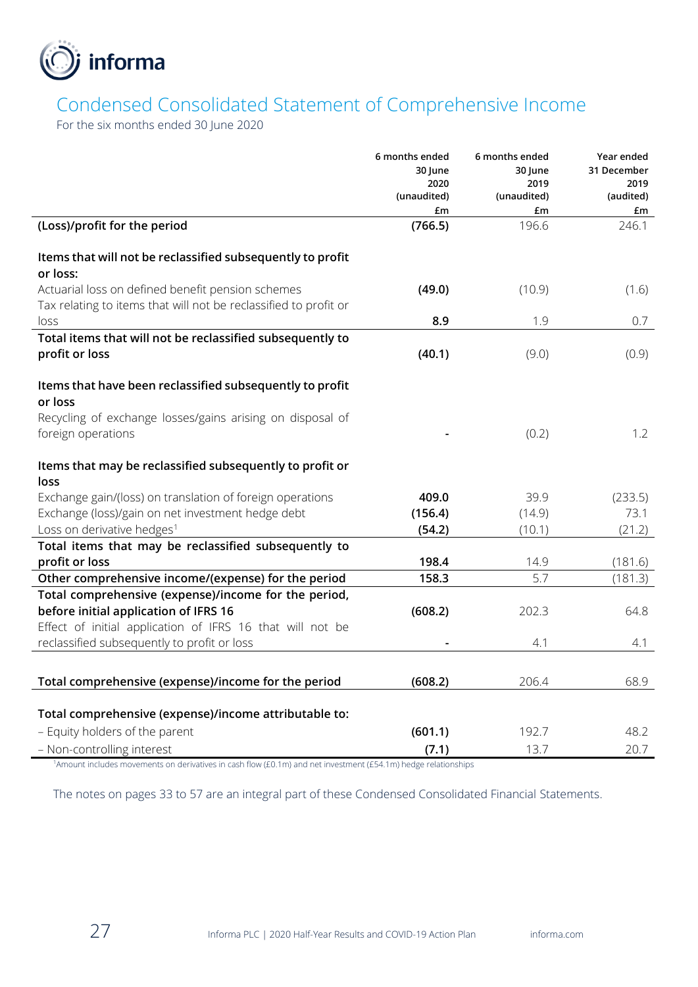

# Condensed Consolidated Statement of Comprehensive Income

For the six months ended 30 June 2020

|                                                                        | 6 months ended<br>30 June<br>2020 | 6 months ended<br>30 June<br>2019 | Year ended<br>31 December<br>2019 |
|------------------------------------------------------------------------|-----------------------------------|-----------------------------------|-----------------------------------|
|                                                                        | (unaudited)                       | (unaudited)                       | (audited)                         |
|                                                                        | £m                                | £m                                | £m                                |
| (Loss)/profit for the period                                           | (766.5)                           | 196.6                             | 246.1                             |
| Items that will not be reclassified subsequently to profit<br>or loss: |                                   |                                   |                                   |
| Actuarial loss on defined benefit pension schemes                      | (49.0)                            | (10.9)                            | (1.6)                             |
| Tax relating to items that will not be reclassified to profit or       |                                   |                                   |                                   |
| loss                                                                   | 8.9                               | 1.9                               | 0.7                               |
| Total items that will not be reclassified subsequently to              |                                   |                                   |                                   |
| profit or loss                                                         | (40.1)                            | (9.0)                             | (0.9)                             |
| Items that have been reclassified subsequently to profit<br>or loss    |                                   |                                   |                                   |
| Recycling of exchange losses/gains arising on disposal of              |                                   |                                   |                                   |
| foreign operations                                                     |                                   | (0.2)                             | 1.2                               |
| Items that may be reclassified subsequently to profit or<br>loss       |                                   |                                   |                                   |
| Exchange gain/(loss) on translation of foreign operations              | 409.0                             | 39.9                              | (233.5)                           |
| Exchange (loss)/gain on net investment hedge debt                      | (156.4)                           | (14.9)                            | 73.1                              |
| Loss on derivative hedges <sup>1</sup>                                 | (54.2)                            | (10.1)                            | (21.2)                            |
| Total items that may be reclassified subsequently to                   |                                   |                                   |                                   |
| profit or loss                                                         | 198.4                             | 14.9                              | (181.6)                           |
| Other comprehensive income/(expense) for the period                    | 158.3                             | 5.7                               | (181.3)                           |
| Total comprehensive (expense)/income for the period,                   |                                   |                                   |                                   |
| before initial application of IFRS 16                                  | (608.2)                           | 202.3                             | 64.8                              |
| Effect of initial application of IFRS 16 that will not be              |                                   |                                   |                                   |
| reclassified subsequently to profit or loss                            |                                   | 4.1                               | 4.1                               |
| Total comprehensive (expense)/income for the period                    | (608.2)                           | 206.4                             | 68.9                              |
| Total comprehensive (expense)/income attributable to:                  |                                   |                                   |                                   |
| - Equity holders of the parent                                         | (601.1)                           | 192.7                             | 48.2                              |
| - Non-controlling interest                                             | (7.1)                             | 13.7                              | 20.7                              |

<sup>1</sup>Amount includes movements on derivatives in cash flow (£0.1m) and net investment (£54.1m) hedge relationships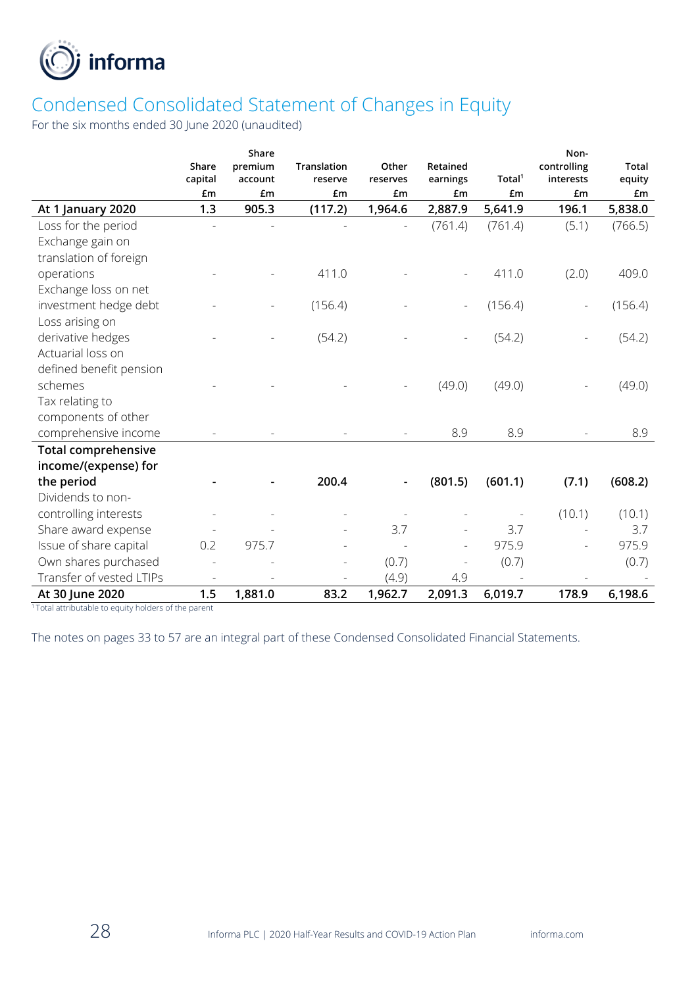

# Condensed Consolidated Statement of Changes in Equity

For the six months ended 30 June 2020 (unaudited)

|     | Share                                     |                        |                                              |                           |                                      | Non-                                                                         |                                                           |
|-----|-------------------------------------------|------------------------|----------------------------------------------|---------------------------|--------------------------------------|------------------------------------------------------------------------------|-----------------------------------------------------------|
|     | premium                                   | Translation            | Other                                        | Retained                  |                                      |                                                                              | <b>Total</b>                                              |
|     |                                           |                        |                                              |                           |                                      |                                                                              | equity<br>£m                                              |
|     |                                           |                        |                                              |                           |                                      |                                                                              | 5,838.0                                                   |
|     |                                           |                        |                                              |                           |                                      |                                                                              |                                                           |
|     |                                           |                        |                                              |                           |                                      |                                                                              | (766.5)                                                   |
|     |                                           |                        |                                              |                           |                                      |                                                                              |                                                           |
|     |                                           |                        |                                              |                           |                                      |                                                                              |                                                           |
|     |                                           |                        |                                              |                           |                                      |                                                                              | 409.0                                                     |
|     |                                           |                        |                                              |                           |                                      |                                                                              |                                                           |
|     |                                           |                        |                                              |                           |                                      |                                                                              | (156.4)                                                   |
|     |                                           |                        |                                              |                           |                                      |                                                                              |                                                           |
|     |                                           | (54.2)                 |                                              |                           |                                      |                                                                              | (54.2)                                                    |
|     |                                           |                        |                                              |                           |                                      |                                                                              |                                                           |
|     |                                           |                        |                                              |                           |                                      |                                                                              |                                                           |
|     |                                           |                        |                                              | (49.0)                    | (49.0)                               |                                                                              | (49.0)                                                    |
|     |                                           |                        |                                              |                           |                                      |                                                                              |                                                           |
|     |                                           |                        |                                              |                           |                                      |                                                                              |                                                           |
|     |                                           |                        |                                              | 8.9                       | 8.9                                  |                                                                              | 8.9                                                       |
|     |                                           |                        |                                              |                           |                                      |                                                                              |                                                           |
|     |                                           |                        |                                              |                           |                                      |                                                                              |                                                           |
|     |                                           | 200.4                  |                                              | (801.5)                   | (601.1)                              | (7.1)                                                                        | (608.2)                                                   |
|     |                                           |                        |                                              |                           |                                      |                                                                              |                                                           |
|     |                                           |                        |                                              |                           |                                      | (10.1)                                                                       | (10.1)                                                    |
|     |                                           |                        | 3.7                                          |                           | 3.7                                  |                                                                              | 3.7                                                       |
| 0.2 | 975.7                                     |                        |                                              |                           | 975.9                                |                                                                              | 975.9                                                     |
|     |                                           |                        | (0.7)                                        |                           | (0.7)                                |                                                                              | (0.7)                                                     |
|     |                                           |                        | (4.9)                                        | 4.9                       |                                      |                                                                              |                                                           |
| 1.5 | 1,881.0                                   | 83.2                   | 1,962.7                                      | 2,091.3                   | 6,019.7                              | 178.9                                                                        | 6,198.6                                                   |
|     | Share<br>capital<br>£m<br>1.3<br>$\equiv$ | account<br>£m<br>905.3 | reserve<br>£m<br>(117.2)<br>411.0<br>(156.4) | reserves<br>£m<br>1,964.6 | earnings<br>£m<br>2,887.9<br>(761.4) | Total <sup>1</sup><br>£m<br>5,641.9<br>(761.4)<br>411.0<br>(156.4)<br>(54.2) | controlling<br>interests<br>£m<br>196.1<br>(5.1)<br>(2.0) |

<sup>1</sup>Total attributable to equity holders of the parent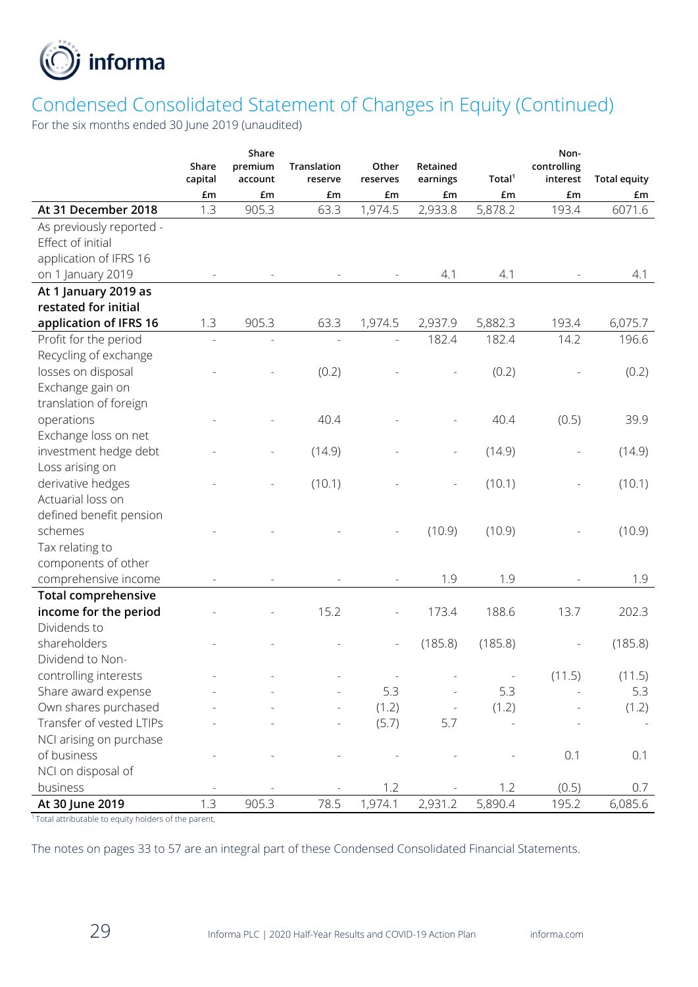

# Condensed Consolidated Statement of Changes in Equity (Continued)

For the six months ended 30 June 2019 (unaudited)

|                            | Share     | Share<br>premium | Translation | Other                    | Retained      |                          | Non-<br>controlling |                     |
|----------------------------|-----------|------------------|-------------|--------------------------|---------------|--------------------------|---------------------|---------------------|
|                            | capital   | account          | reserve     | reserves                 | earnings      | Total <sup>1</sup>       | interest            | <b>Total equity</b> |
| At 31 December 2018        | £m<br>1.3 | £m<br>905.3      | £m<br>63.3  | £m<br>1,974.5            | £m<br>2,933.8 | £m<br>5,878.2            | £m<br>193.4         | £m<br>6071.6        |
| As previously reported -   |           |                  |             |                          |               |                          |                     |                     |
| Effect of initial          |           |                  |             |                          |               |                          |                     |                     |
| application of IFRS 16     |           |                  |             |                          |               |                          |                     |                     |
| on 1 January 2019          |           |                  |             |                          | 4.1           | 4.1                      |                     | 4.1                 |
| At 1 January 2019 as       |           |                  |             |                          |               |                          |                     |                     |
| restated for initial       |           |                  |             |                          |               |                          |                     |                     |
| application of IFRS 16     | 1.3       | 905.3            | 63.3        | 1,974.5                  | 2,937.9       | 5,882.3                  | 193.4               | 6,075.7             |
| Profit for the period      |           |                  |             |                          | 182.4         | 182.4                    | 14.2                | 196.6               |
| Recycling of exchange      |           |                  |             |                          |               |                          |                     |                     |
| losses on disposal         |           |                  | (0.2)       |                          |               | (0.2)                    |                     | (0.2)               |
| Exchange gain on           |           |                  |             |                          |               |                          |                     |                     |
| translation of foreign     |           |                  |             |                          |               |                          |                     |                     |
| operations                 |           |                  | 40.4        |                          |               | 40.4                     | (0.5)               | 39.9                |
| Exchange loss on net       |           |                  |             |                          |               |                          |                     |                     |
| investment hedge debt      |           |                  | (14.9)      |                          |               | (14.9)                   |                     | (14.9)              |
| Loss arising on            |           |                  |             |                          |               |                          |                     |                     |
| derivative hedges          |           |                  | (10.1)      |                          |               | (10.1)                   |                     | (10.1)              |
| Actuarial loss on          |           |                  |             |                          |               |                          |                     |                     |
| defined benefit pension    |           |                  |             |                          |               |                          |                     |                     |
| schemes                    |           |                  |             |                          | (10.9)        | (10.9)                   |                     | (10.9)              |
| Tax relating to            |           |                  |             |                          |               |                          |                     |                     |
| components of other        |           |                  |             |                          |               |                          |                     |                     |
| comprehensive income       |           |                  |             |                          | 1.9           | 1.9                      |                     | 1.9                 |
| <b>Total comprehensive</b> |           |                  |             |                          |               |                          |                     |                     |
| income for the period      |           |                  | 15.2        |                          | 173.4         | 188.6                    | 13.7                | 202.3               |
| Dividends to               |           |                  |             |                          |               |                          |                     |                     |
| shareholders               |           |                  |             |                          | (185.8)       | (185.8)                  |                     | (185.8)             |
| Dividend to Non-           |           |                  |             |                          |               |                          |                     |                     |
| controlling interests      |           |                  |             | $\overline{\phantom{a}}$ |               | $\overline{\phantom{a}}$ | (11.5)              | (11.5)              |
| Share award expense        |           |                  |             | 5.3                      |               | 5.3                      |                     | 5.3                 |
| Own shares purchased       |           |                  |             | (1.2)                    |               | (1.2)                    |                     | (1.2)               |
| Transfer of vested LTIPs   |           |                  |             | (5.7)                    | 5.7           |                          |                     |                     |
| NCI arising on purchase    |           |                  |             |                          |               |                          |                     |                     |
| of business                |           |                  |             |                          |               |                          | 0.1                 | 0.1                 |
| NCI on disposal of         |           |                  |             |                          |               |                          |                     |                     |
| business                   |           |                  |             | 1.2                      |               | 1.2                      | (0.5)               | 0.7                 |
| At 30 June 2019            | 1.3       | 905.3            | 78.5        | 1,974.1                  | 2,931.2       | 5,890.4                  | 195.2               | 6,085.6             |

<sup>1</sup>Total attributable to equity holders of the parent,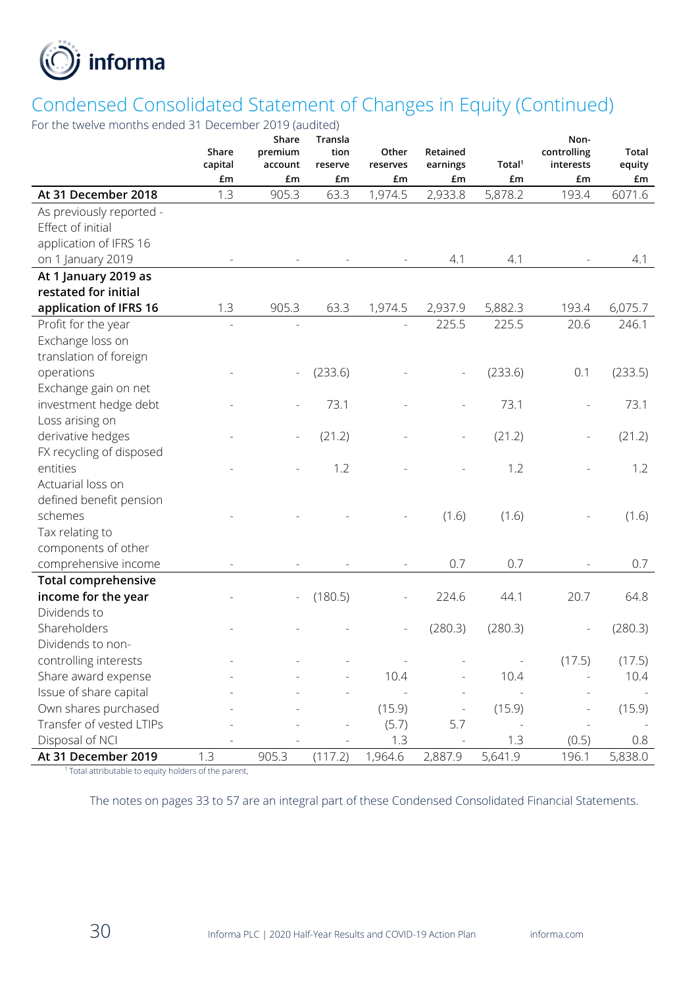

# Condensed Consolidated Statement of Changes in Equity (Continued)

For the twelve months ended 31 December 2019 (audited)

|                                    | Share         | Share<br>premium | Transla<br>tion | Other          | Retained       |                          | Non-<br>controlling | Total        |
|------------------------------------|---------------|------------------|-----------------|----------------|----------------|--------------------------|---------------------|--------------|
|                                    | capital<br>£m | account<br>£m    | reserve<br>£m   | reserves<br>£m | earnings<br>£m | Total <sup>1</sup><br>£m | interests<br>£m     | equity<br>£m |
| At 31 December 2018                | 1.3           | 905.3            | 63.3            | 1,974.5        | 2,933.8        | 5,878.2                  | 193.4               | 6071.6       |
| As previously reported -           |               |                  |                 |                |                |                          |                     |              |
| Effect of initial                  |               |                  |                 |                |                |                          |                     |              |
| application of IFRS 16             |               |                  |                 |                |                |                          |                     |              |
| on 1 January 2019                  |               |                  |                 |                | 4.1            | 4.1                      |                     | 4.1          |
| At 1 January 2019 as               |               |                  |                 |                |                |                          |                     |              |
| restated for initial               |               |                  |                 |                |                |                          |                     |              |
| application of IFRS 16             | 1.3           | 905.3            | 63.3            | 1,974.5        | 2,937.9        | 5,882.3                  | 193.4               | 6,075.7      |
| Profit for the year                |               |                  |                 |                | 225.5          | 225.5                    | 20.6                | 246.1        |
| Exchange loss on                   |               |                  |                 |                |                |                          |                     |              |
| translation of foreign             |               |                  |                 |                |                |                          |                     |              |
| operations                         |               |                  | (233.6)         |                |                | (233.6)                  | 0.1                 | (233.5)      |
| Exchange gain on net               |               |                  |                 |                |                |                          |                     |              |
| investment hedge debt              |               |                  | 73.1            |                |                | 73.1                     |                     | 73.1         |
| Loss arising on                    |               |                  |                 |                |                |                          |                     |              |
| derivative hedges                  |               |                  | (21.2)          |                |                | (21.2)                   |                     | (21.2)       |
| FX recycling of disposed           |               |                  |                 |                |                |                          |                     |              |
| entities                           |               |                  | 1.2             |                |                | 1.2                      |                     | 1.2          |
| Actuarial loss on                  |               |                  |                 |                |                |                          |                     |              |
| defined benefit pension<br>schemes |               |                  |                 |                |                |                          |                     |              |
| Tax relating to                    |               |                  |                 |                | (1.6)          | (1.6)                    |                     | (1.6)        |
| components of other                |               |                  |                 |                |                |                          |                     |              |
| comprehensive income               |               |                  |                 |                | 0.7            | 0.7                      |                     | 0.7          |
| <b>Total comprehensive</b>         |               |                  |                 |                |                |                          |                     |              |
| income for the year                |               |                  | (180.5)         |                | 224.6          | 44.1                     | 20.7                | 64.8         |
| Dividends to                       |               |                  |                 |                |                |                          |                     |              |
| Shareholders                       |               |                  |                 |                | (280.3)        | (280.3)                  |                     | (280.3)      |
| Dividends to non-                  |               |                  |                 |                |                |                          |                     |              |
| controlling interests              |               |                  |                 |                |                |                          | (17.5)              | (17.5)       |
| Share award expense                |               |                  |                 | 10.4           |                | 10.4                     |                     | 10.4         |
| Issue of share capital             |               |                  |                 |                |                |                          |                     |              |
| Own shares purchased               |               |                  |                 | (15.9)         |                | (15.9)                   |                     | (15.9)       |
| Transfer of vested LTIPs           |               |                  |                 | (5.7)          | 5.7            |                          |                     |              |
| Disposal of NCI                    |               |                  |                 | 1.3            |                | 1.3                      | (0.5)               | 0.8          |
| At 31 December 2019                | 1.3           | 905.3            | (117.2)         | 1,964.6        | 2,887.9        | 5,641.9                  | 196.1               | 5,838.0      |

<sup>1</sup> Total attributable to equity holders of the parent,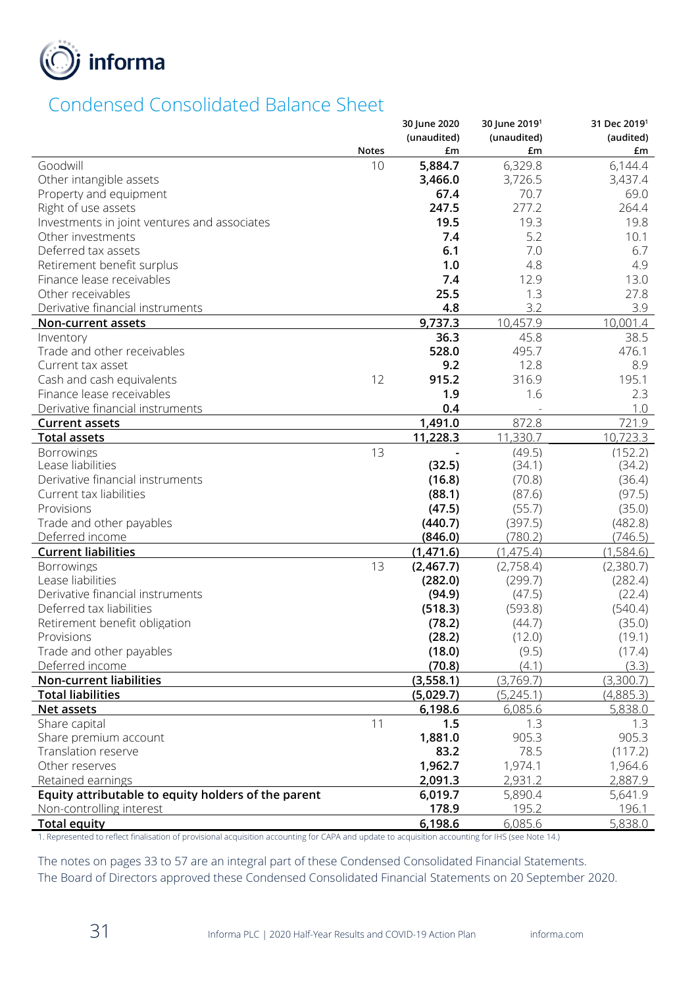

# Condensed Consolidated Balance Sheet

|                                                     |              | 30 June 2020 | 30 June 2019 <sup>1</sup> | 31 Dec 2019 <sup>1</sup> |
|-----------------------------------------------------|--------------|--------------|---------------------------|--------------------------|
|                                                     |              | (unaudited)  | (unaudited)               | (audited)                |
|                                                     | <b>Notes</b> | £m           | £m                        | £m                       |
| Goodwill                                            | 10           | 5,884.7      | 6,329.8                   | 6,144.4                  |
| Other intangible assets                             |              | 3,466.0      | 3,726.5                   | 3,437.4                  |
| Property and equipment                              |              | 67.4         | 70.7                      | 69.0                     |
| Right of use assets                                 |              | 247.5        | 277.2                     | 264.4                    |
| Investments in joint ventures and associates        |              | 19.5         | 19.3                      | 19.8                     |
| Other investments                                   |              | 7.4          | 5.2                       | 10.1                     |
| Deferred tax assets                                 |              | 6.1          | 7.0                       | 6.7                      |
| Retirement benefit surplus                          |              | 1.0          | 4.8                       | 4.9                      |
| Finance lease receivables                           |              | 7.4          | 12.9                      | 13.0                     |
| Other receivables                                   |              | 25.5         | 1.3                       | 27.8                     |
| Derivative financial instruments                    |              | 4.8          | 3.2                       | 3.9                      |
| Non-current assets                                  |              | 9,737.3      | 10,457.9                  | 10,001.4                 |
| Inventory                                           |              | 36.3         | 45.8                      | 38.5                     |
| Trade and other receivables                         |              | 528.0        | 495.7                     | 476.1                    |
| Current tax asset                                   |              | 9.2          | 12.8                      | 8.9                      |
| Cash and cash equivalents                           | 12           | 915.2        | 316.9                     | 195.1                    |
| Finance lease receivables                           |              | 1.9          | 1.6                       | 2.3                      |
| Derivative financial instruments                    |              | 0.4          |                           | 1.0                      |
| <b>Current assets</b>                               |              | 1,491.0      | 872.8                     | 721.9                    |
| <b>Total assets</b>                                 |              | 11,228.3     | 11,330.7                  | 10,723.3                 |
| <b>Borrowings</b>                                   | 13           |              | (49.5)                    | (152.2)                  |
| Lease liabilities                                   |              | (32.5)       | (34.1)                    | (34.2)                   |
| Derivative financial instruments                    |              | (16.8)       | (70.8)                    | (36.4)                   |
| Current tax liabilities                             |              | (88.1)       | (87.6)                    | (97.5)                   |
| Provisions                                          |              | (47.5)       | (55.7)                    | (35.0)                   |
| Trade and other payables                            |              | (440.7)      | (397.5)                   | (482.8)                  |
| Deferred income                                     |              | (846.0)      | (780.2)                   | (746.5)                  |
| <b>Current liabilities</b>                          |              | (1,471.6)    | (1,475.4)                 | (1,584.6)                |
| <b>Borrowings</b>                                   | 13           | (2,467.7)    | (2,758.4)                 | (2,380.7)                |
| Lease liabilities                                   |              | (282.0)      | (299.7)                   | (282.4)                  |
| Derivative financial instruments                    |              | (94.9)       | (47.5)                    | (22.4)                   |
| Deferred tax liabilities                            |              | (518.3)      | (593.8)                   | (540.4)                  |
| Retirement benefit obligation                       |              | (78.2)       | (44.7)                    | (35.0)                   |
| Provisions                                          |              | (28.2)       | (12.0)                    | (19.1)                   |
| Trade and other payables                            |              | (18.0)       | (9.5)                     | (17.4)                   |
| Deferred income                                     |              | (70.8)       | (4.1)                     | (3.3)                    |
| <b>Non-current liabilities</b>                      |              | (3,558.1)    | (3,769.7)                 | (3,300.7)                |
| <b>Total liabilities</b>                            |              | (5,029.7)    | (5,245.1)                 | (4,885.3)                |
|                                                     |              | 6,198.6      | 6,085.6                   | 5,838.0                  |
| Net assets<br>Share capital                         | 11           | 1.5          | 1.3                       |                          |
|                                                     |              |              |                           | 1.3                      |
| Share premium account                               |              | 1,881.0      | 905.3                     | 905.3                    |
| Translation reserve                                 |              | 83.2         | 78.5                      | (117.2)                  |
| Other reserves                                      |              | 1,962.7      | 1,974.1                   | 1,964.6                  |
| Retained earnings                                   |              | 2,091.3      | 2,931.2                   | 2,887.9                  |
| Equity attributable to equity holders of the parent |              | 6,019.7      | 5,890.4                   | 5,641.9                  |
| Non-controlling interest                            |              | 178.9        | 195.2                     | 196.1                    |
| <b>Total equity</b>                                 |              | 6,198.6      | 6,085.6                   | 5,838.0                  |

1. Represented to reflect finalisation of provisional acquisition accounting for CAPA and update to acquisition accounting for IHS (see Note 14.)

The notes on pages 33 to 57 are an integral part of these Condensed Consolidated Financial Statements. The Board of Directors approved these Condensed Consolidated Financial Statements on 20 September 2020.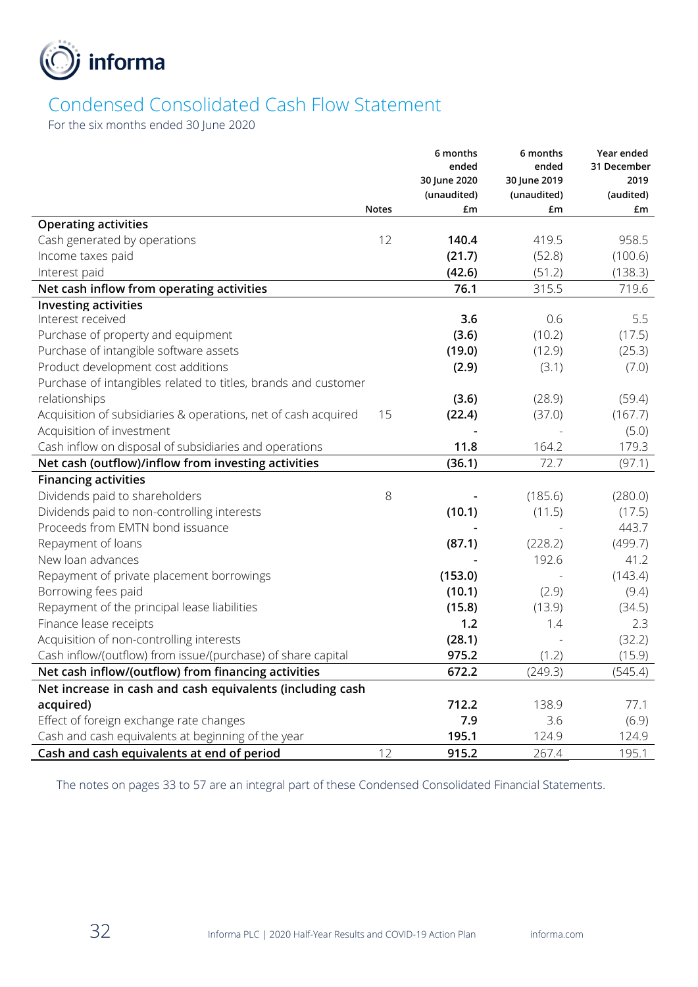

# Condensed Consolidated Cash Flow Statement

For the six months ended 30 June 2020

|                                                                |              | 6 months<br>ended<br>30 June 2020 | 6 months<br>ended<br>30 June 2019 | Year ended<br>31 December<br>2019 |
|----------------------------------------------------------------|--------------|-----------------------------------|-----------------------------------|-----------------------------------|
|                                                                |              | (unaudited)                       | (unaudited)                       | (audited)                         |
|                                                                | <b>Notes</b> | £m                                | £m                                | £m                                |
| <b>Operating activities</b>                                    |              |                                   |                                   |                                   |
| Cash generated by operations                                   | 12           | 140.4                             | 419.5                             | 958.5                             |
| Income taxes paid                                              |              | (21.7)                            | (52.8)                            | (100.6)                           |
| Interest paid                                                  |              | (42.6)                            | (51.2)                            | (138.3)                           |
| Net cash inflow from operating activities                      |              | 76.1                              | 315.5                             | 719.6                             |
| <b>Investing activities</b>                                    |              |                                   |                                   |                                   |
| Interest received                                              |              | 3.6                               | 0.6                               | 5.5                               |
| Purchase of property and equipment                             |              | (3.6)                             | (10.2)                            | (17.5)                            |
| Purchase of intangible software assets                         |              | (19.0)                            | (12.9)                            | (25.3)                            |
| Product development cost additions                             |              | (2.9)                             | (3.1)                             | (7.0)                             |
| Purchase of intangibles related to titles, brands and customer |              |                                   |                                   |                                   |
| relationships                                                  |              | (3.6)                             | (28.9)                            | (59.4)                            |
| Acquisition of subsidiaries & operations, net of cash acquired | 15           | (22.4)                            | (37.0)                            | (167.7)                           |
| Acquisition of investment                                      |              |                                   |                                   | (5.0)                             |
| Cash inflow on disposal of subsidiaries and operations         |              | 11.8                              | 164.2                             | 179.3                             |
| Net cash (outflow)/inflow from investing activities            |              | (36.1)                            | 72.7                              | (97.1)                            |
| <b>Financing activities</b>                                    |              |                                   |                                   |                                   |
| Dividends paid to shareholders                                 | 8            |                                   | (185.6)                           | (280.0)                           |
| Dividends paid to non-controlling interests                    |              | (10.1)                            | (11.5)                            | (17.5)                            |
| Proceeds from EMTN bond issuance                               |              |                                   |                                   | 443.7                             |
| Repayment of loans                                             |              | (87.1)                            | (228.2)                           | (499.7)                           |
| New loan advances                                              |              |                                   | 192.6                             | 41.2                              |
| Repayment of private placement borrowings                      |              | (153.0)                           |                                   | (143.4)                           |
| Borrowing fees paid                                            |              | (10.1)                            | (2.9)                             | (9.4)                             |
| Repayment of the principal lease liabilities                   |              | (15.8)                            | (13.9)                            | (34.5)                            |
| Finance lease receipts                                         |              | 1.2                               | 1.4                               | 2.3                               |
| Acquisition of non-controlling interests                       |              | (28.1)                            |                                   | (32.2)                            |
| Cash inflow/(outflow) from issue/(purchase) of share capital   |              | 975.2                             | (1.2)                             | (15.9)                            |
| Net cash inflow/(outflow) from financing activities            |              | 672.2                             | (249.3)                           | (545.4)                           |
| Net increase in cash and cash equivalents (including cash      |              |                                   |                                   |                                   |
| acquired)                                                      |              | 712.2                             | 138.9                             | 77.1                              |
| Effect of foreign exchange rate changes                        |              | 7.9                               | 3.6                               | (6.9)                             |
| Cash and cash equivalents at beginning of the year             |              | 195.1                             | 124.9                             | 124.9                             |
| Cash and cash equivalents at end of period                     | 12           | 915.2                             | 267.4                             | 195.1                             |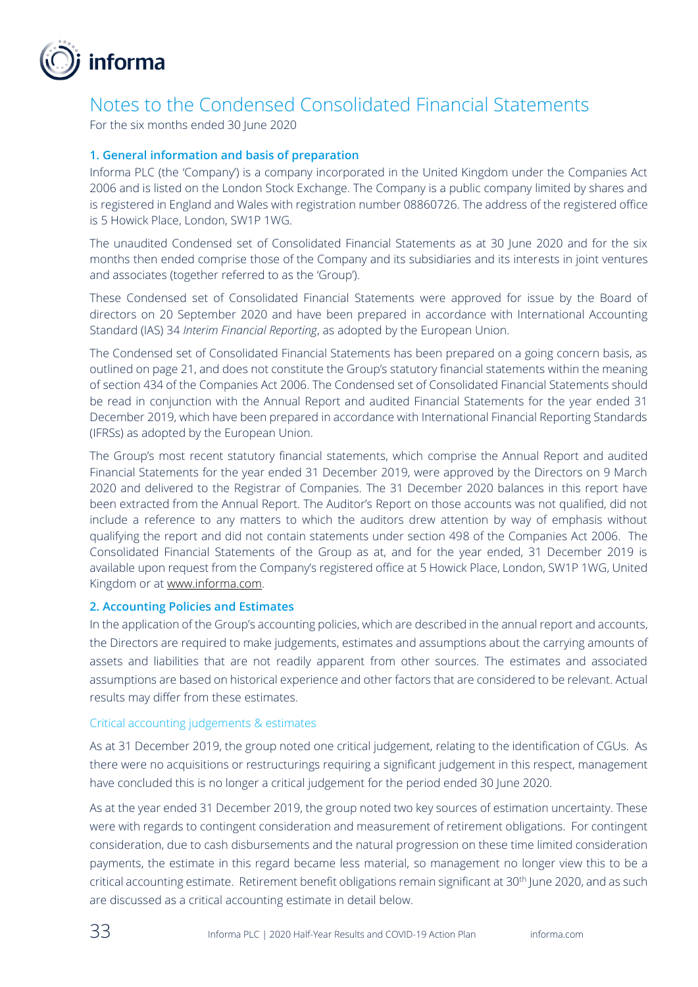

## Notes to the Condensed Consolidated Financial Statements

For the six months ended 30 June 2020

#### **1. General information and basis of preparation**

Informa PLC (the 'Company') is a company incorporated in the United Kingdom under the Companies Act 2006 and is listed on the London Stock Exchange. The Company is a public company limited by shares and is registered in England and Wales with registration number 08860726. The address of the registered office is 5 Howick Place, London, SW1P 1WG.

The unaudited Condensed set of Consolidated Financial Statements as at 30 June 2020 and for the six months then ended comprise those of the Company and its subsidiaries and its interests in joint ventures and associates (together referred to as the 'Group').

These Condensed set of Consolidated Financial Statements were approved for issue by the Board of directors on 20 September 2020 and have been prepared in accordance with International Accounting Standard (IAS) 34 *Interim Financial Reporting*, as adopted by the European Union.

The Condensed set of Consolidated Financial Statements has been prepared on a going concern basis, as outlined on page 21, and does not constitute the Group's statutory financial statements within the meaning of section 434 of the Companies Act 2006. The Condensed set of Consolidated Financial Statements should be read in conjunction with the Annual Report and audited Financial Statements for the year ended 31 December 2019, which have been prepared in accordance with International Financial Reporting Standards (IFRSs) as adopted by the European Union.

The Group's most recent statutory financial statements, which comprise the Annual Report and audited Financial Statements for the year ended 31 December 2019, were approved by the Directors on 9 March 2020 and delivered to the Registrar of Companies. The 31 December 2020 balances in this report have been extracted from the Annual Report. The Auditor's Report on those accounts was not qualified, did not include a reference to any matters to which the auditors drew attention by way of emphasis without qualifying the report and did not contain statements under section 498 of the Companies Act 2006. The Consolidated Financial Statements of the Group as at, and for the year ended, 31 December 2019 is available upon request from the Company's registered office at 5 Howick Place, London, SW1P 1WG, United Kingdom or at [www.informa.com.](http://www.informa.com/)

#### **2. Accounting Policies and Estimates**

In the application of the Group's accounting policies, which are described in the annual report and accounts, the Directors are required to make judgements, estimates and assumptions about the carrying amounts of assets and liabilities that are not readily apparent from other sources. The estimates and associated assumptions are based on historical experience and other factors that are considered to be relevant. Actual results may differ from these estimates.

#### Critical accounting judgements & estimates

As at 31 December 2019, the group noted one critical judgement, relating to the identification of CGUs. As there were no acquisitions or restructurings requiring a significant judgement in this respect, management have concluded this is no longer a critical judgement for the period ended 30 June 2020.

As at the year ended 31 December 2019, the group noted two key sources of estimation uncertainty. These were with regards to contingent consideration and measurement of retirement obligations. For contingent consideration, due to cash disbursements and the natural progression on these time limited consideration payments, the estimate in this regard became less material, so management no longer view this to be a critical accounting estimate. Retirement benefit obligations remain significant at 30<sup>th</sup> June 2020, and as such are discussed as a critical accounting estimate in detail below.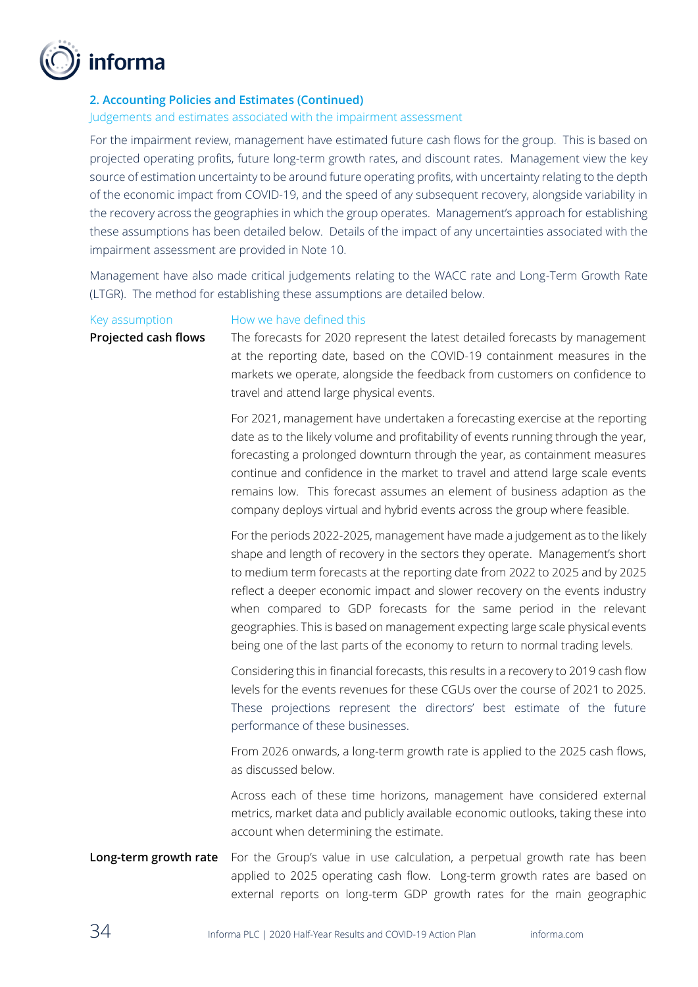

## **2. Accounting Policies and Estimates (Continued)**

#### Judgements and estimates associated with the impairment assessment

For the impairment review, management have estimated future cash flows for the group. This is based on projected operating profits, future long-term growth rates, and discount rates. Management view the key source of estimation uncertainty to be around future operating profits, with uncertainty relating to the depth of the economic impact from COVID-19, and the speed of any subsequent recovery, alongside variability in the recovery across the geographies in which the group operates. Management's approach for establishing these assumptions has been detailed below. Details of the impact of any uncertainties associated with the impairment assessment are provided in Note 10.

Management have also made critical judgements relating to the WACC rate and Long-Term Growth Rate (LTGR). The method for establishing these assumptions are detailed below.

| Key assumption<br>Projected cash flows | How we have defined this<br>The forecasts for 2020 represent the latest detailed forecasts by management<br>at the reporting date, based on the COVID-19 containment measures in the<br>markets we operate, alongside the feedback from customers on confidence to<br>travel and attend large physical events.                                                                                                                                                                                                                                                        |
|----------------------------------------|-----------------------------------------------------------------------------------------------------------------------------------------------------------------------------------------------------------------------------------------------------------------------------------------------------------------------------------------------------------------------------------------------------------------------------------------------------------------------------------------------------------------------------------------------------------------------|
|                                        | For 2021, management have undertaken a forecasting exercise at the reporting<br>date as to the likely volume and profitability of events running through the year,<br>forecasting a prolonged downturn through the year, as containment measures<br>continue and confidence in the market to travel and attend large scale events<br>remains low. This forecast assumes an element of business adaption as the<br>company deploys virtual and hybrid events across the group where feasible.                                                                          |
|                                        | For the periods 2022-2025, management have made a judgement as to the likely<br>shape and length of recovery in the sectors they operate. Management's short<br>to medium term forecasts at the reporting date from 2022 to 2025 and by 2025<br>reflect a deeper economic impact and slower recovery on the events industry<br>when compared to GDP forecasts for the same period in the relevant<br>geographies. This is based on management expecting large scale physical events<br>being one of the last parts of the economy to return to normal trading levels. |
|                                        | Considering this in financial forecasts, this results in a recovery to 2019 cash flow<br>levels for the events revenues for these CGUs over the course of 2021 to 2025.<br>These projections represent the directors' best estimate of the future<br>performance of these businesses.                                                                                                                                                                                                                                                                                 |
|                                        | From 2026 onwards, a long-term growth rate is applied to the 2025 cash flows,<br>as discussed below.                                                                                                                                                                                                                                                                                                                                                                                                                                                                  |
|                                        | Across each of these time horizons, management have considered external<br>metrics, market data and publicly available economic outlooks, taking these into<br>account when determining the estimate.                                                                                                                                                                                                                                                                                                                                                                 |
| Long-term growth rate                  | For the Group's value in use calculation, a perpetual growth rate has been<br>applied to 2025 operating cash flow. Long-term growth rates are based on<br>external reports on long-term GDP growth rates for the main geographic                                                                                                                                                                                                                                                                                                                                      |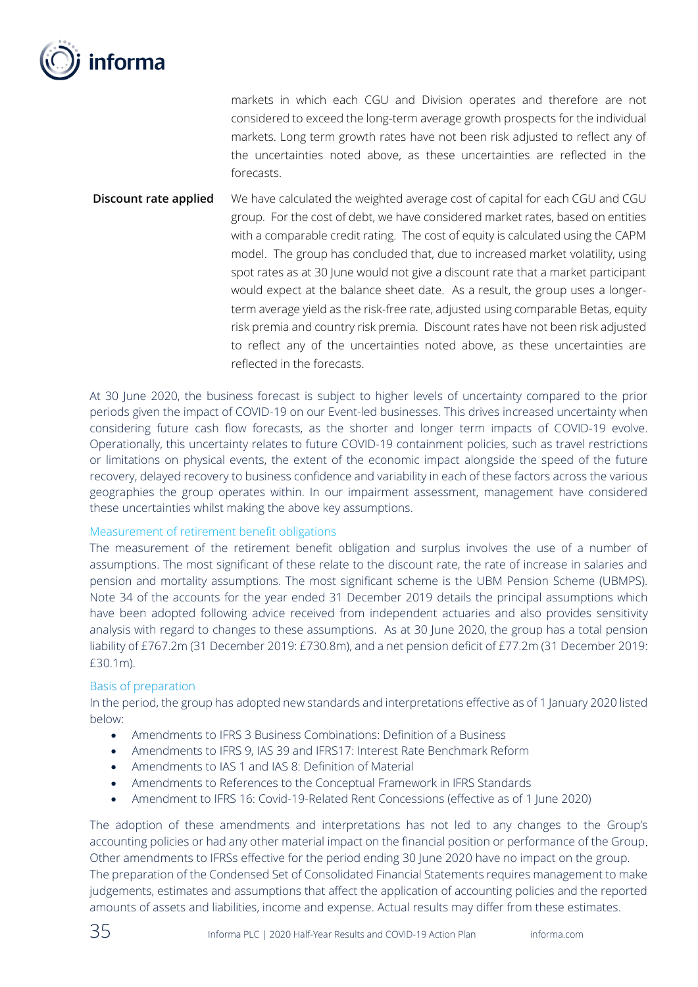

markets in which each CGU and Division operates and therefore are not considered to exceed the long-term average growth prospects for the individual markets. Long term growth rates have not been risk adjusted to reflect any of the uncertainties noted above, as these uncertainties are reflected in the forecasts.

**Discount rate applied** We have calculated the weighted average cost of capital for each CGU and CGU group. For the cost of debt, we have considered market rates, based on entities with a comparable credit rating. The cost of equity is calculated using the CAPM model. The group has concluded that, due to increased market volatility, using spot rates as at 30 June would not give a discount rate that a market participant would expect at the balance sheet date. As a result, the group uses a longerterm average yield as the risk-free rate, adjusted using comparable Betas, equity risk premia and country risk premia. Discount rates have not been risk adjusted to reflect any of the uncertainties noted above, as these uncertainties are reflected in the forecasts.

At 30 June 2020, the business forecast is subject to higher levels of uncertainty compared to the prior periods given the impact of COVID-19 on our Event-led businesses. This drives increased uncertainty when considering future cash flow forecasts, as the shorter and longer term impacts of COVID-19 evolve. Operationally, this uncertainty relates to future COVID-19 containment policies, such as travel restrictions or limitations on physical events, the extent of the economic impact alongside the speed of the future recovery, delayed recovery to business confidence and variability in each of these factors across the various geographies the group operates within. In our impairment assessment, management have considered these uncertainties whilst making the above key assumptions.

## Measurement of retirement benefit obligations

The measurement of the retirement benefit obligation and surplus involves the use of a number of assumptions. The most significant of these relate to the discount rate, the rate of increase in salaries and pension and mortality assumptions. The most significant scheme is the UBM Pension Scheme (UBMPS). Note 34 of the accounts for the year ended 31 December 2019 details the principal assumptions which have been adopted following advice received from independent actuaries and also provides sensitivity analysis with regard to changes to these assumptions. As at 30 June 2020, the group has a total pension liability of £767.2m (31 December 2019: £730.8m), and a net pension deficit of £77.2m (31 December 2019: £30.1m).

#### Basis of preparation

In the period, the group has adopted new standards and interpretations effective as of 1 January 2020 listed below:

- Amendments to IFRS 3 Business Combinations: Definition of a Business
- Amendments to IFRS 9, IAS 39 and IFRS17: Interest Rate Benchmark Reform
- Amendments to IAS 1 and IAS 8: Definition of Material
- Amendments to References to the Conceptual Framework in IFRS Standards
- Amendment to IFRS 16: Covid-19-Related Rent Concessions (effective as of 1 June 2020)

The adoption of these amendments and interpretations has not led to any changes to the Group's accounting policies or had any other material impact on the financial position or performance of the Group. Other amendments to IFRSs effective for the period ending 30 June 2020 have no impact on the group. The preparation of the Condensed Set of Consolidated Financial Statements requires management to make judgements, estimates and assumptions that affect the application of accounting policies and the reported amounts of assets and liabilities, income and expense. Actual results may differ from these estimates.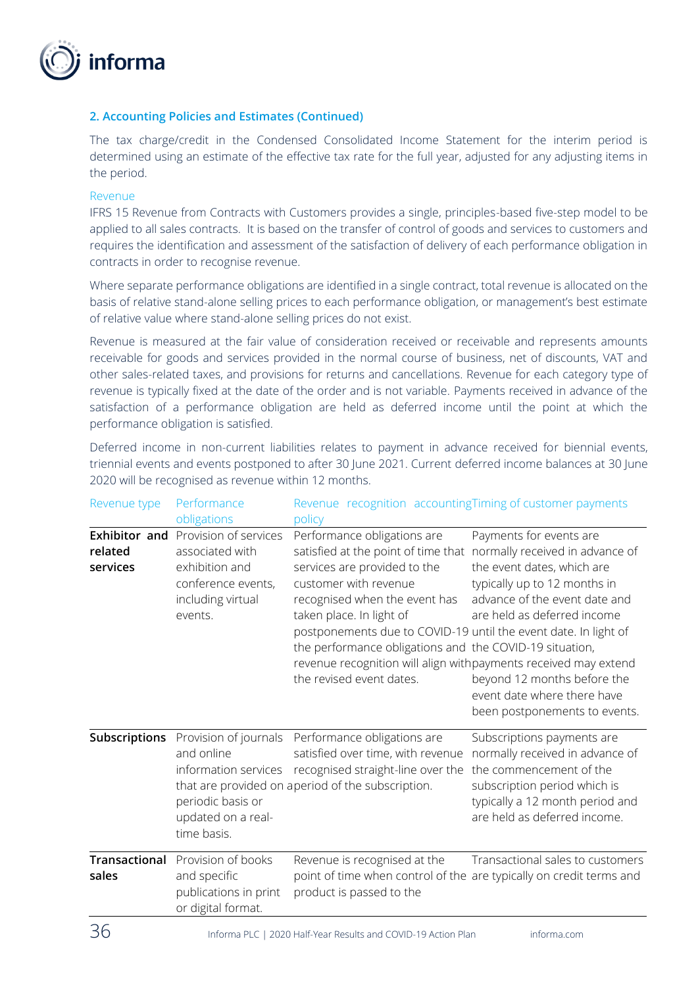

#### **2. Accounting Policies and Estimates (Continued)**

The tax charge/credit in the Condensed Consolidated Income Statement for the interim period is determined using an estimate of the effective tax rate for the full year, adjusted for any adjusting items in the period.

#### Revenue

IFRS 15 Revenue from Contracts with Customers provides a single, principles-based five-step model to be applied to all sales contracts. It is based on the transfer of control of goods and services to customers and requires the identification and assessment of the satisfaction of delivery of each performance obligation in contracts in order to recognise revenue.

Where separate performance obligations are identified in a single contract, total revenue is allocated on the basis of relative stand-alone selling prices to each performance obligation, or management's best estimate of relative value where stand-alone selling prices do not exist.

Revenue is measured at the fair value of consideration received or receivable and represents amounts receivable for goods and services provided in the normal course of business, net of discounts, VAT and other sales-related taxes, and provisions for returns and cancellations. Revenue for each category type of revenue is typically fixed at the date of the order and is not variable. Payments received in advance of the satisfaction of a performance obligation are held as deferred income until the point at which the performance obligation is satisfied.

Deferred income in non-current liabilities relates to payment in advance received for biennial events, triennial events and events postponed to after 30 June 2021. Current deferred income balances at 30 June 2020 will be recognised as revenue within 12 months.

| Revenue type           | Performance<br>obligations                                                                                                            | Revenue recognition accounting Timing of customer payments<br>policy                                                                                                                                                                                                                                                                                                                                                                                  |                                                                                                                                                                                                                                                      |
|------------------------|---------------------------------------------------------------------------------------------------------------------------------------|-------------------------------------------------------------------------------------------------------------------------------------------------------------------------------------------------------------------------------------------------------------------------------------------------------------------------------------------------------------------------------------------------------------------------------------------------------|------------------------------------------------------------------------------------------------------------------------------------------------------------------------------------------------------------------------------------------------------|
| related<br>services    | <b>Exhibitor and Provision of services</b><br>associated with<br>exhibition and<br>conference events,<br>including virtual<br>events. | Performance obligations are<br>satisfied at the point of time that normally received in advance of<br>services are provided to the<br>customer with revenue<br>recognised when the event has<br>taken place. In light of<br>postponements due to COVID-19 until the event date. In light of<br>the performance obligations and the COVID-19 situation,<br>revenue recognition will align withpayments received may extend<br>the revised event dates. | Payments for events are<br>the event dates, which are<br>typically up to 12 months in<br>advance of the event date and<br>are held as deferred income<br>beyond 12 months before the<br>event date where there have<br>been postponements to events. |
| <b>Subscriptions</b>   | Provision of journals<br>and online<br>periodic basis or<br>updated on a real-<br>time basis.                                         | Performance obligations are<br>satisfied over time, with revenue<br>information services recognised straight-line over the<br>that are provided on aperiod of the subscription.                                                                                                                                                                                                                                                                       | Subscriptions payments are<br>normally received in advance of<br>the commencement of the<br>subscription period which is<br>typically a 12 month period and<br>are held as deferred income.                                                          |
| Transactional<br>sales | Provision of books<br>and specific<br>publications in print<br>or digital format.                                                     | Revenue is recognised at the<br>point of time when control of the are typically on credit terms and<br>product is passed to the                                                                                                                                                                                                                                                                                                                       | Transactional sales to customers                                                                                                                                                                                                                     |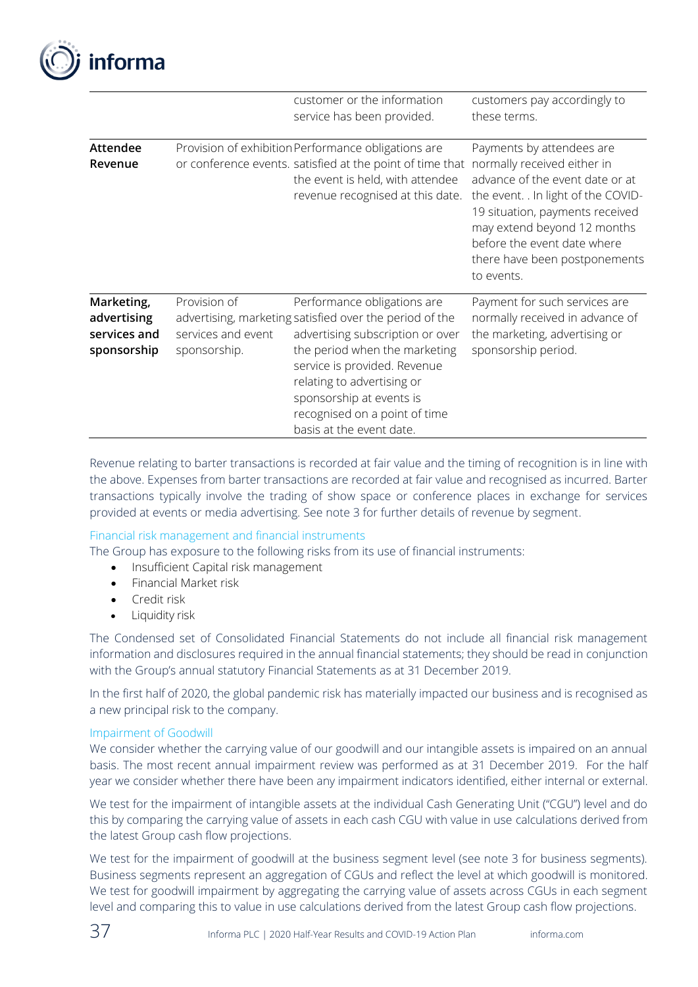

|                                                          |                                                    | customer or the information<br>service has been provided.                                                                                                                                                                                                                                                          | customers pay accordingly to<br>these terms.                                                                                                                                                                                                                                       |
|----------------------------------------------------------|----------------------------------------------------|--------------------------------------------------------------------------------------------------------------------------------------------------------------------------------------------------------------------------------------------------------------------------------------------------------------------|------------------------------------------------------------------------------------------------------------------------------------------------------------------------------------------------------------------------------------------------------------------------------------|
| Attendee<br>Revenue                                      |                                                    | Provision of exhibition Performance obligations are<br>or conference events. satisfied at the point of time that<br>the event is held, with attendee<br>revenue recognised at this date.                                                                                                                           | Payments by attendees are<br>normally received either in<br>advance of the event date or at<br>the event. . In light of the COVID-<br>19 situation, payments received<br>may extend beyond 12 months<br>before the event date where<br>there have been postponements<br>to events. |
| Marketing,<br>advertising<br>services and<br>sponsorship | Provision of<br>services and event<br>sponsorship. | Performance obligations are<br>advertising, marketing satisfied over the period of the<br>advertising subscription or over<br>the period when the marketing<br>service is provided. Revenue<br>relating to advertising or<br>sponsorship at events is<br>recognised on a point of time<br>basis at the event date. | Payment for such services are<br>normally received in advance of<br>the marketing, advertising or<br>sponsorship period.                                                                                                                                                           |

Revenue relating to barter transactions is recorded at fair value and the timing of recognition is in line with the above. Expenses from barter transactions are recorded at fair value and recognised as incurred. Barter transactions typically involve the trading of show space or conference places in exchange for services provided at events or media advertising. See note 3 for further details of revenue by segment.

#### Financial risk management and financial instruments

The Group has exposure to the following risks from its use of financial instruments:

- Insufficient Capital risk management
- Financial Market risk
- Credit risk
- Liquidity risk

The Condensed set of Consolidated Financial Statements do not include all financial risk management information and disclosures required in the annual financial statements; they should be read in conjunction with the Group's annual statutory Financial Statements as at 31 December 2019.

In the first half of 2020, the global pandemic risk has materially impacted our business and is recognised as a new principal risk to the company.

#### Impairment of Goodwill

We consider whether the carrying value of our goodwill and our intangible assets is impaired on an annual basis. The most recent annual impairment review was performed as at 31 December 2019. For the half year we consider whether there have been any impairment indicators identified, either internal or external.

We test for the impairment of intangible assets at the individual Cash Generating Unit ("CGU") level and do this by comparing the carrying value of assets in each cash CGU with value in use calculations derived from the latest Group cash flow projections.

We test for the impairment of goodwill at the business segment level (see note 3 for business segments). Business segments represent an aggregation of CGUs and reflect the level at which goodwill is monitored. We test for goodwill impairment by aggregating the carrying value of assets across CGUs in each segment level and comparing this to value in use calculations derived from the latest Group cash flow projections.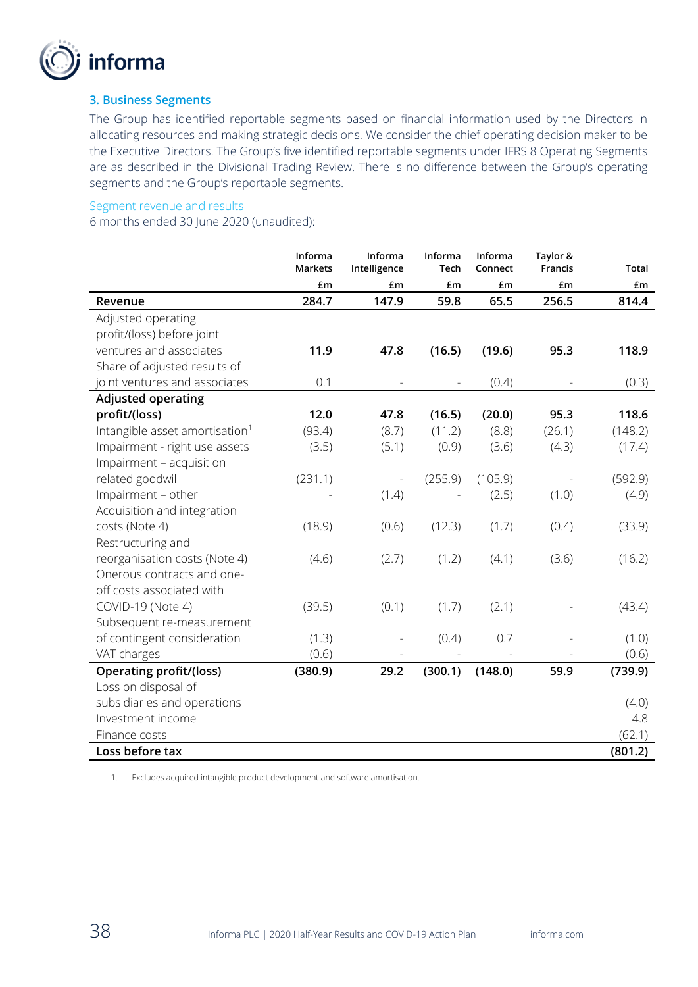

#### **3. Business Segments**

The Group has identified reportable segments based on financial information used by the Directors in allocating resources and making strategic decisions. We consider the chief operating decision maker to be the Executive Directors. The Group's five identified reportable segments under IFRS 8 Operating Segments are as described in the Divisional Trading Review. There is no difference between the Group's operating segments and the Group's reportable segments.

#### Segment revenue and results

6 months ended 30 June 2020 (unaudited):

|                                            | Informa<br><b>Markets</b> | Informa<br>Intelligence | Informa<br>Tech | Informa<br>Connect | Taylor &<br><b>Francis</b> | <b>Total</b> |
|--------------------------------------------|---------------------------|-------------------------|-----------------|--------------------|----------------------------|--------------|
|                                            | £m                        | £m                      | £m              | £m                 | £m                         | £m           |
| Revenue                                    | 284.7                     | 147.9                   | 59.8            | 65.5               | 256.5                      | 814.4        |
| Adjusted operating                         |                           |                         |                 |                    |                            |              |
| profit/(loss) before joint                 |                           |                         |                 |                    |                            |              |
| ventures and associates                    | 11.9                      | 47.8                    | (16.5)          | (19.6)             | 95.3                       | 118.9        |
| Share of adjusted results of               |                           |                         |                 |                    |                            |              |
| joint ventures and associates              | 0.1                       |                         |                 | (0.4)              |                            | (0.3)        |
| <b>Adjusted operating</b>                  |                           |                         |                 |                    |                            |              |
| profit/(loss)                              | 12.0                      | 47.8                    | (16.5)          | (20.0)             | 95.3                       | 118.6        |
| Intangible asset amortisation <sup>1</sup> | (93.4)                    | (8.7)                   | (11.2)          | (8.8)              | (26.1)                     | (148.2)      |
| Impairment - right use assets              | (3.5)                     | (5.1)                   | (0.9)           | (3.6)              | (4.3)                      | (17.4)       |
| Impairment - acquisition                   |                           |                         |                 |                    |                            |              |
| related goodwill                           | (231.1)                   |                         | (255.9)         | (105.9)            |                            | (592.9)      |
| Impairment - other                         |                           | (1.4)                   |                 | (2.5)              | (1.0)                      | (4.9)        |
| Acquisition and integration                |                           |                         |                 |                    |                            |              |
| costs (Note 4)                             | (18.9)                    | (0.6)                   | (12.3)          | (1.7)              | (0.4)                      | (33.9)       |
| Restructuring and                          |                           |                         |                 |                    |                            |              |
| reorganisation costs (Note 4)              | (4.6)                     | (2.7)                   | (1.2)           | (4.1)              | (3.6)                      | (16.2)       |
| Onerous contracts and one-                 |                           |                         |                 |                    |                            |              |
| off costs associated with                  |                           |                         |                 |                    |                            |              |
| COVID-19 (Note 4)                          | (39.5)                    | (0.1)                   | (1.7)           | (2.1)              |                            | (43.4)       |
| Subsequent re-measurement                  |                           |                         |                 |                    |                            |              |
| of contingent consideration                | (1.3)                     |                         | (0.4)           | 0.7                |                            | (1.0)        |
| VAT charges                                | (0.6)                     |                         |                 |                    |                            | (0.6)        |
| <b>Operating profit/(loss)</b>             | (380.9)                   | 29.2                    | (300.1)         | (148.0)            | 59.9                       | (739.9)      |
| Loss on disposal of                        |                           |                         |                 |                    |                            |              |
| subsidiaries and operations                |                           |                         |                 |                    |                            | (4.0)        |
| Investment income                          |                           |                         |                 |                    |                            | 4.8          |
| Finance costs                              |                           |                         |                 |                    |                            | (62.1)       |
| Loss before tax                            |                           |                         |                 |                    |                            | (801.2)      |

1. Excludes acquired intangible product development and software amortisation.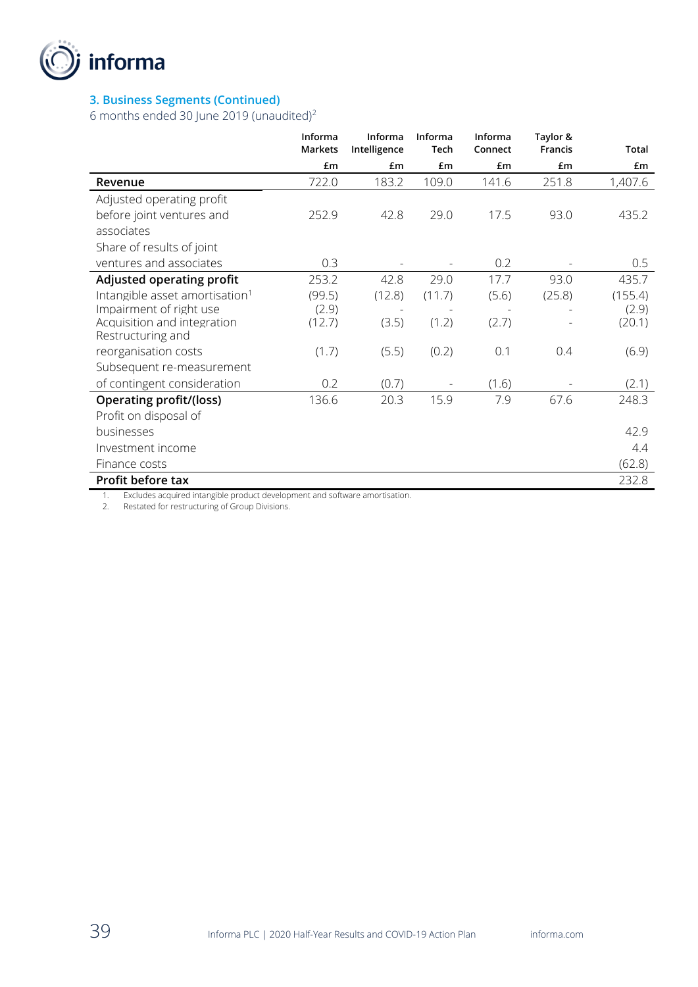

## **3. Business Segments (Continued)**

6 months ended 30 June 2019 (unaudited)<sup>2</sup>

|                                                  | Informa<br>Markets | Informa<br>Intelligence | Informa<br>Tech | Informa<br>Connect | Taylor &<br><b>Francis</b> | Total   |
|--------------------------------------------------|--------------------|-------------------------|-----------------|--------------------|----------------------------|---------|
|                                                  | £m                 | £m                      | £m              | £m                 | £m                         | Em      |
| Revenue                                          | 722.0              | 183.2                   | 109.0           | 141.6              | 251.8                      | 1,407.6 |
| Adjusted operating profit                        |                    |                         |                 |                    |                            |         |
| before joint ventures and                        | 252.9              | 42.8                    | 29.0            | 17.5               | 93.0                       | 435.2   |
| associates                                       |                    |                         |                 |                    |                            |         |
| Share of results of joint                        |                    |                         |                 |                    |                            |         |
| ventures and associates                          | 0.3                |                         |                 | 0.2                |                            | 0.5     |
| Adjusted operating profit                        | 253.2              | 42.8                    | 29.0            | 17.7               | 93.0                       | 435.7   |
| Intangible asset amortisation <sup>1</sup>       | (99.5)             | (12.8)                  | (11.7)          | (5.6)              | (25.8)                     | (155.4) |
| Impairment of right use                          | (2.9)              |                         |                 |                    |                            | (2.9)   |
| Acquisition and integration<br>Restructuring and | (12.7)             | (3.5)                   | (1.2)           | (2.7)              |                            | (20.1)  |
| reorganisation costs                             | (1.7)              | (5.5)                   | (0.2)           | 0.1                | 0.4                        | (6.9)   |
| Subsequent re-measurement                        |                    |                         |                 |                    |                            |         |
| of contingent consideration                      | 0.2                | (0.7)                   |                 | (1.6)              |                            | (2.1)   |
| Operating profit/(loss)                          | 136.6              | 20.3                    | 15.9            | 7.9                | 67.6                       | 248.3   |
| Profit on disposal of                            |                    |                         |                 |                    |                            |         |
| businesses                                       |                    |                         |                 |                    |                            | 42.9    |
| Investment income                                |                    |                         |                 |                    |                            | 4.4     |
| Finance costs                                    |                    |                         |                 |                    |                            | (62.8)  |
| Profit before tax                                |                    |                         |                 |                    |                            | 232.8   |

1. Excludes acquired intangible product development and software amortisation.

2. Restated for restructuring of Group Divisions.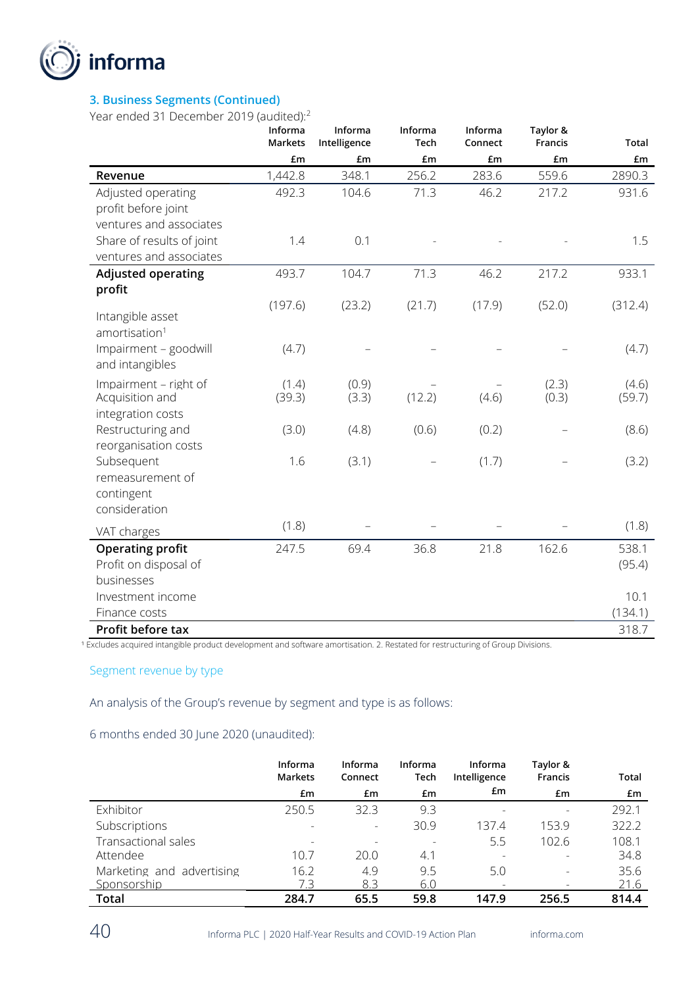

## **3. Business Segments (Continued)**

Year ended 31 December 2019 (audited):<sup>2</sup>

|                                        | Informa<br><b>Markets</b> | Informa<br>Intelligence | Informa<br>Tech | Informa<br>Connect | Taylor &<br><b>Francis</b> | <b>Total</b> |
|----------------------------------------|---------------------------|-------------------------|-----------------|--------------------|----------------------------|--------------|
|                                        | £m                        | £m                      | £m              | £m                 | £m                         | £m           |
| Revenue                                | 1,442.8                   | 348.1                   | 256.2           | 283.6              | 559.6                      | 2890.3       |
| Adjusted operating                     | 492.3                     | 104.6                   | 71.3            | 46.2               | 217.2                      | 931.6        |
| profit before joint                    |                           |                         |                 |                    |                            |              |
| ventures and associates                |                           |                         |                 |                    |                            |              |
| Share of results of joint              | 1.4                       | 0.1                     |                 |                    |                            | 1.5          |
| ventures and associates                |                           |                         |                 |                    |                            |              |
| <b>Adjusted operating</b>              | 493.7                     | 104.7                   | 71.3            | 46.2               | 217.2                      | 933.1        |
| profit                                 |                           |                         |                 |                    |                            |              |
|                                        | (197.6)                   | (23.2)                  | (21.7)          | (17.9)             | (52.0)                     | (312.4)      |
| Intangible asset                       |                           |                         |                 |                    |                            |              |
| amortisation <sup>1</sup>              |                           |                         |                 |                    |                            |              |
| Impairment - goodwill                  | (4.7)                     |                         |                 |                    |                            | (4.7)        |
| and intangibles                        |                           |                         |                 |                    |                            |              |
| Impairment - right of                  | (1.4)                     | (0.9)                   |                 |                    | (2.3)                      | (4.6)        |
| Acquisition and                        | (39.3)                    | (3.3)                   | (12.2)          | (4.6)              | (0.3)                      | (59.7)       |
| integration costs<br>Restructuring and | (3.0)                     | (4.8)                   | (0.6)           | (0.2)              |                            | (8.6)        |
|                                        |                           |                         |                 |                    |                            |              |
| reorganisation costs<br>Subsequent     | 1.6                       | (3.1)                   |                 | (1.7)              |                            | (3.2)        |
| remeasurement of                       |                           |                         |                 |                    |                            |              |
| contingent                             |                           |                         |                 |                    |                            |              |
| consideration                          |                           |                         |                 |                    |                            |              |
|                                        | (1.8)                     |                         |                 |                    |                            | (1.8)        |
| VAT charges                            |                           |                         |                 |                    |                            |              |
| <b>Operating profit</b>                | 247.5                     | 69.4                    | 36.8            | 21.8               | 162.6                      | 538.1        |
| Profit on disposal of                  |                           |                         |                 |                    |                            | (95.4)       |
| businesses                             |                           |                         |                 |                    |                            |              |
| Investment income                      |                           |                         |                 |                    |                            | 10.1         |
| Finance costs                          |                           |                         |                 |                    |                            | (134.1)      |
| Profit before tax                      |                           |                         |                 |                    |                            | 318.7        |

<sup>1</sup> Excludes acquired intangible product development and software amortisation. 2. Restated for restructuring of Group Divisions.

#### Segment revenue by type

An analysis of the Group's revenue by segment and type is as follows:

6 months ended 30 June 2020 (unaudited):

|                            | Informa        | Informa           | <b>Informa</b> | Informa                  | Taylor &       |              |
|----------------------------|----------------|-------------------|----------------|--------------------------|----------------|--------------|
|                            | <b>Markets</b> | Connect           | Tech           | Intelligence             | <b>Francis</b> | <b>Total</b> |
|                            | £m             | £m                | £m             | £m                       | £m             | £m           |
| Exhibitor                  | 250.5          | 32.3              | 9.3            | $\overline{\phantom{a}}$ |                | 292.1        |
| Subscriptions              |                | $\qquad \qquad -$ | 30.9           | 137.4                    | 153.9          | 322.2        |
| <b>Transactional sales</b> |                |                   |                | 5.5                      | 102.6          | 108.1        |
| Attendee                   | 10.7           | 20.0              | 4.1            | $\overline{\phantom{a}}$ |                | 34.8         |
| Marketing and advertising  | 16.2           | 4.9               | 9.5            | 5.0                      | -              | 35.6         |
| Sponsorship                | 7.3            | 8.3               | 6.0            |                          |                | 21.6         |
| Total                      | 284.7          | 65.5              | 59.8           | 147.9                    | 256.5          | 814.4        |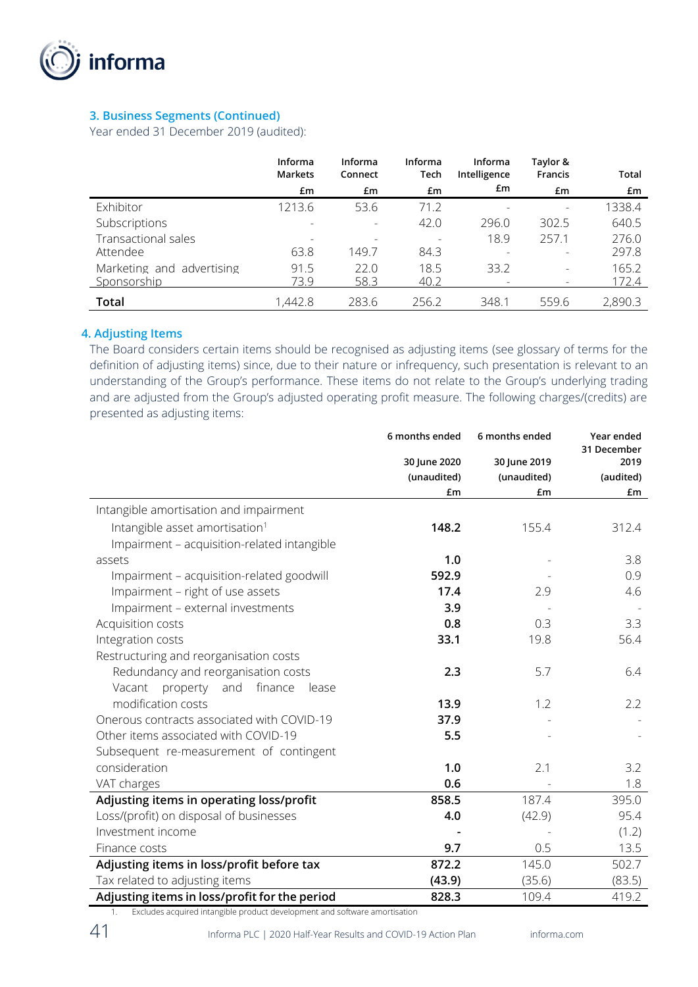

## **3. Business Segments (Continued)**

Year ended 31 December 2019 (audited):

|                           | Informa<br><b>Markets</b> | Informa<br>Connect | Informa<br>Tech | <b>Informa</b><br>Intelligence | Taylor &<br>Francis | <b>Total</b> |
|---------------------------|---------------------------|--------------------|-----------------|--------------------------------|---------------------|--------------|
|                           | £m                        | £m                 | £m              | £m                             | £m                  | £m           |
| Exhibitor                 | 1213.6                    | 53.6               | 71.2            |                                |                     | 1338.4       |
| Subscriptions             |                           | ÷                  | 42.0            | 296.0                          | 302.5               | 640.5        |
| Transactional sales       | $\overline{\phantom{m}}$  |                    |                 | 18.9                           | 257.1               | 276.0        |
| Attendee                  | 63.8                      | 149.7              | 84.3            |                                |                     | 297.8        |
| Marketing and advertising | 91.5                      | 22.0               | 18.5            | 33.2                           |                     | 165.2        |
| Sponsorship               | 73.9                      | 58.3               | 40.2            |                                |                     | 172.4        |
| <b>Total</b>              | 1,442.8                   | 283.6              | 256.2           | 348.1                          | 559.6               | 2,890.3      |

## **4. Adjusting Items**

The Board considers certain items should be recognised as adjusting items (see glossary of terms for the definition of adjusting items) since, due to their nature or infrequency, such presentation is relevant to an understanding of the Group's performance. These items do not relate to the Group's underlying trading and are adjusted from the Group's adjusted operating profit measure. The following charges/(credits) are presented as adjusting items:

|                                               | 6 months ended | 6 months ended | Year ended<br>31 December |
|-----------------------------------------------|----------------|----------------|---------------------------|
|                                               | 30 June 2020   | 30 June 2019   | 2019                      |
|                                               | (unaudited)    | (unaudited)    | (audited)                 |
|                                               | £m             | £m             | £m                        |
| Intangible amortisation and impairment        |                |                |                           |
| Intangible asset amortisation <sup>1</sup>    | 148.2          | 155.4          | 312.4                     |
| Impairment - acquisition-related intangible   |                |                |                           |
| assets                                        | 1.0            |                | 3.8                       |
| Impairment - acquisition-related goodwill     | 592.9          |                | 0.9                       |
| Impairment - right of use assets              | 17.4           | 2.9            | 4.6                       |
| Impairment - external investments             | 3.9            |                |                           |
| Acquisition costs                             | 0.8            | 0.3            | 3.3                       |
| Integration costs                             | 33.1           | 19.8           | 56.4                      |
| Restructuring and reorganisation costs        |                |                |                           |
| Redundancy and reorganisation costs           | 2.3            | 5.7            | 6.4                       |
| finance<br>Vacant<br>property<br>and<br>lease |                |                |                           |
| modification costs                            | 13.9           | 1.2            | 2.2                       |
| Onerous contracts associated with COVID-19    | 37.9           |                |                           |
| Other items associated with COVID-19          | 5.5            |                |                           |
| Subsequent re-measurement of contingent       |                |                |                           |
| consideration                                 | 1.0            | 2.1            | 3.2                       |
| VAT charges                                   | 0.6            |                | 1.8                       |
| Adjusting items in operating loss/profit      | 858.5          | 187.4          | 395.0                     |
| Loss/(profit) on disposal of businesses       | 4.0            | (42.9)         | 95.4                      |
| Investment income                             |                |                | (1.2)                     |
| Finance costs                                 | 9.7            | 0.5            | 13.5                      |
| Adjusting items in loss/profit before tax     | 872.2          | 145.0          | 502.7                     |
| Tax related to adjusting items                | (43.9)         | (35.6)         | (83.5)                    |
| Adjusting items in loss/profit for the period | 828.3          | 109.4          | 419.2                     |

1. Excludes acquired intangible product development and software amortisation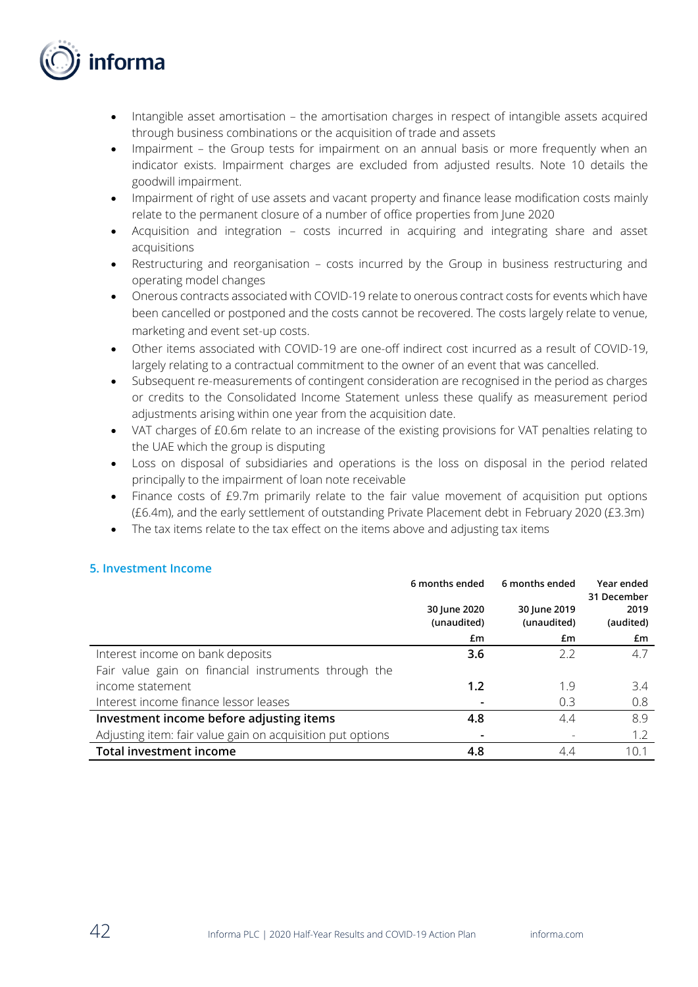

- Intangible asset amortisation the amortisation charges in respect of intangible assets acquired through business combinations or the acquisition of trade and assets
- Impairment the Group tests for impairment on an annual basis or more frequently when an indicator exists. Impairment charges are excluded from adjusted results. Note 10 details the goodwill impairment.
- Impairment of right of use assets and vacant property and finance lease modification costs mainly relate to the permanent closure of a number of office properties from June 2020
- Acquisition and integration costs incurred in acquiring and integrating share and asset acquisitions
- Restructuring and reorganisation costs incurred by the Group in business restructuring and operating model changes
- Onerous contracts associated with COVID-19 relate to onerous contract costs for events which have been cancelled or postponed and the costs cannot be recovered. The costs largely relate to venue, marketing and event set-up costs.
- Other items associated with COVID-19 are one-off indirect cost incurred as a result of COVID-19, largely relating to a contractual commitment to the owner of an event that was cancelled.
- Subsequent re-measurements of contingent consideration are recognised in the period as charges or credits to the Consolidated Income Statement unless these qualify as measurement period adjustments arising within one year from the acquisition date.
- VAT charges of £0.6m relate to an increase of the existing provisions for VAT penalties relating to the UAE which the group is disputing
- Loss on disposal of subsidiaries and operations is the loss on disposal in the period related principally to the impairment of loan note receivable
- Finance costs of £9.7m primarily relate to the fair value movement of acquisition put options (£6.4m), and the early settlement of outstanding Private Placement debt in February 2020 (£3.3m)
- The tax items relate to the tax effect on the items above and adjusting tax items

## **5. Investment Income**

|                                                            | 6 months ended              | 6 months ended              | Year ended<br>31 December |
|------------------------------------------------------------|-----------------------------|-----------------------------|---------------------------|
|                                                            | 30 June 2020<br>(unaudited) | 30 June 2019<br>(unaudited) | 2019<br>(audited)         |
|                                                            | £m                          | £m                          | £m                        |
| Interest income on bank deposits                           | 3.6                         | 2.2                         | 4.7                       |
| Fair value gain on financial instruments through the       |                             |                             |                           |
| income statement                                           | 1.2                         | 1.9                         | 3.4                       |
| Interest income finance lessor leases                      |                             | 0.3                         | 0.8                       |
| Investment income before adjusting items                   | 4.8                         | 4.4                         | 8.9                       |
| Adjusting item: fair value gain on acquisition put options |                             |                             | 1.2                       |
| <b>Total investment income</b>                             | 4.8                         | 4.4                         | 10.1                      |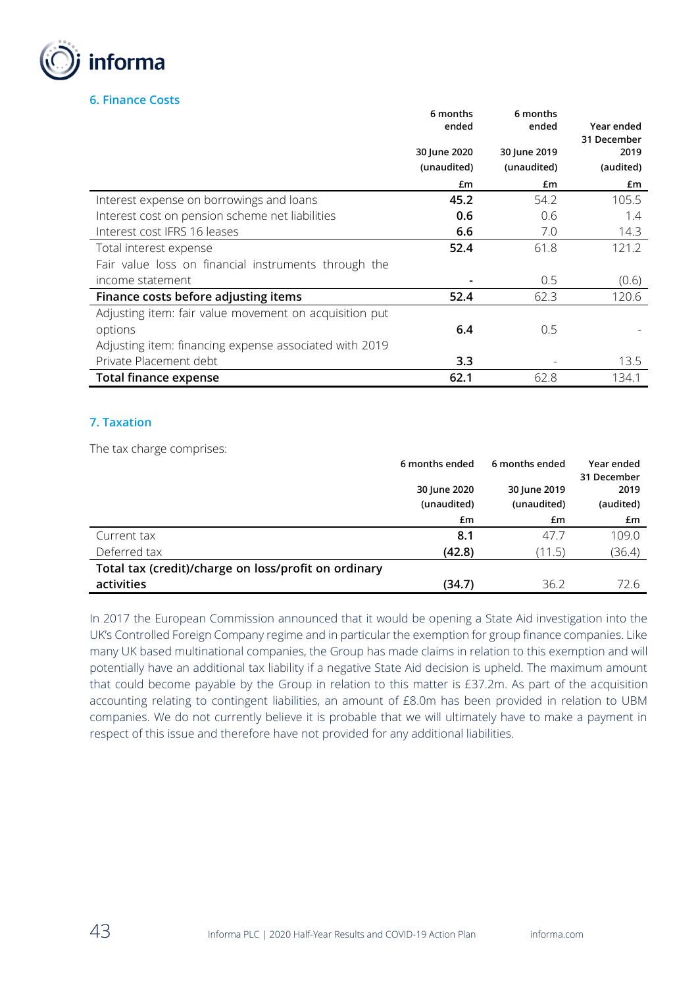

#### **6. Finance Costs**

|                                                        | 6 months<br>ended | 6 months<br>ended | Year ended<br>31 December |
|--------------------------------------------------------|-------------------|-------------------|---------------------------|
|                                                        | 30 June 2020      | 30 June 2019      | 2019                      |
|                                                        | (unaudited)       | (unaudited)       | (audited)                 |
|                                                        | £m                | £m                | £m                        |
| Interest expense on borrowings and loans               | 45.2              | 54.2              | 105.5                     |
| Interest cost on pension scheme net liabilities        | 0.6               | 0.6               | 1.4                       |
| Interest cost IFRS 16 leases                           | 6.6               | 7.0               | 14.3                      |
| Total interest expense                                 | 52.4              | 61.8              | 121.2                     |
| Fair value loss on financial instruments through the   |                   |                   |                           |
| income statement                                       |                   | 0.5               | (0.6)                     |
| Finance costs before adjusting items                   | 52.4              | 62.3              | 120.6                     |
| Adjusting item: fair value movement on acquisition put |                   |                   |                           |
| options                                                | 6.4               | 0.5               |                           |
| Adjusting item: financing expense associated with 2019 |                   |                   |                           |
| Private Placement debt                                 | 3.3               |                   | 13.5                      |
| Total finance expense                                  | 62.1              | 62.8              | 134.1                     |

## **7. Taxation**

The tax charge comprises:

|                                                      | 6 months ended | 6 months ended | Year ended          |
|------------------------------------------------------|----------------|----------------|---------------------|
|                                                      | 30 June 2020   | 30 June 2019   | 31 December<br>2019 |
|                                                      | (unaudited)    | (unaudited)    | (audited)           |
|                                                      | £m             | £m             | £m                  |
|                                                      |                |                |                     |
| Current tax                                          | 8.1            | 47.7           | 109.0               |
| Deferred tax                                         | (42.8)         | (11.5)         | (36.4)              |
| Total tax (credit)/charge on loss/profit on ordinary |                |                |                     |
| activities                                           | (34.7)         | 36.2           | 72.6                |

In 2017 the European Commission announced that it would be opening a State Aid investigation into the UK's Controlled Foreign Company regime and in particular the exemption for group finance companies. Like many UK based multinational companies, the Group has made claims in relation to this exemption and will potentially have an additional tax liability if a negative State Aid decision is upheld. The maximum amount that could become payable by the Group in relation to this matter is £37.2m. As part of the acquisition accounting relating to contingent liabilities, an amount of £8.0m has been provided in relation to UBM companies. We do not currently believe it is probable that we will ultimately have to make a payment in respect of this issue and therefore have not provided for any additional liabilities.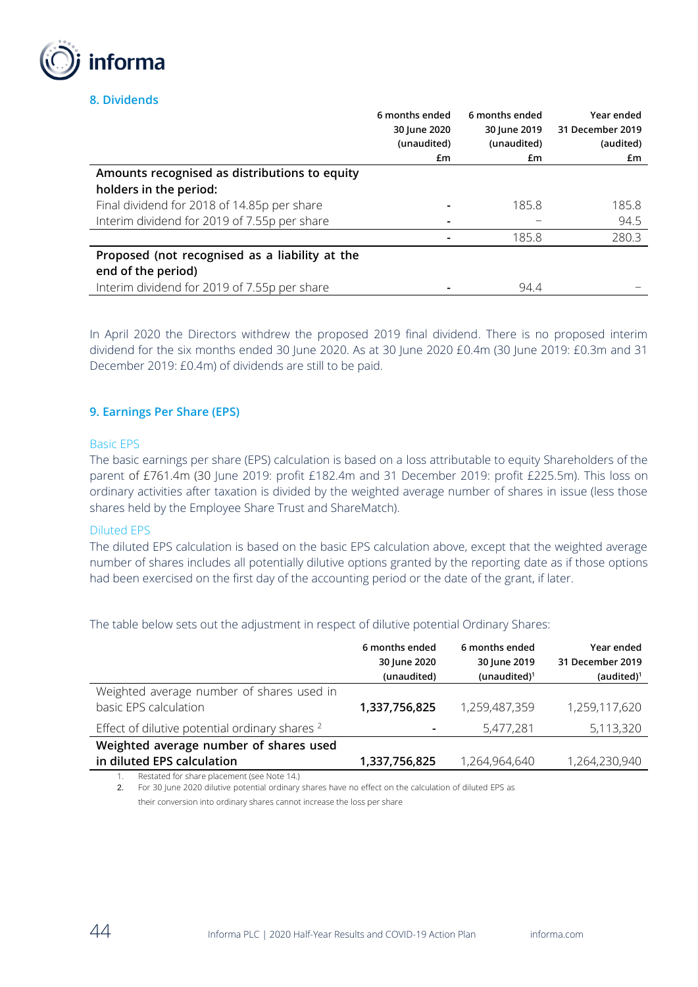

#### **8. Dividends**

|                                                                                                                      | 6 months ended<br>30 June 2020<br>(unaudited) | 6 months ended<br>30 June 2019<br>(unaudited) | Year ended<br>31 December 2019<br>(audited) |
|----------------------------------------------------------------------------------------------------------------------|-----------------------------------------------|-----------------------------------------------|---------------------------------------------|
|                                                                                                                      | £m                                            | £m                                            | £m                                          |
| Amounts recognised as distributions to equity                                                                        |                                               |                                               |                                             |
| holders in the period:                                                                                               |                                               |                                               |                                             |
| Final dividend for 2018 of 14.85p per share                                                                          |                                               | 185.8                                         | 185.8                                       |
| Interim dividend for 2019 of 7.55p per share                                                                         |                                               |                                               | 94.5                                        |
|                                                                                                                      |                                               | 185.8                                         | 280.3                                       |
| Proposed (not recognised as a liability at the<br>end of the period)<br>Interim dividend for 2019 of 7.55p per share |                                               | 94.4                                          |                                             |

In April 2020 the Directors withdrew the proposed 2019 final dividend. There is no proposed interim dividend for the six months ended 30 June 2020. As at 30 June 2020 £0.4m (30 June 2019: £0.3m and 31 December 2019: £0.4m) of dividends are still to be paid.

#### **9. Earnings Per Share (EPS)**

#### Basic EPS

The basic earnings per share (EPS) calculation is based on a loss attributable to equity Shareholders of the parent of £761.4m (30 June 2019: profit £182.4m and 31 December 2019: profit £225.5m). This loss on ordinary activities after taxation is divided by the weighted average number of shares in issue (less those shares held by the Employee Share Trust and ShareMatch).

#### Diluted EPS

The diluted EPS calculation is based on the basic EPS calculation above, except that the weighted average number of shares includes all potentially dilutive options granted by the reporting date as if those options had been exercised on the first day of the accounting period or the date of the grant, if later.

The table below sets out the adjustment in respect of dilutive potential Ordinary Shares:

|                                                                    | 6 months ended<br>30 June 2020<br>(unaudited) | 6 months ended<br>30 June 2019<br>(unaudited) $1$ | Year ended<br>31 December 2019<br>$(audited)^1$ |
|--------------------------------------------------------------------|-----------------------------------------------|---------------------------------------------------|-------------------------------------------------|
| Weighted average number of shares used in<br>basic EPS calculation | 1,337,756,825                                 | 1,259,487,359                                     | 1,259,117,620                                   |
| Effect of dilutive potential ordinary shares <sup>2</sup>          |                                               | 5,477,281                                         | 5,113,320                                       |
| Weighted average number of shares used                             |                                               |                                                   |                                                 |
| in diluted EPS calculation                                         | 1,337,756,825                                 | 1,264,964,640                                     | 1,264,230,940                                   |
| Bostatod for share placement (see Note 14)                         |                                               |                                                   |                                                 |

1. Restated for share placement (see Note 14.)

2. For 30 June 2020 dilutive potential ordinary shares have no effect on the calculation of diluted EPS as

their conversion into ordinary shares cannot increase the loss per share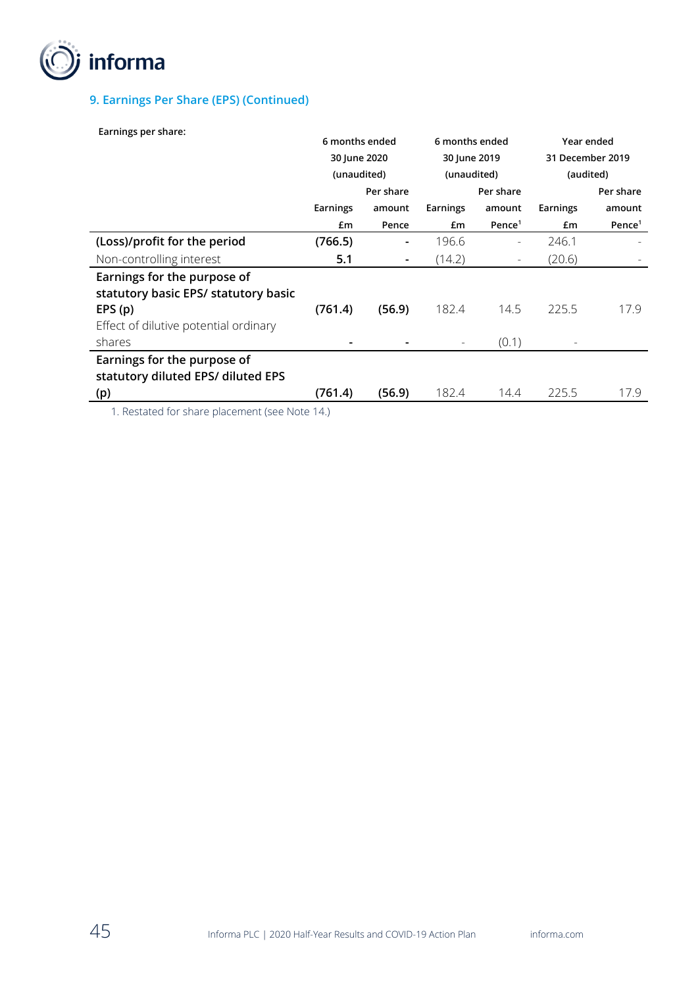

## **9. Earnings Per Share (EPS) (Continued)**

**Earnings per share:**

|                                       | 6 months ended |                | 6 months ended |                          |          | Year ended         |
|---------------------------------------|----------------|----------------|----------------|--------------------------|----------|--------------------|
|                                       | 30 June 2020   |                | 30 June 2019   |                          |          | 31 December 2019   |
|                                       | (unaudited)    |                | (unaudited)    |                          |          | (audited)          |
|                                       |                | Per share      |                | Per share                |          | Per share          |
|                                       | Earnings       | amount         | Earnings       | amount                   | Earnings | amount             |
|                                       | £m             | Pence          | £m             | Pence $1$                | £m       | Pence <sup>1</sup> |
| (Loss)/profit for the period          | (766.5)        | $\blacksquare$ | 196.6          |                          | 246.1    |                    |
| Non-controlling interest              | 5.1            | $\blacksquare$ | (14.2)         | $\overline{\phantom{a}}$ | (20.6)   |                    |
| Earnings for the purpose of           |                |                |                |                          |          |                    |
| statutory basic EPS/ statutory basic  |                |                |                |                          |          |                    |
| EPS(p)                                | (761.4)        | (56.9)         | 182.4          | 14.5                     | 225.5    | 17.9               |
| Effect of dilutive potential ordinary |                |                |                |                          |          |                    |
| shares                                |                |                |                | (0.1)                    |          |                    |
| Earnings for the purpose of           |                |                |                |                          |          |                    |
| statutory diluted EPS/ diluted EPS    |                |                |                |                          |          |                    |
| (p)                                   | (761.4)        | (56.9)         | 182.4          | 14.4                     | 225.5    | 17.9               |
|                                       |                |                |                |                          |          |                    |

1. Restated for share placement (see Note 14.)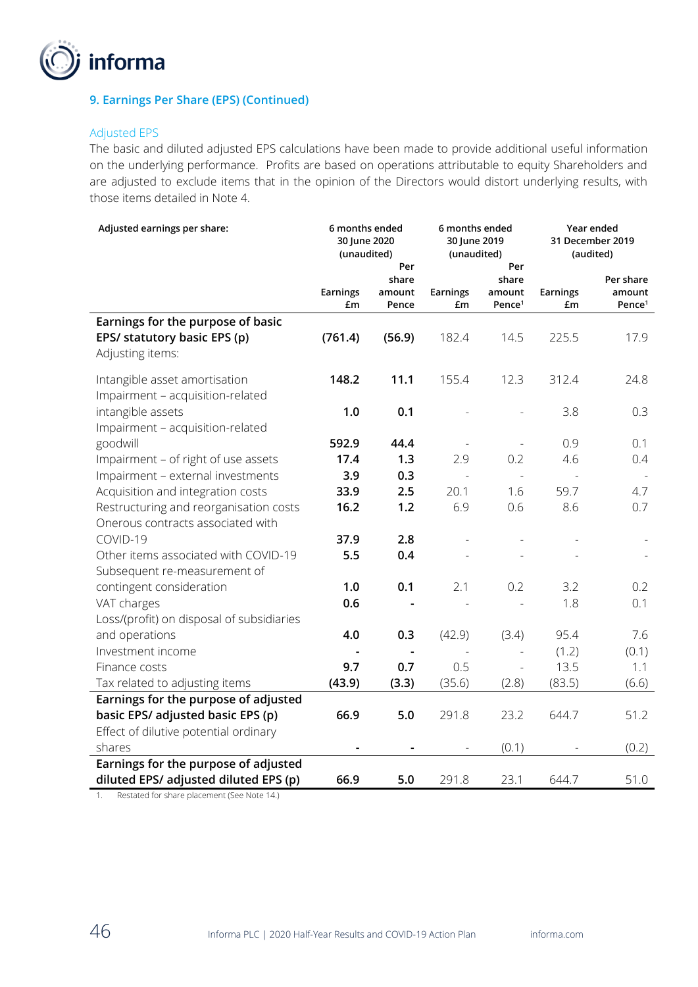

## **9. Earnings Per Share (EPS) (Continued)**

#### Adjusted EPS

The basic and diluted adjusted EPS calculations have been made to provide additional useful information on the underlying performance. Profits are based on operations attributable to equity Shareholders and are adjusted to exclude items that in the opinion of the Directors would distort underlying results, with those items detailed in Note 4.

| Adjusted earnings per share:                                           | 6 months ended<br>30 June 2020<br>(unaudited) |                          |                 | 6 months ended<br>30 June 2019<br>(unaudited) |            | Year ended<br>31 December 2019<br>(audited) |  |
|------------------------------------------------------------------------|-----------------------------------------------|--------------------------|-----------------|-----------------------------------------------|------------|---------------------------------------------|--|
|                                                                        |                                               | Per                      |                 | Per                                           |            |                                             |  |
|                                                                        | Earnings                                      | share<br>amount          | <b>Earnings</b> | share<br>amount                               | Earnings   | Per share<br>amount                         |  |
|                                                                        | £m                                            | Pence                    | £m              | Pence <sup>1</sup>                            | £m         | Pence <sup>1</sup>                          |  |
| Earnings for the purpose of basic                                      |                                               |                          |                 |                                               |            |                                             |  |
| EPS/ statutory basic EPS (p)                                           | (761.4)                                       | (56.9)                   | 182.4           | 14.5                                          | 225.5      | 17.9                                        |  |
| Adjusting items:                                                       |                                               |                          |                 |                                               |            |                                             |  |
|                                                                        |                                               |                          |                 |                                               |            |                                             |  |
| Intangible asset amortisation                                          | 148.2                                         | 11.1                     | 155.4           | 12.3                                          | 312.4      | 24.8                                        |  |
| Impairment - acquisition-related                                       |                                               |                          |                 |                                               |            |                                             |  |
| intangible assets                                                      | 1.0                                           | 0.1                      |                 |                                               | 3.8        | 0.3                                         |  |
| Impairment - acquisition-related                                       |                                               |                          |                 |                                               |            |                                             |  |
| goodwill                                                               | 592.9<br>17.4                                 | 44.4<br>1.3              | 2.9             | 0.2                                           | 0.9<br>4.6 | 0.1<br>0.4                                  |  |
| Impairment - of right of use assets                                    | 3.9                                           | 0.3                      |                 | $\sim$                                        |            |                                             |  |
| Impairment - external investments<br>Acquisition and integration costs | 33.9                                          | 2.5                      | 20.1            | 1.6                                           | 59.7       | 4.7                                         |  |
| Restructuring and reorganisation costs                                 | 16.2                                          | 1.2                      | 6.9             | 0.6                                           | 8.6        | 0.7                                         |  |
| Onerous contracts associated with                                      |                                               |                          |                 |                                               |            |                                             |  |
| COVID-19                                                               | 37.9                                          | 2.8                      |                 |                                               |            |                                             |  |
| Other items associated with COVID-19                                   | 5.5                                           | 0.4                      |                 |                                               |            |                                             |  |
| Subsequent re-measurement of                                           |                                               |                          |                 |                                               |            |                                             |  |
| contingent consideration                                               | 1.0                                           | 0.1                      | 2.1             | 0.2                                           | 3.2        | 0.2                                         |  |
| VAT charges                                                            | 0.6                                           |                          |                 |                                               | 1.8        | 0.1                                         |  |
| Loss/(profit) on disposal of subsidiaries                              |                                               |                          |                 |                                               |            |                                             |  |
| and operations                                                         | 4.0                                           | 0.3                      | (42.9)          | (3.4)                                         | 95.4       | 7.6                                         |  |
| Investment income                                                      |                                               |                          |                 |                                               | (1.2)      | (0.1)                                       |  |
| Finance costs                                                          | 9.7                                           | 0.7                      | 0.5             |                                               | 13.5       | 1.1                                         |  |
| Tax related to adjusting items                                         | (43.9)                                        | (3.3)                    | (35.6)          | (2.8)                                         | (83.5)     | (6.6)                                       |  |
| Earnings for the purpose of adjusted                                   |                                               |                          |                 |                                               |            |                                             |  |
| basic EPS/ adjusted basic EPS (p)                                      | 66.9                                          | 5.0                      | 291.8           | 23.2                                          | 644.7      | 51.2                                        |  |
| Effect of dilutive potential ordinary                                  |                                               |                          |                 |                                               |            |                                             |  |
| shares                                                                 |                                               | $\overline{\phantom{a}}$ |                 | (0.1)                                         |            | (0.2)                                       |  |
| Earnings for the purpose of adjusted                                   |                                               |                          |                 |                                               |            |                                             |  |
| diluted EPS/ adjusted diluted EPS (p)                                  | 66.9                                          | 5.0                      | 291.8           | 23.1                                          | 644.7      | 51.0                                        |  |

1. Restated for share placement (See Note 14.)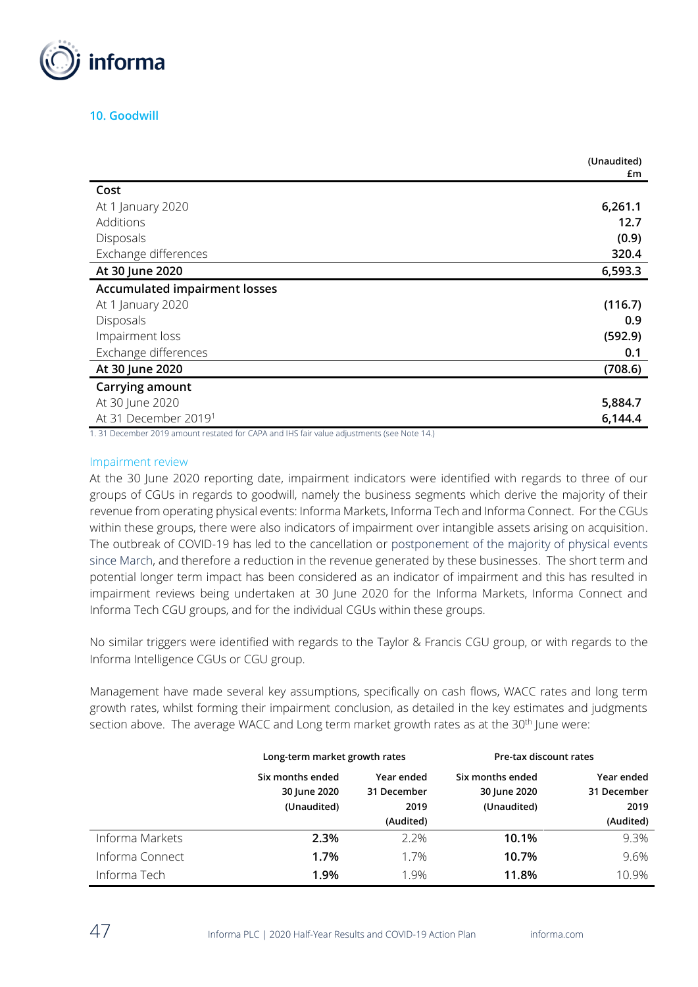

#### **10. Goodwill**

|                                      | (Unaudited) |
|--------------------------------------|-------------|
|                                      | £m          |
| Cost                                 |             |
| At 1 January 2020                    | 6,261.1     |
| Additions                            | 12.7        |
| Disposals                            | (0.9)       |
| Exchange differences                 | 320.4       |
| At 30 June 2020                      | 6,593.3     |
| <b>Accumulated impairment losses</b> |             |
| At 1 January 2020                    | (116.7)     |
| Disposals                            | 0.9         |
| Impairment loss                      | (592.9)     |
| Exchange differences                 | 0.1         |
| At 30 June 2020                      | (708.6)     |
| <b>Carrying amount</b>               |             |
| At 30 June 2020                      | 5,884.7     |
| At 31 December 2019 <sup>1</sup>     | 6,144.4     |

1. 31 December 2019 amount restated for CAPA and IHS fair value adjustments (see Note 14.)

#### Impairment review

At the 30 June 2020 reporting date, impairment indicators were identified with regards to three of our groups of CGUs in regards to goodwill, namely the business segments which derive the majority of their revenue from operating physical events: Informa Markets, Informa Tech and Informa Connect. For the CGUs within these groups, there were also indicators of impairment over intangible assets arising on acquisition. The outbreak of COVID-19 has led to the cancellation or postponement of the majority of physical events since March, and therefore a reduction in the revenue generated by these businesses. The short term and potential longer term impact has been considered as an indicator of impairment and this has resulted in impairment reviews being undertaken at 30 June 2020 for the Informa Markets, Informa Connect and Informa Tech CGU groups, and for the individual CGUs within these groups.

No similar triggers were identified with regards to the Taylor & Francis CGU group, or with regards to the Informa Intelligence CGUs or CGU group.

Management have made several key assumptions, specifically on cash flows, WACC rates and long term growth rates, whilst forming their impairment conclusion, as detailed in the key estimates and judgments section above. The average WACC and Long term market growth rates as at the 30<sup>th</sup> June were:

|                 | Long-term market growth rates                   |                                   | Pre-tax discount rates                          |                                   |
|-----------------|-------------------------------------------------|-----------------------------------|-------------------------------------------------|-----------------------------------|
|                 | Six months ended<br>30 June 2020<br>(Unaudited) | Year ended<br>31 December<br>2019 | Six months ended<br>30 June 2020<br>(Unaudited) | Year ended<br>31 December<br>2019 |
|                 |                                                 | (Audited)                         |                                                 | (Audited)                         |
| Informa Markets | 2.3%                                            | 2.2%                              | 10.1%                                           | 9.3%                              |
| Informa Connect | 1.7%                                            | 1.7%                              | 10.7%                                           | 9.6%                              |
| Informa Tech    | 1.9%                                            | 1.9%                              | 11.8%                                           | 10.9%                             |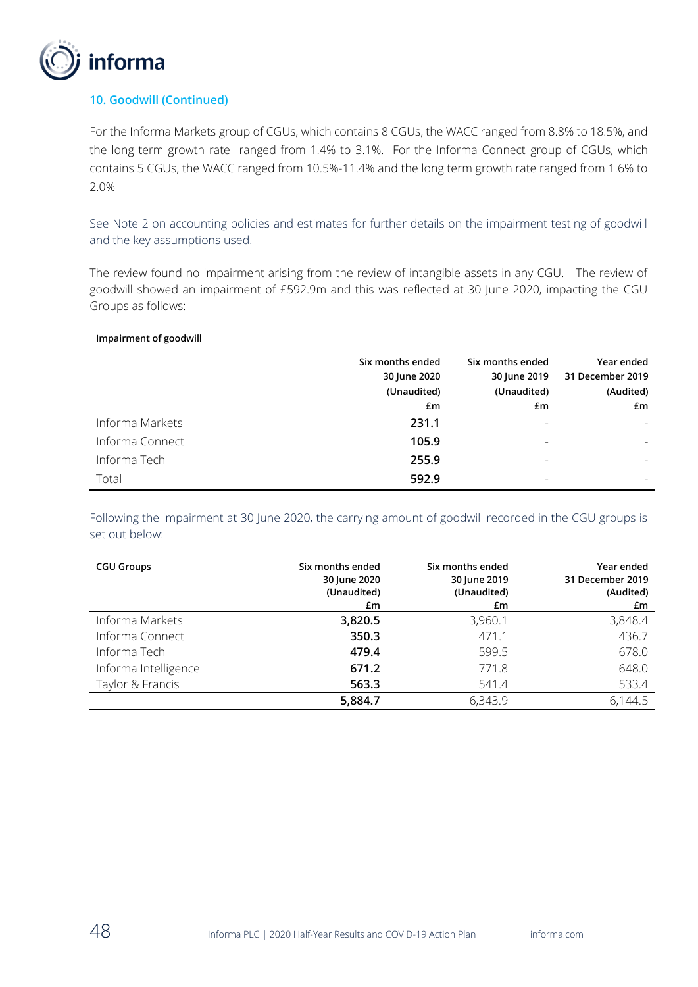

## **10. Goodwill (Continued)**

For the Informa Markets group of CGUs, which contains 8 CGUs, the WACC ranged from 8.8% to 18.5%, and the long term growth rate ranged from 1.4% to 3.1%. For the Informa Connect group of CGUs, which contains 5 CGUs, the WACC ranged from 10.5%-11.4% and the long term growth rate ranged from 1.6% to 2.0%

See Note 2 on accounting policies and estimates for further details on the impairment testing of goodwill and the key assumptions used.

The review found no impairment arising from the review of intangible assets in any CGU. The review of goodwill showed an impairment of £592.9m and this was reflected at 30 June 2020, impacting the CGU Groups as follows:

#### **Impairment of goodwill**

|                 | Six months ended<br>30 June 2020<br>(Unaudited)<br>£m | Six months ended<br>30 June 2019<br>(Unaudited)<br>£m | Year ended<br>31 December 2019<br>(Audited)<br>£m |
|-----------------|-------------------------------------------------------|-------------------------------------------------------|---------------------------------------------------|
|                 |                                                       |                                                       |                                                   |
| Informa Markets | 231.1                                                 | $\overline{\phantom{a}}$                              |                                                   |
| Informa Connect | 105.9                                                 | $\overline{\phantom{a}}$                              |                                                   |
| Informa Tech    | 255.9                                                 | $\overline{\phantom{a}}$                              | $\overline{\phantom{m}}$                          |
| Total           | 592.9                                                 | $\overline{\phantom{0}}$                              |                                                   |

Following the impairment at 30 June 2020, the carrying amount of goodwill recorded in the CGU groups is set out below:

| <b>CGU Groups</b>    | Six months ended<br>30 June 2020<br>(Unaudited)<br>£m | Six months ended<br>30 June 2019<br>(Unaudited)<br>£m | Year ended<br>31 December 2019<br>(Audited)<br>£m |
|----------------------|-------------------------------------------------------|-------------------------------------------------------|---------------------------------------------------|
| Informa Markets      | 3,820.5                                               | 3,960.1                                               | 3,848.4                                           |
| Informa Connect      | 350.3                                                 | 471.1                                                 | 436.7                                             |
| Informa Tech         | 479.4                                                 | 599.5                                                 | 678.0                                             |
| Informa Intelligence | 671.2                                                 | 771.8                                                 | 648.0                                             |
| Taylor & Francis     | 563.3                                                 | 541.4                                                 | 533.4                                             |
|                      | 5,884.7                                               | 6,343.9                                               | 6,144.5                                           |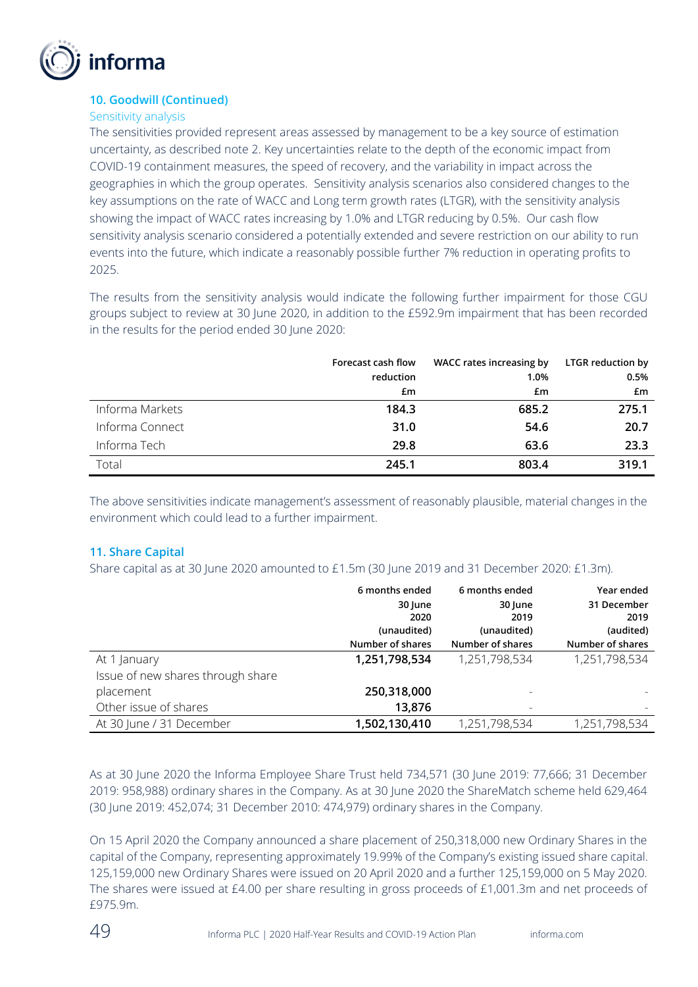

## **10. Goodwill (Continued)**

#### Sensitivity analysis

The sensitivities provided represent areas assessed by management to be a key source of estimation uncertainty, as described note 2. Key uncertainties relate to the depth of the economic impact from COVID-19 containment measures, the speed of recovery, and the variability in impact across the geographies in which the group operates. Sensitivity analysis scenarios also considered changes to the key assumptions on the rate of WACC and Long term growth rates (LTGR), with the sensitivity analysis showing the impact of WACC rates increasing by 1.0% and LTGR reducing by 0.5%. Our cash flow sensitivity analysis scenario considered a potentially extended and severe restriction on our ability to run events into the future, which indicate a reasonably possible further 7% reduction in operating profits to 2025.

The results from the sensitivity analysis would indicate the following further impairment for those CGU groups subject to review at 30 June 2020, in addition to the £592.9m impairment that has been recorded in the results for the period ended 30 June 2020:

|                 | Forecast cash flow | WACC rates increasing by | <b>LTGR</b> reduction by |
|-----------------|--------------------|--------------------------|--------------------------|
|                 | reduction          | 1.0%                     | 0.5%                     |
|                 | £m                 | £m                       | £m                       |
| Informa Markets | 184.3              | 685.2                    | 275.1                    |
| Informa Connect | 31.0               | 54.6                     | 20.7                     |
| Informa Tech    | 29.8               | 63.6                     | 23.3                     |
| Total           | 245.1              | 803.4                    | 319.1                    |

The above sensitivities indicate management's assessment of reasonably plausible, material changes in the environment which could lead to a further impairment.

## **11. Share Capital**

Share capital as at 30 June 2020 amounted to £1.5m (30 June 2019 and 31 December 2020: £1.3m).

|                                   | 6 months ended   | 6 months ended           | Year ended       |
|-----------------------------------|------------------|--------------------------|------------------|
|                                   | 30 June          | 30 June                  | 31 December      |
|                                   | 2020             | 2019                     | 2019             |
|                                   | (unaudited)      | (unaudited)              | (audited)        |
|                                   | Number of shares | Number of shares         | Number of shares |
| At 1 January                      | 1,251,798,534    | 1,251,798,534            | 1,251,798,534    |
| Issue of new shares through share |                  |                          |                  |
| placement                         | 250,318,000      | $\overline{\phantom{a}}$ |                  |
| Other issue of shares             | 13,876           |                          |                  |
| At 30 June / 31 December          | 1,502,130,410    | 1,251,798,534            | 1,251,798,534    |

As at 30 June 2020 the Informa Employee Share Trust held 734,571 (30 June 2019: 77,666; 31 December 2019: 958,988) ordinary shares in the Company. As at 30 June 2020 the ShareMatch scheme held 629,464 (30 June 2019: 452,074; 31 December 2010: 474,979) ordinary shares in the Company.

On 15 April 2020 the Company announced a share placement of 250,318,000 new Ordinary Shares in the capital of the Company, representing approximately 19.99% of the Company's existing issued share capital. 125,159,000 new Ordinary Shares were issued on 20 April 2020 and a further 125,159,000 on 5 May 2020. The shares were issued at £4.00 per share resulting in gross proceeds of £1,001.3m and net proceeds of £975.9m.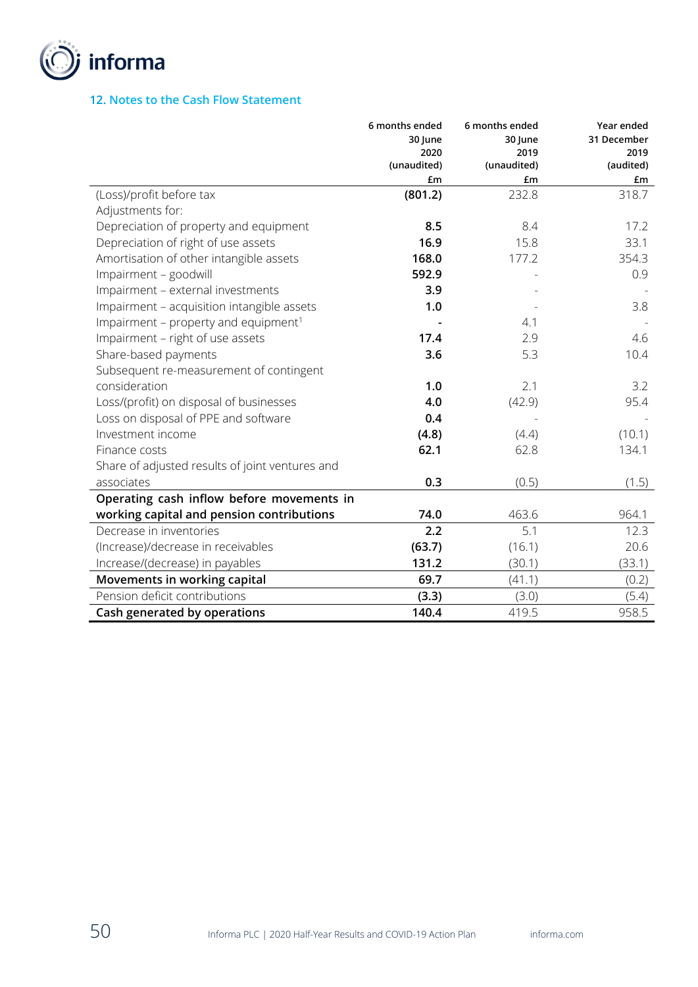

## **12. Notes to the Cash Flow Statement**

|                                                  | 6 months ended      | 6 months ended      | Year ended        |
|--------------------------------------------------|---------------------|---------------------|-------------------|
|                                                  | 30 June             | 30 June             | 31 December       |
|                                                  | 2020<br>(unaudited) | 2019<br>(unaudited) | 2019<br>(audited) |
|                                                  | £m                  | £m                  | £m                |
| (Loss)/profit before tax                         | (801.2)             | 232.8               | 318.7             |
| Adjustments for:                                 |                     |                     |                   |
| Depreciation of property and equipment           | 8.5                 | 8.4                 | 17.2              |
| Depreciation of right of use assets              | 16.9                | 15.8                | 33.1              |
| Amortisation of other intangible assets          | 168.0               | 177.2               | 354.3             |
| Impairment - goodwill                            | 592.9               |                     | 0.9               |
| Impairment - external investments                | 3.9                 |                     |                   |
| Impairment - acquisition intangible assets       | 1.0                 |                     | 3.8               |
| Impairment - property and equipment <sup>1</sup> |                     | 4.1                 |                   |
| Impairment - right of use assets                 | 17.4                | 2.9                 | 4.6               |
| Share-based payments                             | 3.6                 | 5.3                 | 10.4              |
| Subsequent re-measurement of contingent          |                     |                     |                   |
| consideration                                    | 1.0                 | 2.1                 | 3.2               |
| Loss/(profit) on disposal of businesses          | 4.0                 | (42.9)              | 95.4              |
| Loss on disposal of PPE and software             | 0.4                 |                     |                   |
| Investment income                                | (4.8)               | (4.4)               | (10.1)            |
| Finance costs                                    | 62.1                | 62.8                | 134.1             |
| Share of adjusted results of joint ventures and  |                     |                     |                   |
| associates                                       | 0.3                 | (0.5)               | (1.5)             |
| Operating cash inflow before movements in        |                     |                     |                   |
| working capital and pension contributions        | 74.0                | 463.6               | 964.1             |
| Decrease in inventories                          | 2.2                 | 5.1                 | 12.3              |
| (Increase)/decrease in receivables               | (63.7)              | (16.1)              | 20.6              |
| Increase/(decrease) in payables                  | 131.2               | (30.1)              | (33.1)            |
| Movements in working capital                     | 69.7                | (41.1)              | (0.2)             |
| Pension deficit contributions                    | (3.3)               | (3.0)               | (5.4)             |
| Cash generated by operations                     | 140.4               | 419.5               | 958.5             |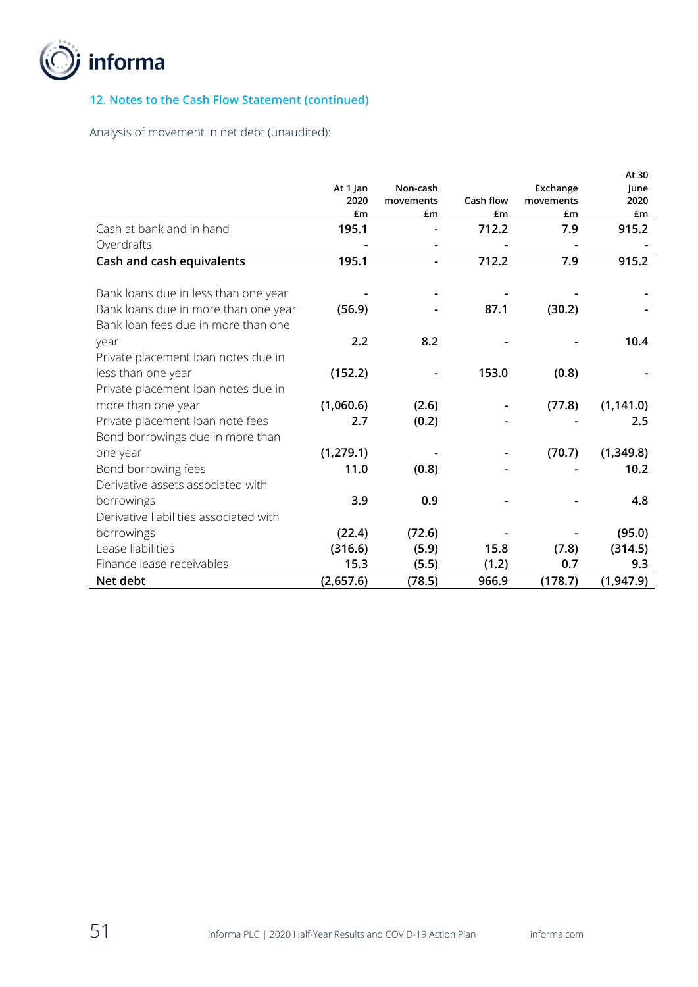

## **12. Notes to the Cash Flow Statement (continued)**

Analysis of movement in net debt (unaudited):

|                                        |            |           |           |           | At 30      |
|----------------------------------------|------------|-----------|-----------|-----------|------------|
|                                        | At 1 Jan   | Non-cash  |           | Exchange  | June       |
|                                        | 2020       | movements | Cash flow | movements | 2020       |
|                                        | £m         | £m        | £m        | £m        | £m         |
| Cash at bank and in hand               | 195.1      |           | 712.2     | 7.9       | 915.2      |
| Overdrafts                             |            |           |           |           |            |
| Cash and cash equivalents              | 195.1      |           | 712.2     | 7.9       | 915.2      |
|                                        |            |           |           |           |            |
| Bank loans due in less than one year   |            |           |           |           |            |
| Bank loans due in more than one year   | (56.9)     |           | 87.1      | (30.2)    |            |
| Bank loan fees due in more than one    |            |           |           |           |            |
| year                                   | 2.2        | 8.2       |           |           | 10.4       |
| Private placement loan notes due in    |            |           |           |           |            |
| less than one year                     | (152.2)    |           | 153.0     | (0.8)     |            |
| Private placement loan notes due in    |            |           |           |           |            |
| more than one year                     | (1,060.6)  | (2.6)     |           | (77.8)    | (1, 141.0) |
| Private placement loan note fees       | 2.7        | (0.2)     |           |           | 2.5        |
| Bond borrowings due in more than       |            |           |           |           |            |
| one year                               | (1, 279.1) |           |           | (70.7)    | (1,349.8)  |
| Bond borrowing fees                    | 11.0       | (0.8)     |           |           | 10.2       |
| Derivative assets associated with      |            |           |           |           |            |
| borrowings                             | 3.9        | 0.9       |           |           | 4.8        |
| Derivative liabilities associated with |            |           |           |           |            |
|                                        |            |           |           |           |            |
| borrowings                             | (22.4)     | (72.6)    |           |           | (95.0)     |
| Lease liabilities                      | (316.6)    | (5.9)     | 15.8      | (7.8)     | (314.5)    |
| Finance lease receivables              | 15.3       | (5.5)     | (1.2)     | 0.7       | 9.3        |
| Net debt                               | (2,657.6)  | (78.5)    | 966.9     | (178.7)   | (1, 947.9) |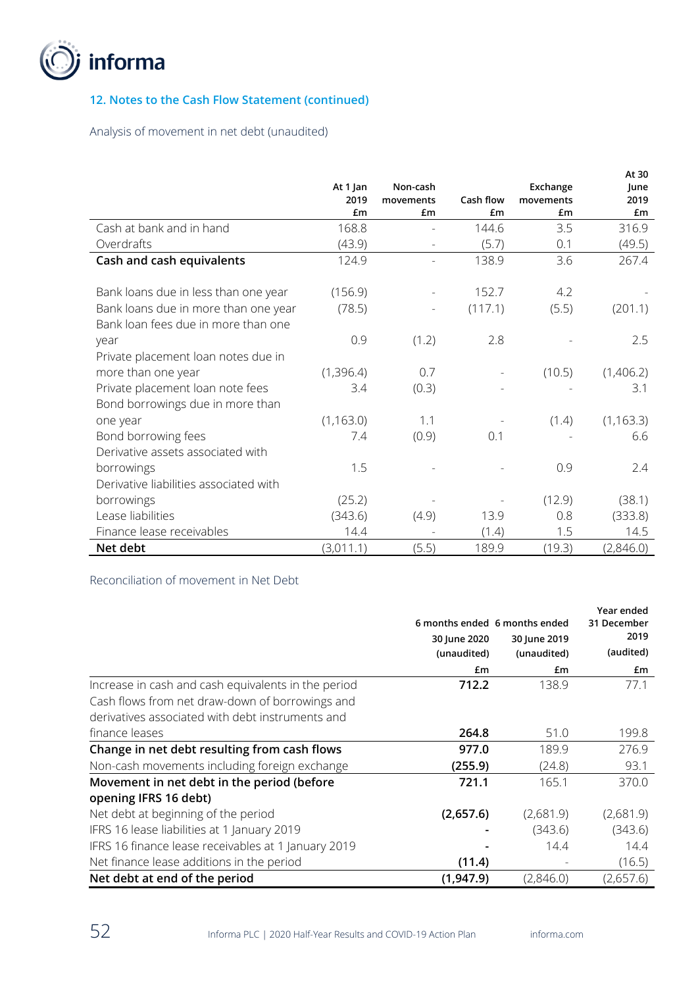

## **12. Notes to the Cash Flow Statement (continued)**

Analysis of movement in net debt (unaudited)

|                                                                             |            |           |           |           | At 30      |
|-----------------------------------------------------------------------------|------------|-----------|-----------|-----------|------------|
|                                                                             | At 1 Jan   | Non-cash  |           | Exchange  | June       |
|                                                                             | 2019       | movements | Cash flow | movements | 2019       |
|                                                                             | £m         | £m        | £m        | £m        | £m         |
| Cash at bank and in hand                                                    | 168.8      |           | 144.6     | 3.5       | 316.9      |
| Overdrafts                                                                  | (43.9)     |           | (5.7)     | 0.1       | (49.5)     |
| Cash and cash equivalents                                                   | 124.9      |           | 138.9     | 3.6       | 267.4      |
| Bank loans due in less than one year                                        | (156.9)    |           | 152.7     | 4.2       |            |
| Bank loans due in more than one year<br>Bank loan fees due in more than one | (78.5)     |           | (117.1)   | (5.5)     | (201.1)    |
| year                                                                        | 0.9        | (1.2)     | 2.8       |           | 2.5        |
| Private placement loan notes due in                                         |            |           |           |           |            |
| more than one year                                                          | (1,396.4)  | 0.7       |           | (10.5)    | (1,406.2)  |
| Private placement loan note fees                                            | 3.4        | (0.3)     |           |           | 3.1        |
| Bond borrowings due in more than                                            |            |           |           |           |            |
| one year                                                                    | (1, 163.0) | 1.1       |           | (1.4)     | (1, 163.3) |
| Bond borrowing fees                                                         | 7.4        | (0.9)     | 0.1       |           | 6.6        |
| Derivative assets associated with                                           |            |           |           |           |            |
| borrowings                                                                  | 1.5        |           |           | 0.9       | 2.4        |
| Derivative liabilities associated with                                      |            |           |           |           |            |
| borrowings                                                                  | (25.2)     |           |           | (12.9)    | (38.1)     |
| Lease liabilities                                                           | (343.6)    | (4.9)     | 13.9      | 0.8       | (333.8)    |
| Finance lease receivables                                                   | 14.4       |           | (1.4)     | 1.5       | 14.5       |
| Net debt                                                                    | (3,011.1)  | (5.5)     | 189.9     | (19.3)    | (2,846.0)  |

Reconciliation of movement in Net Debt

|                                                     |                             | 6 months ended 6 months ended | Year ended          |
|-----------------------------------------------------|-----------------------------|-------------------------------|---------------------|
|                                                     |                             |                               | 31 December<br>2019 |
|                                                     | 30 June 2020<br>(unaudited) | 30 June 2019<br>(unaudited)   | (audited)           |
|                                                     | £m                          | £m                            | £m                  |
| Increase in cash and cash equivalents in the period | 712.2                       | 138.9                         | 77.1                |
| Cash flows from net draw-down of borrowings and     |                             |                               |                     |
| derivatives associated with debt instruments and    |                             |                               |                     |
| finance leases                                      | 264.8                       | 51.0                          | 199.8               |
| Change in net debt resulting from cash flows        | 977.0                       | 189.9                         | 276.9               |
| Non-cash movements including foreign exchange       | (255.9)                     | (24.8)                        | 93.1                |
| Movement in net debt in the period (before          | 721.1                       | 165.1                         | 370.0               |
| opening IFRS 16 debt)                               |                             |                               |                     |
| Net debt at beginning of the period                 | (2,657.6)                   | (2,681.9)                     | (2,681.9)           |
| IFRS 16 lease liabilities at 1 January 2019         |                             | (343.6)                       | (343.6)             |
| IFRS 16 finance lease receivables at 1 January 2019 |                             | 14.4                          | 14.4                |
| Net finance lease additions in the period           | (11.4)                      |                               | (16.5)              |
| Net debt at end of the period                       | (1,947.9)                   | (2,846.0)                     | (2,657.6)           |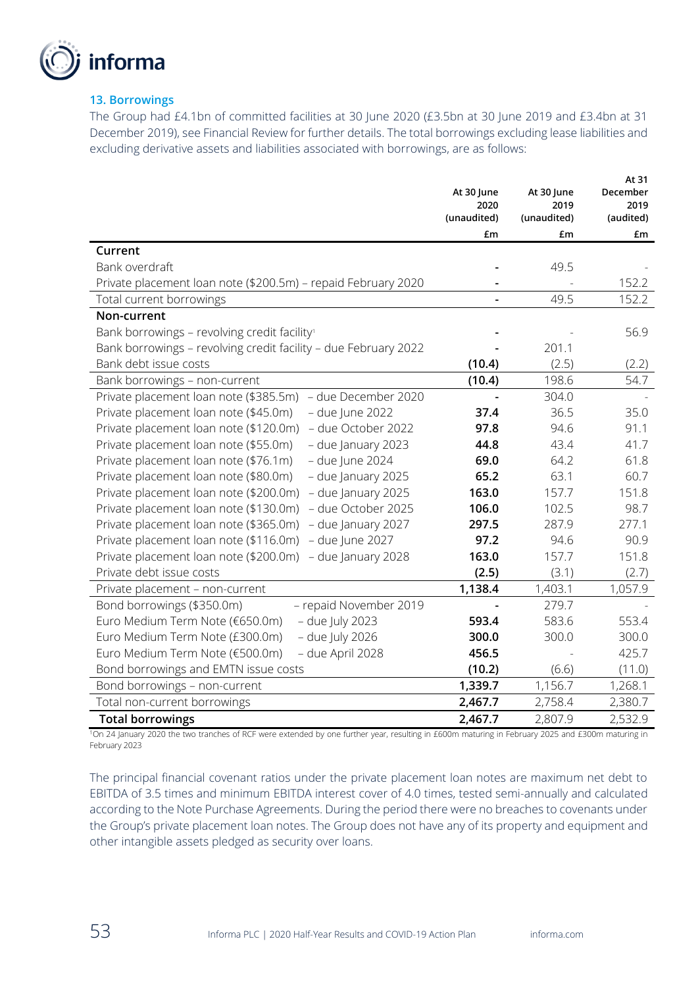

## **13. Borrowings**

The Group had £4.1bn of committed facilities at 30 June 2020 (£3.5bn at 30 June 2019 and £3.4bn at 31 December 2019), see Financial Review for further details. The total borrowings excluding lease liabilities and excluding derivative assets and liabilities associated with borrowings, are as follows:

|                                                                 | At 30 June<br>2020<br>(unaudited) | At 30 June<br>2019<br>(unaudited) | At 31<br>December<br>2019<br>(audited) |
|-----------------------------------------------------------------|-----------------------------------|-----------------------------------|----------------------------------------|
|                                                                 | £m                                | £m                                | £m                                     |
| Current                                                         |                                   |                                   |                                        |
| Bank overdraft                                                  |                                   | 49.5                              |                                        |
| Private placement loan note (\$200.5m) - repaid February 2020   |                                   |                                   | 152.2                                  |
| Total current borrowings                                        |                                   | 49.5                              | 152.2                                  |
| Non-current                                                     |                                   |                                   |                                        |
| Bank borrowings - revolving credit facility <sup>1</sup>        |                                   |                                   | 56.9                                   |
| Bank borrowings - revolving credit facility - due February 2022 |                                   | 201.1                             |                                        |
| Bank debt issue costs                                           | (10.4)                            | (2.5)                             | (2.2)                                  |
| Bank borrowings - non-current                                   | (10.4)                            | 198.6                             | 54.7                                   |
| - due December 2020<br>Private placement loan note (\$385.5m)   |                                   | 304.0                             |                                        |
| Private placement loan note (\$45.0m)<br>- due June 2022        | 37.4                              | 36.5                              | 35.0                                   |
| Private placement loan note (\$120.0m)<br>- due October 2022    | 97.8                              | 94.6                              | 91.1                                   |
| Private placement loan note (\$55.0m)<br>- due January 2023     | 44.8                              | 43.4                              | 41.7                                   |
| Private placement loan note (\$76.1m)<br>- due June 2024        | 69.0                              | 64.2                              | 61.8                                   |
| Private placement loan note (\$80.0m)<br>- due January 2025     | 65.2                              | 63.1                              | 60.7                                   |
| - due January 2025<br>Private placement loan note (\$200.0m)    | 163.0                             | 157.7                             | 151.8                                  |
| - due October 2025<br>Private placement loan note (\$130.0m)    | 106.0                             | 102.5                             | 98.7                                   |
| - due January 2027<br>Private placement loan note (\$365.0m)    | 297.5                             | 287.9                             | 277.1                                  |
| Private placement loan note (\$116.0m)<br>- due June 2027       | 97.2                              | 94.6                              | 90.9                                   |
| Private placement loan note (\$200.0m)<br>- due January 2028    | 163.0                             | 157.7                             | 151.8                                  |
| Private debt issue costs                                        | (2.5)                             | (3.1)                             | (2.7)                                  |
| Private placement - non-current                                 | 1,138.4                           | 1,403.1                           | 1,057.9                                |
| - repaid November 2019<br>Bond borrowings (\$350.0m)            |                                   | 279.7                             |                                        |
| Euro Medium Term Note (€650.0m)<br>- due July 2023              | 593.4                             | 583.6                             | 553.4                                  |
| - due July 2026<br>Euro Medium Term Note (£300.0m)              | 300.0                             | 300.0                             | 300.0                                  |
| Euro Medium Term Note (€500.0m)<br>- due April 2028             | 456.5                             |                                   | 425.7                                  |
| Bond borrowings and EMTN issue costs                            | (10.2)                            | (6.6)                             | (11.0)                                 |
| Bond borrowings - non-current                                   | 1,339.7                           | 1,156.7                           | 1,268.1                                |
| Total non-current borrowings                                    | 2,467.7                           | 2,758.4                           | 2,380.7                                |
| <b>Total borrowings</b>                                         | 2,467.7                           | 2,807.9                           | 2,532.9                                |

<sup>1</sup>On 24 January 2020 the two tranches of RCF were extended by one further year, resulting in £600m maturing in February 2025 and £300m maturing in February 2023

The principal financial covenant ratios under the private placement loan notes are maximum net debt to EBITDA of 3.5 times and minimum EBITDA interest cover of 4.0 times, tested semi-annually and calculated according to the Note Purchase Agreements. During the period there were no breaches to covenants under the Group's private placement loan notes. The Group does not have any of its property and equipment and other intangible assets pledged as security over loans.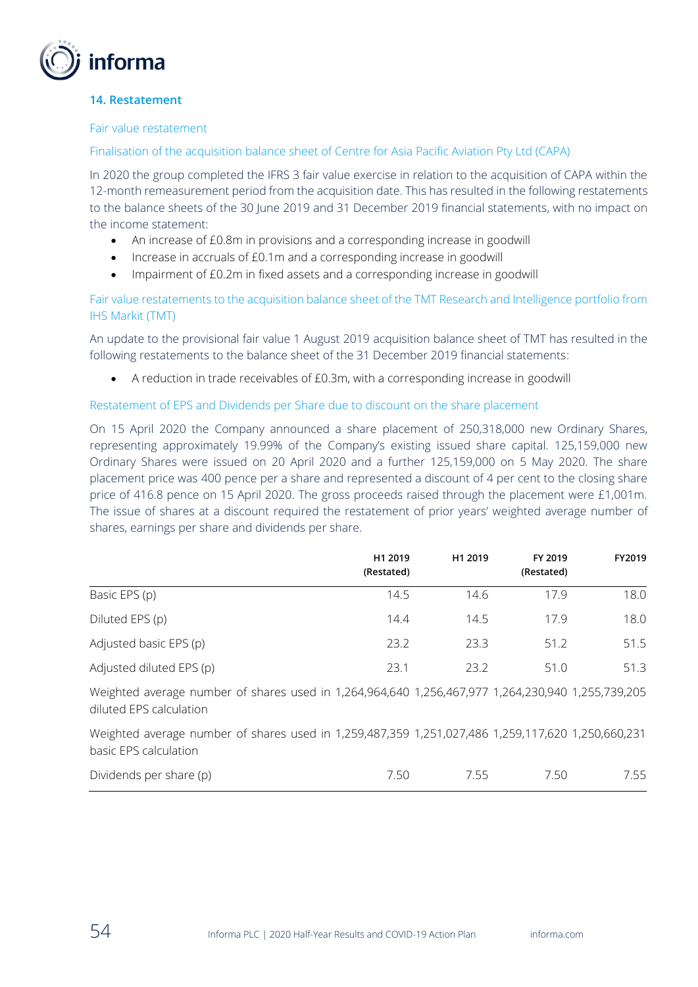

### **14. Restatement**

#### Fair value restatement

Finalisation of the acquisition balance sheet of Centre for Asia Pacific Aviation Pty Ltd (CAPA)

In 2020 the group completed the IFRS 3 fair value exercise in relation to the acquisition of CAPA within the 12-month remeasurement period from the acquisition date. This has resulted in the following restatements to the balance sheets of the 30 June 2019 and 31 December 2019 financial statements, with no impact on the income statement:

- An increase of £0.8m in provisions and a corresponding increase in goodwill
- Increase in accruals of £0.1m and a corresponding increase in goodwill
- Impairment of £0.2m in fixed assets and a corresponding increase in goodwill

Fair value restatements to the acquisition balance sheet of the TMT Research and Intelligence portfolio from IHS Markit (TMT)

An update to the provisional fair value 1 August 2019 acquisition balance sheet of TMT has resulted in the following restatements to the balance sheet of the 31 December 2019 financial statements:

• A reduction in trade receivables of £0.3m, with a corresponding increase in goodwill

#### Restatement of EPS and Dividends per Share due to discount on the share placement

On 15 April 2020 the Company announced a share placement of 250,318,000 new Ordinary Shares, representing approximately 19.99% of the Company's existing issued share capital. 125,159,000 new Ordinary Shares were issued on 20 April 2020 and a further 125,159,000 on 5 May 2020. The share placement price was 400 pence per a share and represented a discount of 4 per cent to the closing share price of 416.8 pence on 15 April 2020. The gross proceeds raised through the placement were £1,001m. The issue of shares at a discount required the restatement of prior years' weighted average number of shares, earnings per share and dividends per share.

|                           | H1 2019<br>(Restated)                                                                                                                                   | H1 2019 | FY 2019<br>(Restated) | FY2019 |
|---------------------------|---------------------------------------------------------------------------------------------------------------------------------------------------------|---------|-----------------------|--------|
| Basic EPS (p)             | 14.5                                                                                                                                                    | 14.6    | 17.9                  | 18.0   |
| Diluted EPS (p)           | 14.4                                                                                                                                                    | 14.5    | 17.9                  | 18.0   |
| Adjusted basic EPS (p)    | 23.2                                                                                                                                                    | 23.3    | 51.2                  | 51.5   |
| Adjusted diluted EPS (p)  | 23.1                                                                                                                                                    | 23.2    | 51.0                  | 51.3   |
| $\cdots$<br>$\sim$ $\sim$ | $\mathcal{L}$ , and a case of $\mathcal{L}$ and $\mathcal{L}$ and $\mathcal{L}$ and $\mathcal{L}$ and $\mathcal{L}$ and $\mathcal{L}$ and $\mathcal{L}$ |         |                       |        |

Weighted average number of shares used in 1,264,964,640 1,256,467,977 1,264,230,940 1,255,739,205 diluted EPS calculation

Weighted average number of shares used in 1,259,487,359 1,251,027,486 1,259,117,620 1,250,660,231 basic EPS calculation

| Dividends per share (p) | 7.50 | 7.55 | 7.50 | 7.55 |
|-------------------------|------|------|------|------|
|                         |      |      |      |      |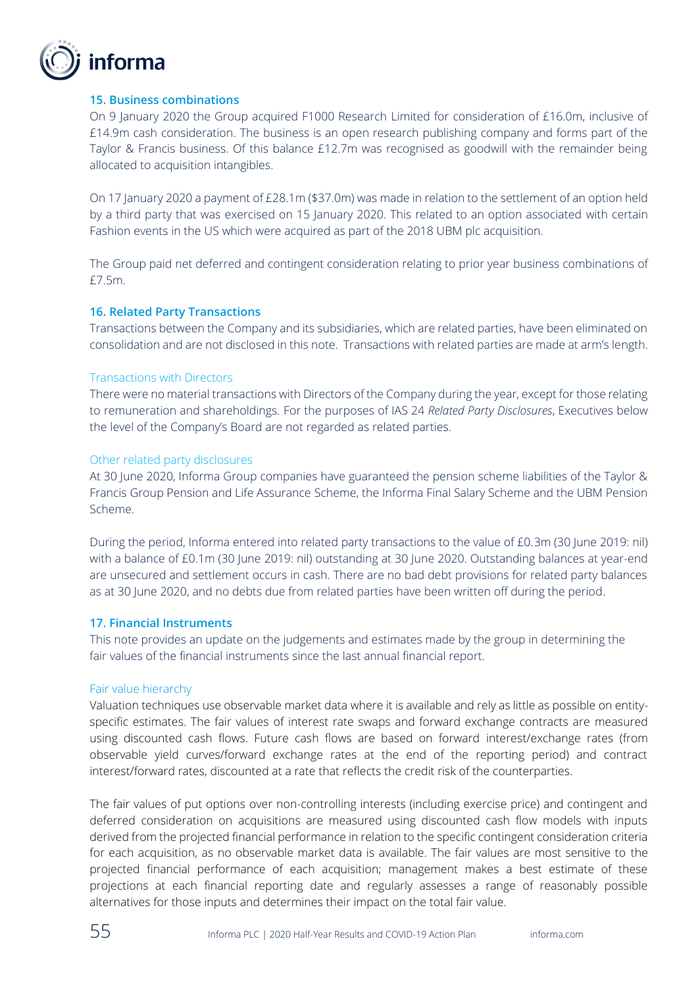

## **15. Business combinations**

On 9 January 2020 the Group acquired F1000 Research Limited for consideration of £16.0m, inclusive of £14.9m cash consideration. The business is an open research publishing company and forms part of the Taylor & Francis business. Of this balance £12.7m was recognised as goodwill with the remainder being allocated to acquisition intangibles.

On 17 January 2020 a payment of £28.1m (\$37.0m) was made in relation to the settlement of an option held by a third party that was exercised on 15 January 2020. This related to an option associated with certain Fashion events in the US which were acquired as part of the 2018 UBM plc acquisition.

The Group paid net deferred and contingent consideration relating to prior year business combinations of £7.5m.

#### **16. Related Party Transactions**

Transactions between the Company and its subsidiaries, which are related parties, have been eliminated on consolidation and are not disclosed in this note. Transactions with related parties are made at arm's length.

#### Transactions with Directors

There were no material transactions with Directors of the Company during the year, except for those relating to remuneration and shareholdings. For the purposes of IAS 24 *Related Party Disclosures*, Executives below the level of the Company's Board are not regarded as related parties.

#### Other related party disclosures

At 30 June 2020, Informa Group companies have guaranteed the pension scheme liabilities of the Taylor & Francis Group Pension and Life Assurance Scheme, the Informa Final Salary Scheme and the UBM Pension Scheme.

During the period, Informa entered into related party transactions to the value of £0.3m (30 June 2019: nil) with a balance of £0.1m (30 June 2019: nil) outstanding at 30 June 2020. Outstanding balances at year-end are unsecured and settlement occurs in cash. There are no bad debt provisions for related party balances as at 30 June 2020, and no debts due from related parties have been written off during the period.

#### **17. Financial Instruments**

This note provides an update on the judgements and estimates made by the group in determining the fair values of the financial instruments since the last annual financial report.

#### Fair value hierarchy

Valuation techniques use observable market data where it is available and rely as little as possible on entityspecific estimates. The fair values of interest rate swaps and forward exchange contracts are measured using discounted cash flows. Future cash flows are based on forward interest/exchange rates (from observable yield curves/forward exchange rates at the end of the reporting period) and contract interest/forward rates, discounted at a rate that reflects the credit risk of the counterparties.

The fair values of put options over non-controlling interests (including exercise price) and contingent and deferred consideration on acquisitions are measured using discounted cash flow models with inputs derived from the projected financial performance in relation to the specific contingent consideration criteria for each acquisition, as no observable market data is available. The fair values are most sensitive to the projected financial performance of each acquisition; management makes a best estimate of these projections at each financial reporting date and regularly assesses a range of reasonably possible alternatives for those inputs and determines their impact on the total fair value.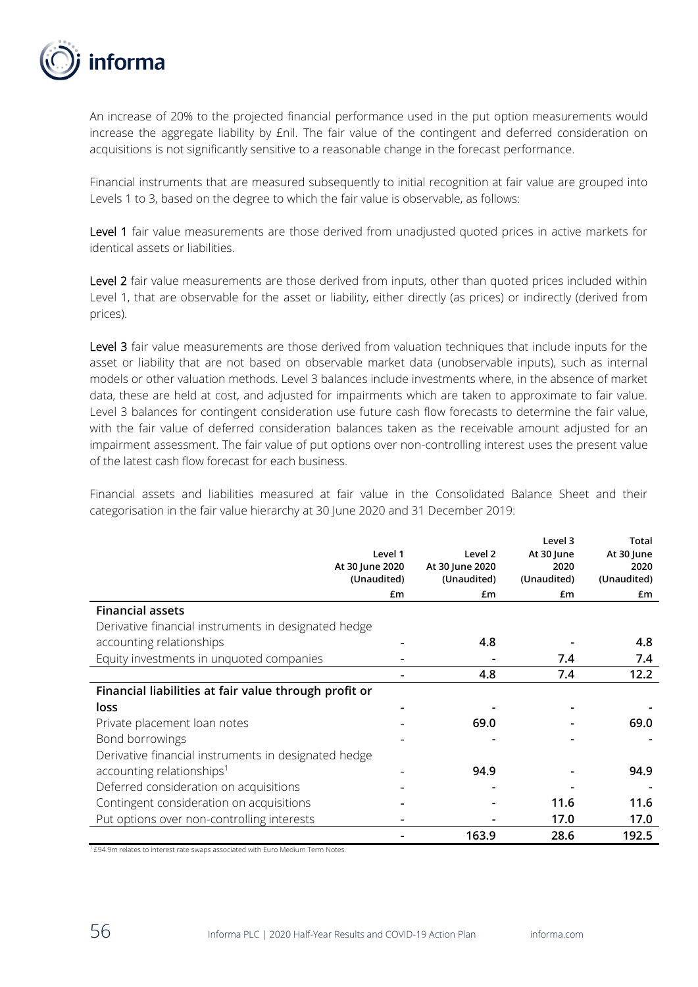

An increase of 20% to the projected financial performance used in the put option measurements would increase the aggregate liability by £nil. The fair value of the contingent and deferred consideration on acquisitions is not significantly sensitive to a reasonable change in the forecast performance.

Financial instruments that are measured subsequently to initial recognition at fair value are grouped into Levels 1 to 3, based on the degree to which the fair value is observable, as follows:

Level 1 fair value measurements are those derived from unadjusted quoted prices in active markets for identical assets or liabilities.

Level 2 fair value measurements are those derived from inputs, other than quoted prices included within Level 1, that are observable for the asset or liability, either directly (as prices) or indirectly (derived from prices).

Level 3 fair value measurements are those derived from valuation techniques that include inputs for the asset or liability that are not based on observable market data (unobservable inputs), such as internal models or other valuation methods. Level 3 balances include investments where, in the absence of market data, these are held at cost, and adjusted for impairments which are taken to approximate to fair value. Level 3 balances for contingent consideration use future cash flow forecasts to determine the fair value, with the fair value of deferred consideration balances taken as the receivable amount adjusted for an impairment assessment. The fair value of put options over non-controlling interest uses the present value of the latest cash flow forecast for each business.

Financial assets and liabilities measured at fair value in the Consolidated Balance Sheet and their categorisation in the fair value hierarchy at 30 June 2020 and 31 December 2019:

|                                                       |                 |                 | Level 3     | Total       |
|-------------------------------------------------------|-----------------|-----------------|-------------|-------------|
|                                                       | Level 1         | Level 2         | At 30 June  | At 30 June  |
|                                                       | At 30 June 2020 | At 30 June 2020 | 2020        | 2020        |
|                                                       | (Unaudited)     | (Unaudited)     | (Unaudited) | (Unaudited) |
|                                                       | £m              | £m              | £m          | £m          |
| <b>Financial assets</b>                               |                 |                 |             |             |
| Derivative financial instruments in designated hedge  |                 |                 |             |             |
| accounting relationships                              |                 | 4.8             |             | 4.8         |
| Equity investments in unquoted companies              |                 |                 | 7.4         | 7.4         |
|                                                       |                 | 4.8             | 7.4         | 12.2        |
| Financial liabilities at fair value through profit or |                 |                 |             |             |
| loss                                                  |                 |                 |             |             |
| Private placement loan notes                          |                 | 69.0            |             | 69.0        |
| Bond borrowings                                       |                 |                 |             |             |
| Derivative financial instruments in designated hedge  |                 |                 |             |             |
| accounting relationships <sup>1</sup>                 |                 | 94.9            |             | 94.9        |
| Deferred consideration on acquisitions                |                 |                 |             |             |
| Contingent consideration on acquisitions              |                 |                 | 11.6        | 11.6        |
| Put options over non-controlling interests            |                 |                 | 17.0        | 17.0        |
|                                                       |                 | 163.9           | 28.6        | 192.5       |

 $1.1494.9$ m relates to interest rate swaps associated with Euro Medium Term Notes.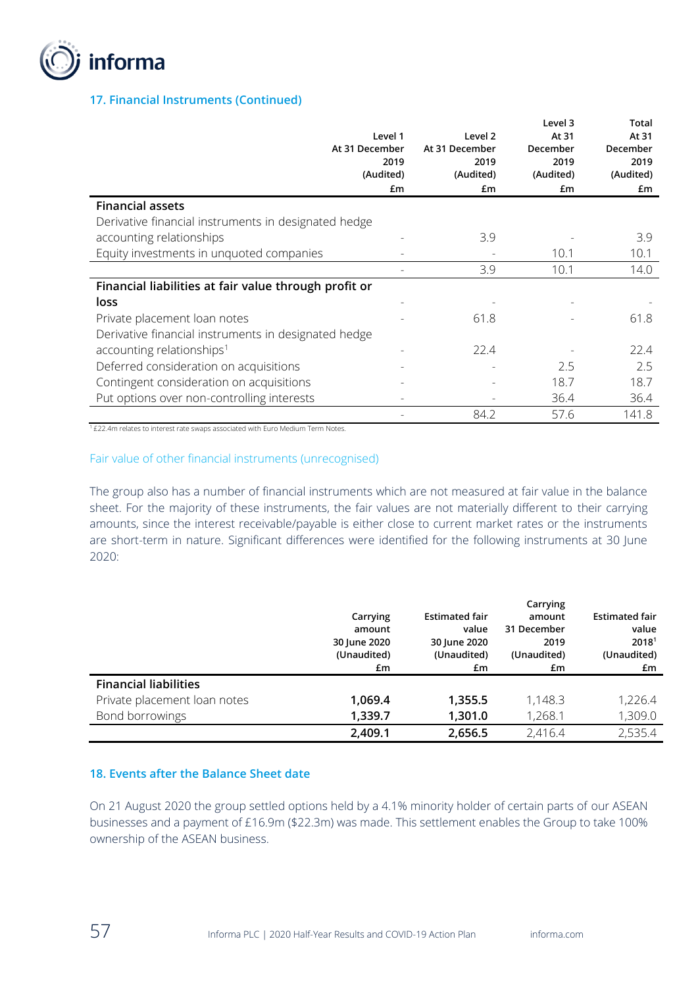

## **17. Financial Instruments (Continued)**

|                                                       | Level 1<br>At 31 December<br>2019 | Level 2<br>At 31 December<br>2019 | Level 3<br>At 31<br>December<br>2019 | Total<br>At 31<br>December<br>2019 |
|-------------------------------------------------------|-----------------------------------|-----------------------------------|--------------------------------------|------------------------------------|
|                                                       | (Audited)                         | (Audited)                         | (Audited)                            | (Audited)                          |
| <b>Financial assets</b>                               | £m                                | £m                                | £m                                   | £m                                 |
| Derivative financial instruments in designated hedge  |                                   |                                   |                                      |                                    |
| accounting relationships                              |                                   | 3.9                               |                                      | 3.9                                |
| Equity investments in unquoted companies              |                                   |                                   | 10.1                                 | 10.1                               |
|                                                       |                                   | 3.9                               | 10.1                                 | 14.0                               |
| Financial liabilities at fair value through profit or |                                   |                                   |                                      |                                    |
| loss                                                  |                                   |                                   |                                      |                                    |
| Private placement loan notes                          |                                   | 61.8                              |                                      | 61.8                               |
| Derivative financial instruments in designated hedge  |                                   |                                   |                                      |                                    |
| accounting relationships <sup>1</sup>                 |                                   | 22.4                              |                                      | 22.4                               |
| Deferred consideration on acquisitions                |                                   |                                   | 2.5                                  | 2.5                                |
| Contingent consideration on acquisitions              |                                   |                                   | 18.7                                 | 18.7                               |
| Put options over non-controlling interests            |                                   |                                   | 36.4                                 | 36.4                               |
|                                                       |                                   | 84.2                              | 57.6                                 | 141.8                              |

 $1$  £22.4m relates to interest rate swaps associated with Euro Medium Term Notes.

#### Fair value of other financial instruments (unrecognised)

The group also has a number of financial instruments which are not measured at fair value in the balance sheet. For the majority of these instruments, the fair values are not materially different to their carrying amounts, since the interest receivable/payable is either close to current market rates or the instruments are short-term in nature. Significant differences were identified for the following instruments at 30 June 2020:

|                              | Carrying<br>amount<br>30 June 2020<br>(Unaudited)<br>£m | <b>Estimated fair</b><br>value<br>30 June 2020<br>(Unaudited)<br>£m | Carrying<br>amount<br>31 December<br>2019<br>(Unaudited)<br>£m | <b>Estimated fair</b><br>value<br>20181<br>(Unaudited)<br>£m |
|------------------------------|---------------------------------------------------------|---------------------------------------------------------------------|----------------------------------------------------------------|--------------------------------------------------------------|
| <b>Financial liabilities</b> |                                                         |                                                                     |                                                                |                                                              |
| Private placement loan notes | 1,069.4                                                 | 1,355.5                                                             | 1,148.3                                                        | 1,226.4                                                      |
| Bond borrowings              | 1,339.7                                                 | 1,301.0                                                             | 1,268.1                                                        | 1,309.0                                                      |
|                              | 2,409.1                                                 | 2,656.5                                                             | 2.416.4                                                        | 2,535.4                                                      |

#### **18. Events after the Balance Sheet date**

On 21 August 2020 the group settled options held by a 4.1% minority holder of certain parts of our ASEAN businesses and a payment of £16.9m (\$22.3m) was made. This settlement enables the Group to take 100% ownership of the ASEAN business.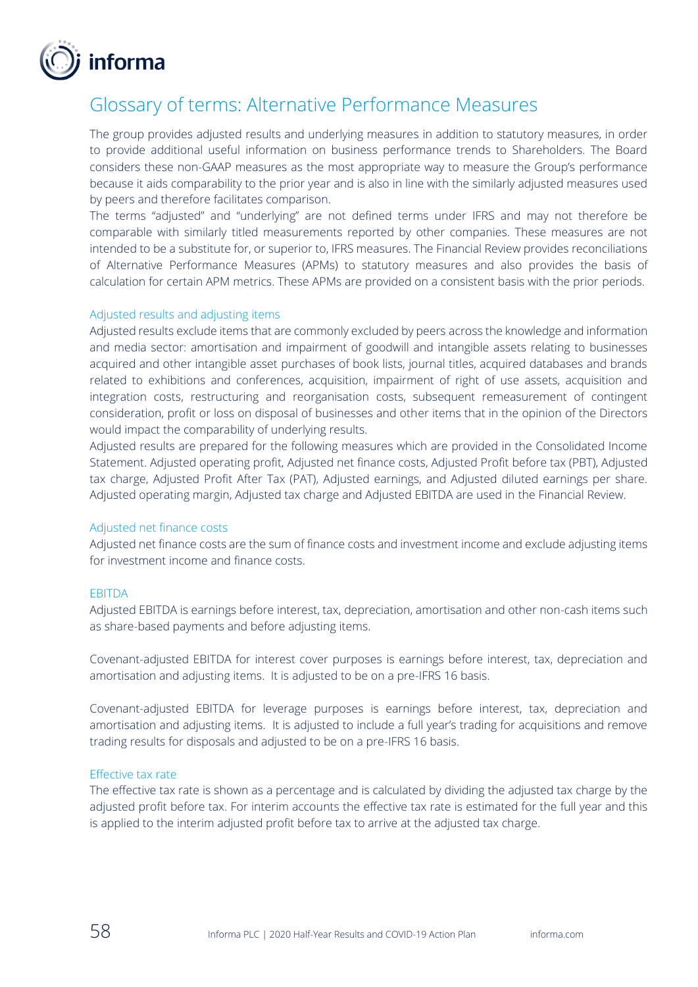

## Glossary of terms: Alternative Performance Measures

The group provides adjusted results and underlying measures in addition to statutory measures, in order to provide additional useful information on business performance trends to Shareholders. The Board considers these non-GAAP measures as the most appropriate way to measure the Group's performance because it aids comparability to the prior year and is also in line with the similarly adjusted measures used by peers and therefore facilitates comparison.

The terms "adjusted" and "underlying" are not defined terms under IFRS and may not therefore be comparable with similarly titled measurements reported by other companies. These measures are not intended to be a substitute for, or superior to, IFRS measures. The Financial Review provides reconciliations of Alternative Performance Measures (APMs) to statutory measures and also provides the basis of calculation for certain APM metrics. These APMs are provided on a consistent basis with the prior periods.

#### Adjusted results and adjusting items

Adjusted results exclude items that are commonly excluded by peers across the knowledge and information and media sector: amortisation and impairment of goodwill and intangible assets relating to businesses acquired and other intangible asset purchases of book lists, journal titles, acquired databases and brands related to exhibitions and conferences, acquisition, impairment of right of use assets, acquisition and integration costs, restructuring and reorganisation costs, subsequent remeasurement of contingent consideration, profit or loss on disposal of businesses and other items that in the opinion of the Directors would impact the comparability of underlying results.

Adjusted results are prepared for the following measures which are provided in the Consolidated Income Statement. Adjusted operating profit, Adjusted net finance costs, Adjusted Profit before tax (PBT), Adjusted tax charge, Adjusted Profit After Tax (PAT), Adjusted earnings, and Adjusted diluted earnings per share. Adjusted operating margin, Adjusted tax charge and Adjusted EBITDA are used in the Financial Review.

#### Adjusted net finance costs

Adjusted net finance costs are the sum of finance costs and investment income and exclude adjusting items for investment income and finance costs.

#### EBITDA

Adjusted EBITDA is earnings before interest, tax, depreciation, amortisation and other non-cash items such as share-based payments and before adjusting items.

Covenant-adjusted EBITDA for interest cover purposes is earnings before interest, tax, depreciation and amortisation and adjusting items. It is adjusted to be on a pre-IFRS 16 basis.

Covenant-adjusted EBITDA for leverage purposes is earnings before interest, tax, depreciation and amortisation and adjusting items. It is adjusted to include a full year's trading for acquisitions and remove trading results for disposals and adjusted to be on a pre-IFRS 16 basis.

#### Effective tax rate

The effective tax rate is shown as a percentage and is calculated by dividing the adjusted tax charge by the adjusted profit before tax. For interim accounts the effective tax rate is estimated for the full year and this is applied to the interim adjusted profit before tax to arrive at the adjusted tax charge.